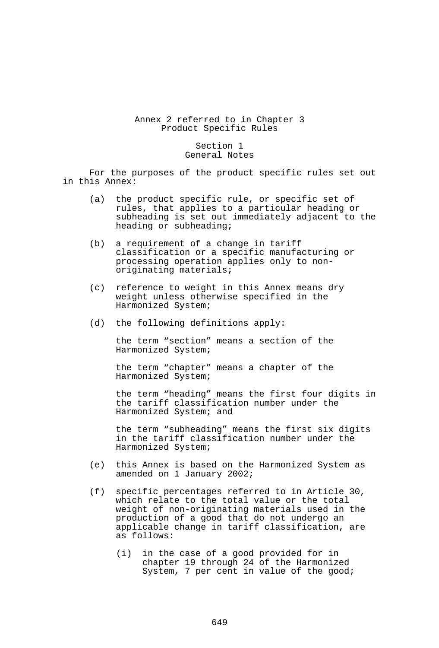## Annex 2 referred to in Chapter 3 Product Specific Rules

## Section 1 General Notes

 For the purposes of the product specific rules set out in this Annex:

- (a) the product specific rule, or specific set of rules, that applies to a particular heading or subheading is set out immediately adjacent to the heading or subheading;
- (b) a requirement of a change in tariff classification or a specific manufacturing or processing operation applies only to nonoriginating materials;
- (c) reference to weight in this Annex means dry weight unless otherwise specified in the Harmonized System;
- (d) the following definitions apply:

 the term "section" means a section of the Harmonized System;

 the term "chapter" means a chapter of the Harmonized System;

 the term "heading" means the first four digits in the tariff classification number under the Harmonized System; and

 the term "subheading" means the first six digits in the tariff classification number under the Harmonized System;

- (e) this Annex is based on the Harmonized System as amended on 1 January 2002;
- (f) specific percentages referred to in Article 30, which relate to the total value or the total weight of non-originating materials used in the production of a good that do not undergo an applicable change in tariff classification, are as follows:
	- (i) in the case of a good provided for in chapter 19 through 24 of the Harmonized System, 7 per cent in value of the good;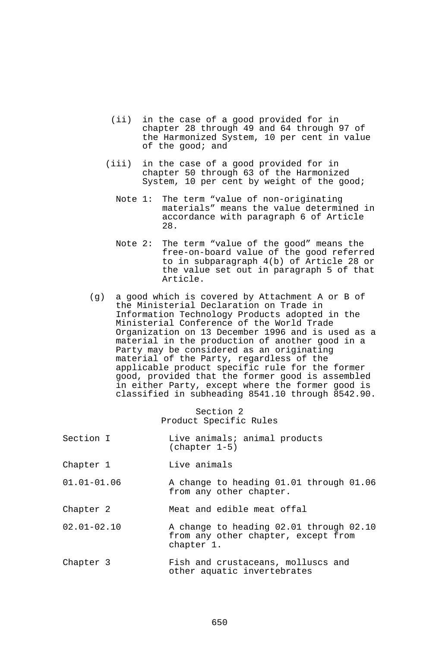- (ii) in the case of a good provided for in chapter 28 through 49 and 64 through 97 of the Harmonized System, 10 per cent in value of the good; and
- (iii) in the case of a good provided for in chapter 50 through 63 of the Harmonized System, 10 per cent by weight of the good;
	- Note 1: The term "value of non-originating materials" means the value determined in accordance with paragraph 6 of Article 28.
	- Note 2: The term "value of the good" means the free-on-board value of the good referred to in subparagraph 4(b) of Article 28 or the value set out in paragraph 5 of that Article.
- (g) a good which is covered by Attachment A or B of the Ministerial Declaration on Trade in Information Technology Products adopted in the Ministerial Conference of the World Trade Organization on 13 December 1996 and is used as a material in the production of another good in a Party may be considered as an originating material of the Party, regardless of the applicable product specific rule for the former good, provided that the former good is assembled in either Party, except where the former good is classified in subheading 8541.10 through 8542.90.

Section 2 Product Specific Rules

- Section I Live animals; animal products (chapter 1-5)
- Chapter 1 Live animals
- 01.01-01.06 A change to heading 01.01 through 01.06 from any other chapter.
- Chapter 2 Meat and edible meat offal
- 02.01-02.10 A change to heading 02.01 through 02.10 from any other chapter, except from chapter 1.
- Chapter 3 Fish and crustaceans, molluscs and other aquatic invertebrates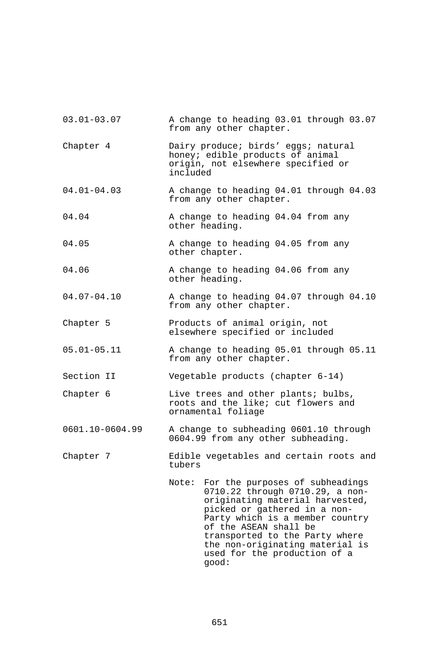| $03.01 - 03.07$ | A change to heading 03.01 through 03.07<br>from any other chapter.                                                                                                                                                                                                                                                       |
|-----------------|--------------------------------------------------------------------------------------------------------------------------------------------------------------------------------------------------------------------------------------------------------------------------------------------------------------------------|
| Chapter 4       | Dairy produce; birds' eggs; natural<br>honey; edible products of animal<br>origin, not elsewhere specified or<br>included                                                                                                                                                                                                |
| $04.01 - 04.03$ | A change to heading 04.01 through 04.03<br>from any other chapter.                                                                                                                                                                                                                                                       |
| 04.04           | A change to heading 04.04 from any<br>other heading.                                                                                                                                                                                                                                                                     |
| 04.05           | A change to heading 04.05 from any<br>other chapter.                                                                                                                                                                                                                                                                     |
| 04.06           | A change to heading 04.06 from any<br>other heading.                                                                                                                                                                                                                                                                     |
| $04.07 - 04.10$ | A change to heading 04.07 through 04.10<br>from any other chapter.                                                                                                                                                                                                                                                       |
| Chapter 5       | Products of animal origin, not<br>elsewhere specified or included                                                                                                                                                                                                                                                        |
| $05.01 - 05.11$ | A change to heading 05.01 through 05.11<br>from any other chapter.                                                                                                                                                                                                                                                       |
| Section II      | Vegetable products (chapter 6-14)                                                                                                                                                                                                                                                                                        |
| Chapter 6       | Live trees and other plants; bulbs,<br>roots and the like; cut flowers and<br>ornamental foliage                                                                                                                                                                                                                         |
| 0601.10-0604.99 | A change to subheading 0601.10 through<br>0604.99 from any other subheading.                                                                                                                                                                                                                                             |
| Chapter 7       | Edible vegetables and certain roots and<br>tubers                                                                                                                                                                                                                                                                        |
|                 | For the purposes of subheadings<br>Note:<br>0710.22 through 0710.29, a non-<br>originating material harvested,<br>picked or gathered in a non-<br>Party which is a member country<br>of the ASEAN shall be<br>transported to the Party where<br>the non-originating material is<br>used for the production of a<br>good: |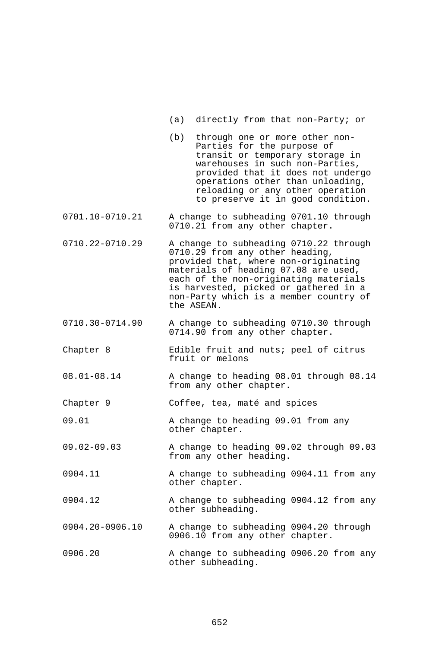- (a) directly from that non-Party; or
- (b) through one or more other non-Parties for the purpose of transit or temporary storage in warehouses in such non-Parties, provided that it does not undergo operations other than unloading, reloading or any other operation to preserve it in good condition.
- 0701.10-0710.21 A change to subheading 0701.10 through 0710.21 from any other chapter.
- 0710.22-0710.29 A change to subheading 0710.22 through 0710.29 from any other heading, provided that, where non-originating materials of heading 07.08 are used, each of the non-originating materials is harvested, picked or gathered in a non-Party which is a member country of the ASEAN.
- 0710.30-0714.90 A change to subheading 0710.30 through 0714.90 from any other chapter.
- Chapter 8 Edible fruit and nuts; peel of citrus fruit or melons
- 08.01-08.14 A change to heading 08.01 through 08.14 from any other chapter.
- Chapter 9 Coffee, tea, maté and spices
- 09.01 A change to heading 09.01 from any other chapter.
- 09.02-09.03 A change to heading 09.02 through 09.03 from any other heading.
- 0904.11 A change to subheading 0904.11 from any other chapter.
- 0904.12 A change to subheading 0904.12 from any other subheading.
- 0904.20-0906.10 A change to subheading 0904.20 through 0906.10 from any other chapter.
- 0906.20 A change to subheading 0906.20 from any other subheading.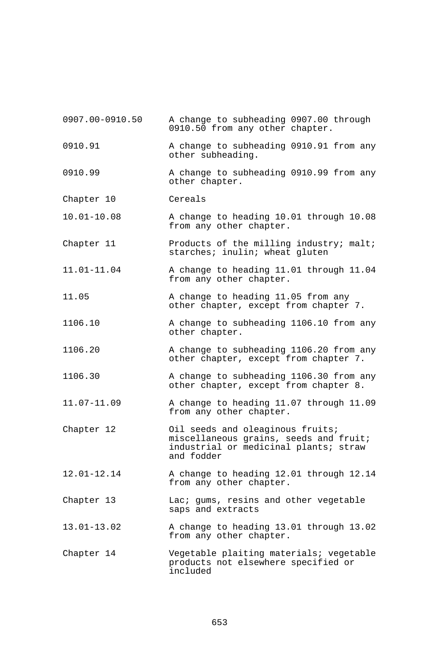0907.00-0910.50 A change to subheading 0907.00 through 0910.50 from any other chapter. 0910.91 A change to subheading 0910.91 from any other subheading. 0910.99 A change to subheading 0910.99 from any other chapter. Chapter 10 Cereals 10.01-10.08 A change to heading 10.01 through 10.08 from any other chapter. Chapter 11 **Products of the milling industry; malt;** starches; inulin; wheat gluten 11.01-11.04 A change to heading 11.01 through 11.04 from any other chapter. 11.05 A change to heading 11.05 from any other chapter, except from chapter 7. 1106.10 A change to subheading 1106.10 from any other chapter. 1106.20 A change to subheading 1106.20 from any other chapter, except from chapter 7. 1106.30 A change to subheading 1106.30 from any other chapter, except from chapter 8. 11.07-11.09 A change to heading 11.07 through 11.09 from any other chapter. Chapter 12 **Chapter** 12 **Oil seeds and oleaginous fruits;** miscellaneous grains, seeds and fruit; industrial or medicinal plants; straw and fodder 12.01-12.14 A change to heading 12.01 through 12.14 from any other chapter. Chapter 13 Lac; gums, resins and other vegetable saps and extracts 13.01-13.02 A change to heading 13.01 through 13.02 from any other chapter. Chapter 14 Vegetable plaiting materials; vegetable products not elsewhere specified or included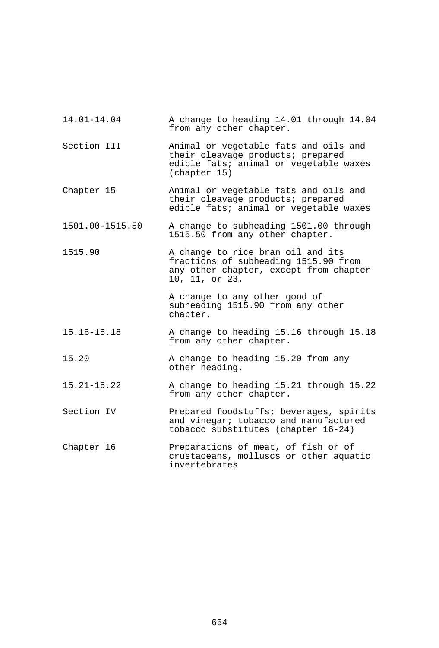| 14.01-14.04     | A change to heading 14.01 through 14.04<br>from any other chapter.                                                                    |
|-----------------|---------------------------------------------------------------------------------------------------------------------------------------|
| Section III     | Animal or vegetable fats and oils and<br>their cleavage products; prepared<br>edible fats; animal or vegetable waxes<br>(chapter 15)  |
| Chapter 15      | Animal or vegetable fats and oils and<br>their cleavage products; prepared<br>edible fats; animal or vegetable waxes                  |
| 1501.00-1515.50 | A change to subheading 1501.00 through<br>1515.50 from any other chapter.                                                             |
| 1515.90         | A change to rice bran oil and its<br>fractions of subheading 1515.90 from<br>any other chapter, except from chapter<br>10, 11, or 23. |
|                 | A change to any other good of<br>subheading 1515.90 from any other<br>chapter.                                                        |
| $15.16 - 15.18$ | A change to heading 15.16 through 15.18<br>from any other chapter.                                                                    |
| 15.20           | A change to heading 15.20 from any<br>other heading.                                                                                  |
| $15.21 - 15.22$ | A change to heading 15.21 through 15.22<br>from any other chapter.                                                                    |
| Section IV      | Prepared foodstuffs; beverages, spirits<br>and vinegar; tobacco and manufactured<br>tobacco substitutes (chapter 16-24)               |
| Chapter 16      | Preparations of meat, of fish or of<br>crustaceans, molluscs or other aquatic<br>invertebrates                                        |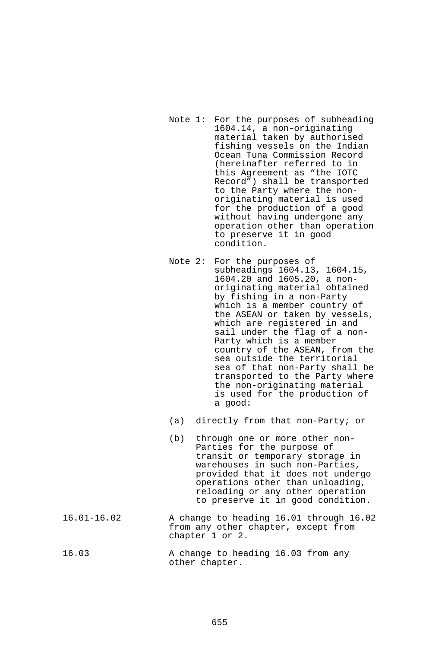- Note 1: For the purposes of subheading 1604.14, a non-originating material taken by authorised fishing vessels on the Indian Ocean Tuna Commission Record (hereinafter referred to in this Agreement as "the IOTC Record") shall be transported to the Party where the nonoriginating material is used for the production of a good without having undergone any operation other than operation to preserve it in good condition.
- Note 2: For the purposes of subheadings 1604.13, 1604.15, 1604.20 and 1605.20, a nonoriginating material obtained by fishing in a non-Party which is a member country of the ASEAN or taken by vessels, which are registered in and sail under the flag of a non-Party which is a member country of the ASEAN, from the sea outside the territorial sea of that non-Party shall be transported to the Party where the non-originating material is used for the production of a good:
- (a) directly from that non-Party; or
- (b) through one or more other non-Parties for the purpose of transit or temporary storage in warehouses in such non-Parties, provided that it does not undergo operations other than unloading, reloading or any other operation to preserve it in good condition.
- 16.01-16.02 A change to heading 16.01 through 16.02 from any other chapter, except from chapter 1 or 2.
- 16.03 A change to heading 16.03 from any other chapter.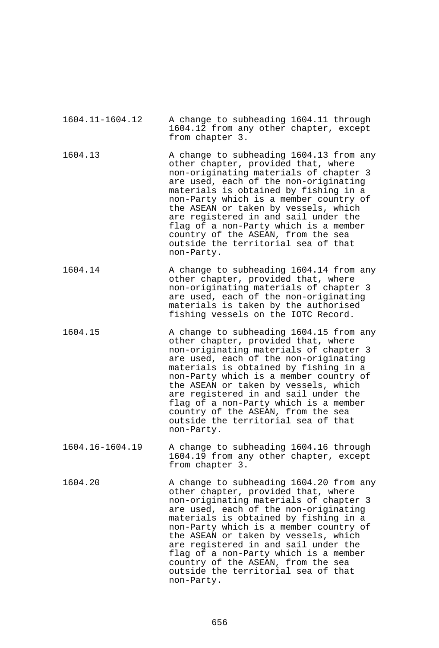| 1604.11-1604.12 | A change to subheading 1604.11 through<br>1604.12 from any other chapter, except<br>from chapter 3.                                                                                                                                                                                                                                                                                                                                                                      |
|-----------------|--------------------------------------------------------------------------------------------------------------------------------------------------------------------------------------------------------------------------------------------------------------------------------------------------------------------------------------------------------------------------------------------------------------------------------------------------------------------------|
| 1604.13         | A change to subheading 1604.13 from any<br>other chapter, provided that, where<br>non-originating materials of chapter 3<br>are used, each of the non-originating<br>materials is obtained by fishing in a<br>non-Party which is a member country of<br>the ASEAN or taken by vessels, which<br>are registered in and sail under the<br>flag of a non-Party which is a member<br>country of the ASEAN, from the sea<br>outside the territorial sea of that<br>non-Party. |
| 1604.14         | A change to subheading 1604.14 from any<br>other chapter, provided that, where<br>non-originating materials of chapter 3<br>are used, each of the non-originating<br>materials is taken by the authorised<br>fishing vessels on the IOTC Record.                                                                                                                                                                                                                         |
| 1604.15         | A change to subheading 1604.15 from any<br>other chapter, provided that, where<br>non-originating materials of chapter 3<br>are used, each of the non-originating<br>materials is obtained by fishing in a<br>non-Party which is a member country of<br>the ASEAN or taken by vessels, which<br>are registered in and sail under the<br>flag of a non-Party which is a member<br>country of the ASEAN, from the sea<br>outside the territorial sea of that<br>non-Party. |
| 1604.16-1604.19 | A change to subheading 1604.16 through<br>1604.19 from any other chapter, except<br>from chapter 3.                                                                                                                                                                                                                                                                                                                                                                      |
| 1604.20         | A change to subheading 1604.20 from any<br>other chapter, provided that, where<br>non-originating materials of chapter 3<br>are used, each of the non-originating<br>materials is obtained by fishing in a<br>non-Party which is a member country of<br>the ASEAN or taken by vessels, which<br>are registered in and sail under the<br>flag of a non-Party which is a member<br>country of the ASEAN, from the sea<br>outside the territorial sea of that<br>non-Party. |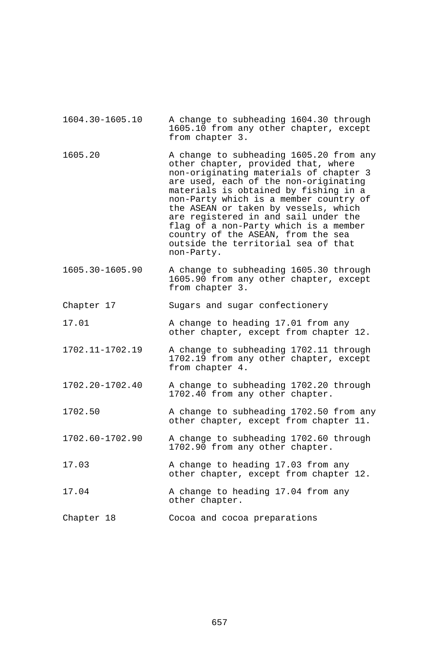- 1604.30-1605.10 A change to subheading 1604.30 through 1605.10 from any other chapter, except from chapter 3. 1605.20 A change to subheading 1605.20 from any other chapter, provided that, where non-originating materials of chapter 3 are used, each of the non-originating materials is obtained by fishing in a non-Party which is a member country of the ASEAN or taken by vessels, which are registered in and sail under the flag of a non-Party which is a member country of the ASEAN, from the sea outside the territorial sea of that non-Party. 1605.30-1605.90 A change to subheading 1605.30 through 1605.90 from any other chapter, except from chapter 3. Chapter 17 Sugars and sugar confectionery 17.01 A change to heading 17.01 from any other chapter, except from chapter 12. 1702.11-1702.19 A change to subheading 1702.11 through 1702.19 from any other chapter, except
- 1702.20-1702.40 A change to subheading 1702.20 through 1702.40 from any other chapter.

from chapter 4.

- 1702.50 A change to subheading 1702.50 from any other chapter, except from chapter 11.
- 1702.60-1702.90 A change to subheading 1702.60 through 1702.90 from any other chapter.
- 17.03 A change to heading 17.03 from any other chapter, except from chapter 12.
- 17.04 A change to heading 17.04 from any other chapter.
- Chapter 18 Cocoa and cocoa preparations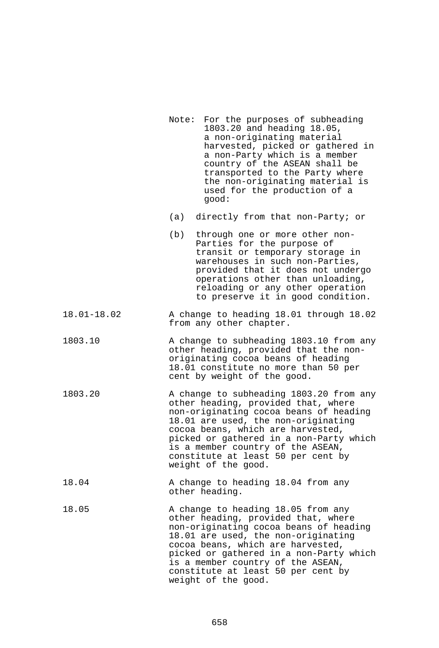| Note: For the purposes of subheading |
|--------------------------------------|
| 1803.20 and heading 18.05,           |
| a non-originating material           |
| harvested, picked or gathered in     |
| a non-Party which is a member        |
| country of the ASEAN shall be        |
| transported to the Party where       |
| the non-originating material is      |
| used for the production of a         |
|                                      |

- (a) directly from that non-Party; or
- (b) through one or more other non-Parties for the purpose of transit or temporary storage in warehouses in such non-Parties, provided that it does not undergo operations other than unloading, reloading or any other operation to preserve it in good condition.
- 18.01-18.02 A change to heading 18.01 through 18.02 from any other chapter.
- 1803.10 A change to subheading 1803.10 from any other heading, provided that the nonoriginating cocoa beans of heading 18.01 constitute no more than 50 per cent by weight of the good.
- 1803.20 A change to subheading 1803.20 from any other heading, provided that, where non-originating cocoa beans of heading 18.01 are used, the non-originating cocoa beans, which are harvested, picked or gathered in a non-Party which is a member country of the ASEAN, constitute at least 50 per cent by weight of the good.
- 18.04 A change to heading 18.04 from any other heading.
- 18.05 A change to heading 18.05 from any other heading, provided that, where non-originating cocoa beans of heading 18.01 are used, the non-originating cocoa beans, which are harvested, picked or gathered in a non-Party which is a member country of the ASEAN, constitute at least 50 per cent by weight of the good.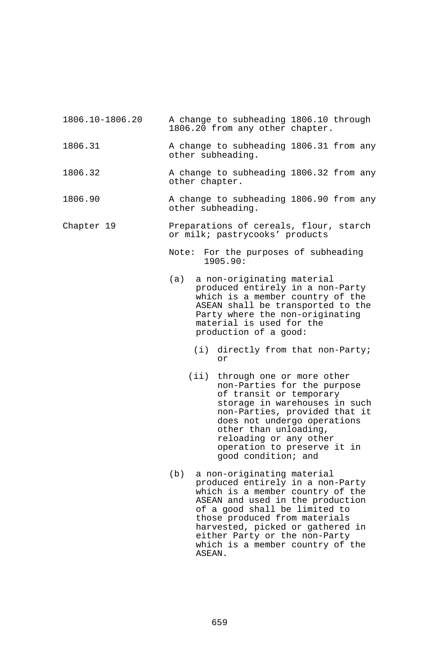| 1806.10-1806.20 |  |  | A change to subheading 1806.10 through |  |
|-----------------|--|--|----------------------------------------|--|
|                 |  |  | 1806.20 from any other chapter.        |  |
|                 |  |  |                                        |  |

- 1806.31 A change to subheading 1806.31 from any other subheading.
- 1806.32 A change to subheading 1806.32 from any other chapter.
- 1806.90 A change to subheading 1806.90 from any other subheading.

## Chapter 19 **Preparations of cereals, flour, starch** or milk; pastrycooks' products

Note: For the purposes of subheading 1905.90:

- (a) a non-originating material produced entirely in a non-Party which is a member country of the ASEAN shall be transported to the Party where the non-originating material is used for the production of a good:
	- (i) directly from that non-Party; or
	- (ii) through one or more other non-Parties for the purpose of transit or temporary storage in warehouses in such non-Parties, provided that it does not undergo operations other than unloading, reloading or any other operation to preserve it in good condition; and
- (b) a non-originating material produced entirely in a non-Party which is a member country of the ASEAN and used in the production of a good shall be limited to those produced from materials harvested, picked or gathered in either Party or the non-Party which is a member country of the ASEAN.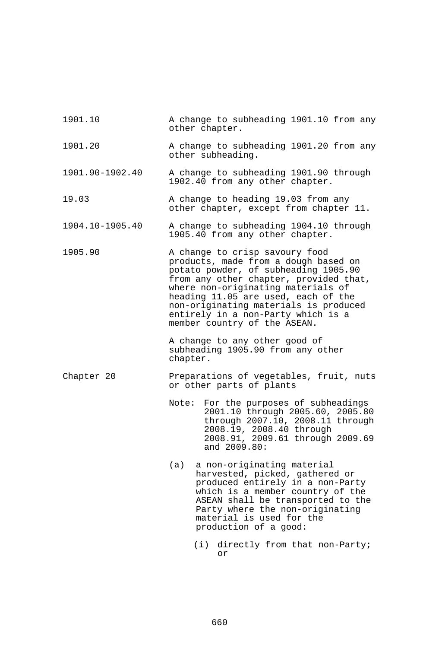| 1901.10         | A change to subheading 1901.10 from any<br>other chapter.                                                                                                                                                                                                                                                                                            |
|-----------------|------------------------------------------------------------------------------------------------------------------------------------------------------------------------------------------------------------------------------------------------------------------------------------------------------------------------------------------------------|
| 1901.20         | A change to subheading 1901.20 from any<br>other subheading.                                                                                                                                                                                                                                                                                         |
| 1901.90-1902.40 | A change to subheading 1901.90 through<br>1902.40 from any other chapter.                                                                                                                                                                                                                                                                            |
| 19.03           | A change to heading 19.03 from any<br>other chapter, except from chapter 11.                                                                                                                                                                                                                                                                         |
| 1904.10-1905.40 | A change to subheading 1904.10 through<br>1905.40 from any other chapter.                                                                                                                                                                                                                                                                            |
| 1905.90         | A change to crisp savoury food<br>products, made from a dough based on<br>potato powder, of subheading 1905.90<br>from any other chapter, provided that,<br>where non-originating materials of<br>heading 11.05 are used, each of the<br>non-originating materials is produced<br>entirely in a non-Party which is a<br>member country of the ASEAN. |
|                 | A change to any other good of<br>subheading 1905.90 from any other<br>chapter.                                                                                                                                                                                                                                                                       |
| Chapter 20      | Preparations of vegetables, fruit, nuts<br>or other parts of plants                                                                                                                                                                                                                                                                                  |
|                 | Note: For the purposes of subheadings                                                                                                                                                                                                                                                                                                                |
|                 | 2001.10 through 2005.60, 2005.80<br>through 2007.10, 2008.11 through<br>2008.19, 2008.40 through<br>2008.91, 2009.61 through 2009.69<br>and 2009.80:                                                                                                                                                                                                 |
|                 | (a)<br>a non-originating material<br>harvested, picked, gathered or<br>produced entirely in a non-Party<br>which is a member country of the<br>ASEAN shall be transported to the<br>Party where the non-originating<br>material is used for the<br>production of a good:                                                                             |

 (i) directly from that non-Party; or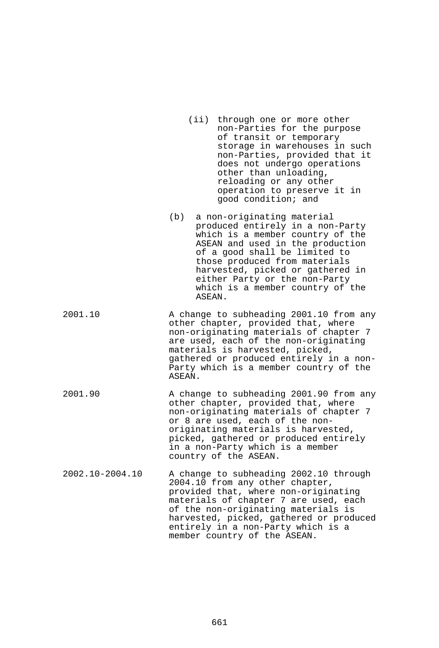- (ii) through one or more other non-Parties for the purpose of transit or temporary storage in warehouses in such non-Parties, provided that it does not undergo operations other than unloading, reloading or any other operation to preserve it in good condition; and
- (b) a non-originating material produced entirely in a non-Party which is a member country of the ASEAN and used in the production of a good shall be limited to those produced from materials harvested, picked or gathered in either Party or the non-Party which is a member country of the ASEAN.
- 2001.10 A change to subheading 2001.10 from any other chapter, provided that, where non-originating materials of chapter 7 are used, each of the non-originating materials is harvested, picked, gathered or produced entirely in a non-Party which is a member country of the ASEAN.
- 2001.90 A change to subheading 2001.90 from any other chapter, provided that, where non-originating materials of chapter 7 or 8 are used, each of the nonoriginating materials is harvested, picked, gathered or produced entirely in a non-Party which is a member country of the ASEAN.
- 2002.10-2004.10 A change to subheading 2002.10 through 2004.10 from any other chapter, provided that, where non-originating materials of chapter 7 are used, each of the non-originating materials is harvested, picked, gathered or produced entirely in a non-Party which is a member country of the ASEAN.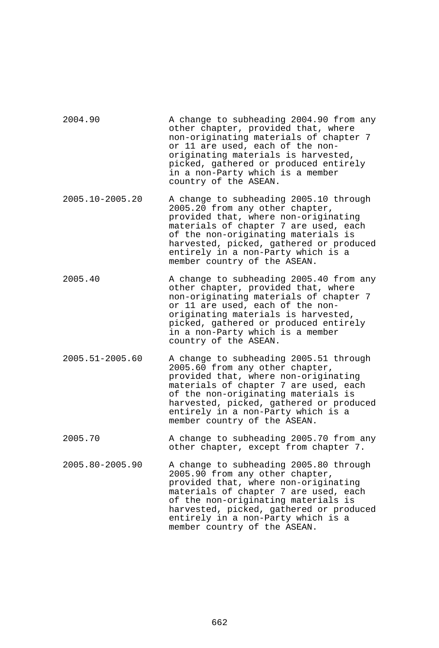| 2004.90         | A change to subheading 2004.90 from any<br>other chapter, provided that, where<br>non-originating materials of chapter 7<br>or 11 are used, each of the non-<br>originating materials is harvested,<br>picked, gathered or produced entirely<br>in a non-Party which is a member<br>country of the ASEAN.          |
|-----------------|--------------------------------------------------------------------------------------------------------------------------------------------------------------------------------------------------------------------------------------------------------------------------------------------------------------------|
| 2005.10-2005.20 | A change to subheading 2005.10 through<br>2005.20 from any other chapter,<br>provided that, where non-originating<br>materials of chapter 7 are used, each<br>of the non-originating materials is<br>harvested, picked, gathered or produced<br>entirely in a non-Party which is a<br>member country of the ASEAN. |
| 2005.40         | A change to subheading 2005.40 from any<br>other chapter, provided that, where<br>non-originating materials of chapter 7<br>or 11 are used, each of the non-<br>originating materials is harvested,<br>picked, gathered or produced entirely<br>in a non-Party which is a member<br>country of the ASEAN.          |
| 2005.51-2005.60 | A change to subheading 2005.51 through<br>2005.60 from any other chapter,<br>provided that, where non-originating<br>materials of chapter 7 are used, each<br>of the non-originating materials is<br>harvested, picked, gathered or produced<br>entirely in a non-Party which is a<br>member country of the ASEAN. |
| 2005.70         | A change to subheading 2005.70 from any<br>other chapter, except from chapter 7.                                                                                                                                                                                                                                   |
| 2005.80-2005.90 | A change to subheading 2005.80 through<br>2005.90 from any other chapter,<br>provided that, where non-originating<br>materials of chapter 7 are used, each<br>of the non-originating materials is<br>harvested, picked, gathered or produced<br>entirely in a non-Party which is a<br>member country of the ASEAN. |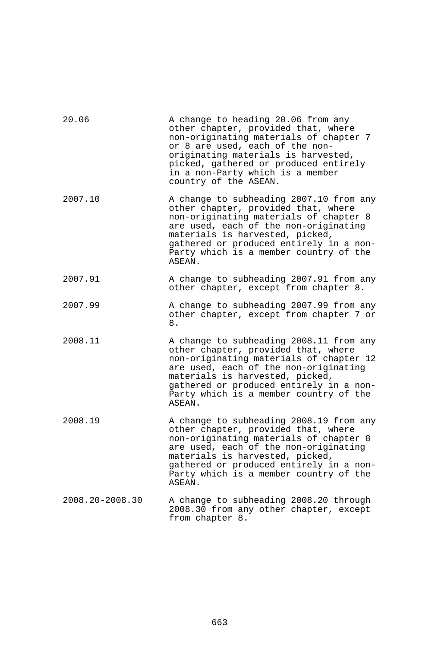| 20.06           | A change to heading 20.06 from any<br>other chapter, provided that, where<br>non-originating materials of chapter 7<br>or 8 are used, each of the non-<br>originating materials is harvested,<br>picked, gathered or produced entirely<br>in a non-Party which is a member<br>country of the ASEAN.  |
|-----------------|------------------------------------------------------------------------------------------------------------------------------------------------------------------------------------------------------------------------------------------------------------------------------------------------------|
| 2007.10         | A change to subheading 2007.10 from any<br>other chapter, provided that, where<br>non-originating materials of chapter 8<br>are used, each of the non-originating<br>materials is harvested, picked,<br>gathered or produced entirely in a non-<br>Party which is a member country of the<br>ASEAN.  |
| 2007.91         | A change to subheading 2007.91 from any<br>other chapter, except from chapter 8.                                                                                                                                                                                                                     |
| 2007.99         | A change to subheading 2007.99 from any<br>other chapter, except from chapter 7 or<br>8.                                                                                                                                                                                                             |
| 2008.11         | A change to subheading 2008.11 from any<br>other chapter, provided that, where<br>non-originating materials of chapter 12<br>are used, each of the non-originating<br>materials is harvested, picked,<br>gathered or produced entirely in a non-<br>Party which is a member country of the<br>ASEAN. |
| 2008.19         | A change to subheading 2008.19 from any<br>other chapter, provided that, where<br>non-originating materials of chapter 8<br>are used, each of the non-originating<br>materials is harvested, picked,<br>gathered or produced entirely in a non-<br>Party which is a member country of the<br>ASEAN.  |
| 2008.20-2008.30 | A change to subheading 2008.20 through<br>2008.30 from any other chapter, except<br>from chapter 8.                                                                                                                                                                                                  |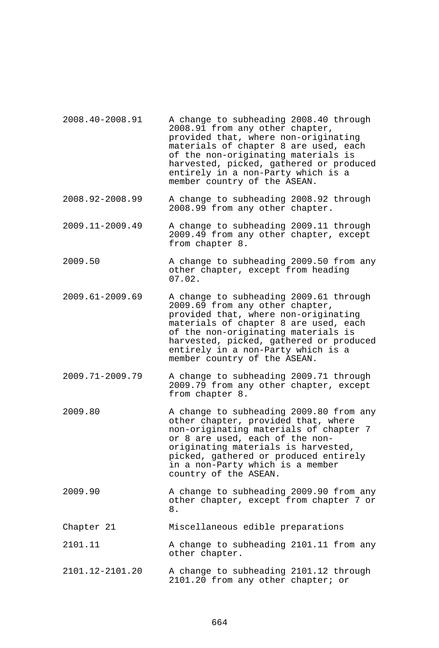- 2008.40-2008.91 A change to subheading 2008.40 through 2008.91 from any other chapter, provided that, where non-originating materials of chapter 8 are used, each of the non-originating materials is harvested, picked, gathered or produced entirely in a non-Party which is a member country of the ASEAN.
- 2008.92-2008.99 A change to subheading 2008.92 through 2008.99 from any other chapter.
- 2009.11-2009.49 A change to subheading 2009.11 through 2009.49 from any other chapter, except from chapter 8.
- 2009.50 A change to subheading 2009.50 from any other chapter, except from heading 07.02.
- 2009.61-2009.69 A change to subheading 2009.61 through 2009.69 from any other chapter, provided that, where non-originating materials of chapter 8 are used, each of the non-originating materials is harvested, picked, gathered or produced entirely in a non-Party which is a member country of the ASEAN.
- 2009.71-2009.79 A change to subheading 2009.71 through 2009.79 from any other chapter, except from chapter 8.
- 2009.80 A change to subheading 2009.80 from any other chapter, provided that, where non-originating materials of chapter 7 or 8 are used, each of the nonoriginating materials is harvested, picked, gathered or produced entirely in a non-Party which is a member country of the ASEAN.
- 2009.90 A change to subheading 2009.90 from any other chapter, except from chapter 7 or 8.
- Chapter 21 Miscellaneous edible preparations
- 2101.11 A change to subheading 2101.11 from any other chapter.
- 2101.12-2101.20 A change to subheading 2101.12 through 2101.20 from any other chapter; or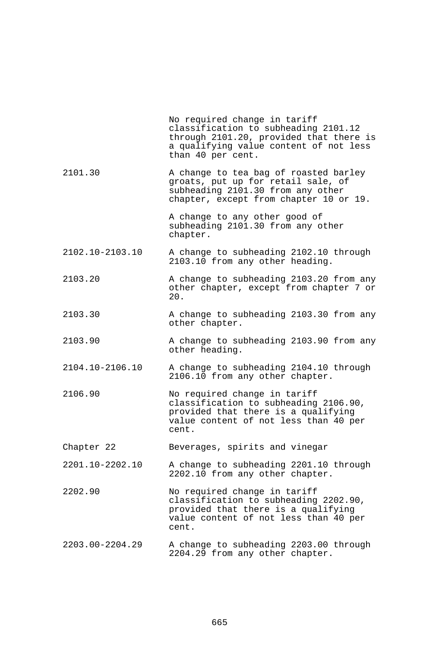|                 | No required change in tariff<br>classification to subheading 2101.12<br>through 2101.20, provided that there is<br>a qualifying value content of not less<br>than 40 per cent. |
|-----------------|--------------------------------------------------------------------------------------------------------------------------------------------------------------------------------|
| 2101.30         | A change to tea bag of roasted barley<br>groats, put up for retail sale, of<br>subheading 2101.30 from any other<br>chapter, except from chapter 10 or 19.                     |
|                 | A change to any other good of<br>subheading 2101.30 from any other<br>chapter.                                                                                                 |
| 2102.10-2103.10 | A change to subheading 2102.10 through<br>2103.10 from any other heading.                                                                                                      |
| 2103.20         | A change to subheading 2103.20 from any<br>other chapter, except from chapter 7 or<br>20.                                                                                      |
| 2103.30         | A change to subheading 2103.30 from any<br>other chapter.                                                                                                                      |
| 2103.90         | A change to subheading 2103.90 from any<br>other heading.                                                                                                                      |
| 2104.10-2106.10 | A change to subheading 2104.10 through<br>2106.10 from any other chapter.                                                                                                      |
| 2106.90         | No required change in tariff<br>classification to subheading 2106.90,<br>provided that there is a qualifying<br>value content of not less than 40 per<br>cent.                 |
| Chapter 22      | Beverages, spirits and vinegar                                                                                                                                                 |
| 2201.10-2202.10 | A change to subheading 2201.10 through<br>2202.10 from any other chapter.                                                                                                      |
| 2202.90         | No required change in tariff<br>classification to subheading 2202.90,<br>provided that there is a qualifying<br>value content of not less than 40 per<br>cent.                 |
| 2203.00-2204.29 | A change to subheading 2203.00 through<br>2204.29 from any other chapter.                                                                                                      |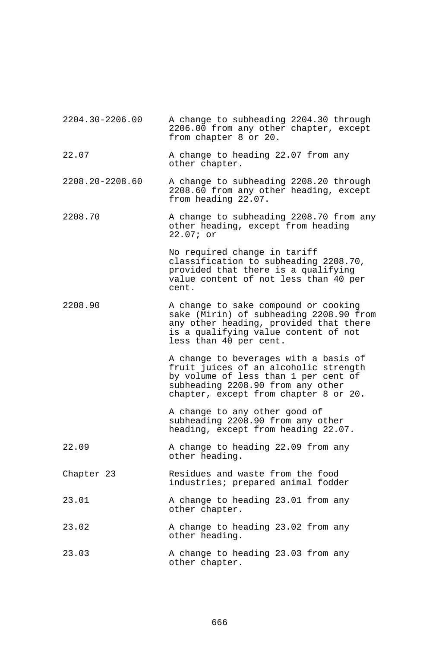| 2204.30-2206.00 | A change to subheading 2204.30 through<br>2206.00 from any other chapter, except<br>from chapter 8 or 20.                                                                                            |  |  |
|-----------------|------------------------------------------------------------------------------------------------------------------------------------------------------------------------------------------------------|--|--|
| 22.07           | A change to heading 22.07 from any<br>other chapter.                                                                                                                                                 |  |  |
| 2208.20-2208.60 | A change to subheading 2208.20 through<br>2208.60 from any other heading, except<br>from heading 22.07.                                                                                              |  |  |
| 2208.70         | A change to subheading 2208.70 from any<br>other heading, except from heading<br>$22.07$ ; or                                                                                                        |  |  |
|                 | No required change in tariff<br>classification to subheading 2208.70,<br>provided that there is a qualifying<br>value content of not less than 40 per<br>cent.                                       |  |  |
| 2208.90         | A change to sake compound or cooking<br>sake (Mirin) of subheading 2208.90 from<br>any other heading, provided that there<br>is a qualifying value content of not<br>less than 40 per cent.          |  |  |
|                 | A change to beverages with a basis of<br>fruit juices of an alcoholic strength<br>by volume of less than 1 per cent of<br>subheading 2208.90 from any other<br>chapter, except from chapter 8 or 20. |  |  |
|                 | A change to any other good of<br>subheading 2208.90 from any other<br>heading, except from heading 22.07.                                                                                            |  |  |
| 22.09           | A change to heading 22.09 from any<br>other heading.                                                                                                                                                 |  |  |
| Chapter 23      | Residues and waste from the food<br>industries; prepared animal fodder                                                                                                                               |  |  |
| 23.01           | A change to heading 23.01 from any<br>other chapter.                                                                                                                                                 |  |  |
| 23.02           | A change to heading 23.02 from any<br>other heading.                                                                                                                                                 |  |  |
| 23.03           | A change to heading 23.03 from any<br>other chapter.                                                                                                                                                 |  |  |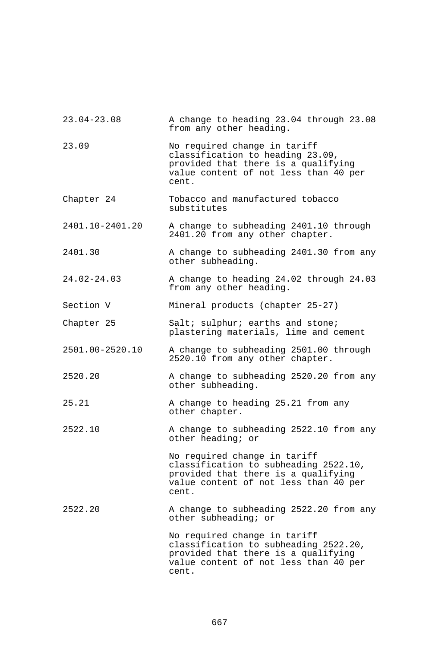| $23.04 - 23.08$ | A change to heading 23.04 through 23.08<br>from any other heading.                                                                                             |
|-----------------|----------------------------------------------------------------------------------------------------------------------------------------------------------------|
| 23.09           | No required change in tariff<br>classification to heading 23.09,<br>provided that there is a qualifying<br>value content of not less than 40 per<br>cent.      |
| Chapter 24      | Tobacco and manufactured tobacco<br>substitutes                                                                                                                |
| 2401.10-2401.20 | A change to subheading 2401.10 through<br>2401.20 from any other chapter.                                                                                      |
| 2401.30         | A change to subheading 2401.30 from any<br>other subheading.                                                                                                   |
| $24.02 - 24.03$ | A change to heading 24.02 through 24.03<br>from any other heading.                                                                                             |
| Section V       | Mineral products (chapter 25-27)                                                                                                                               |
| Chapter 25      | Salt; sulphur; earths and stone;<br>plastering materials, lime and cement                                                                                      |
| 2501.00-2520.10 | A change to subheading 2501.00 through<br>2520.10 from any other chapter.                                                                                      |
| 2520.20         | A change to subheading 2520.20 from any<br>other subheading.                                                                                                   |
| 25.21           | A change to heading 25.21 from any<br>other chapter.                                                                                                           |
| 2522.10         | A change to subheading 2522.10 from any<br>other heading; or                                                                                                   |
|                 | No required change in tariff<br>classification to subheading 2522.10,<br>provided that there is a qualifying<br>value content of not less than 40 per<br>cent. |
| 2522.20         | A change to subheading 2522.20 from any<br>other subheading; or                                                                                                |
|                 | No required change in tariff<br>classification to subheading 2522.20,<br>provided that there is a qualifying<br>value content of not less than 40 per<br>cent. |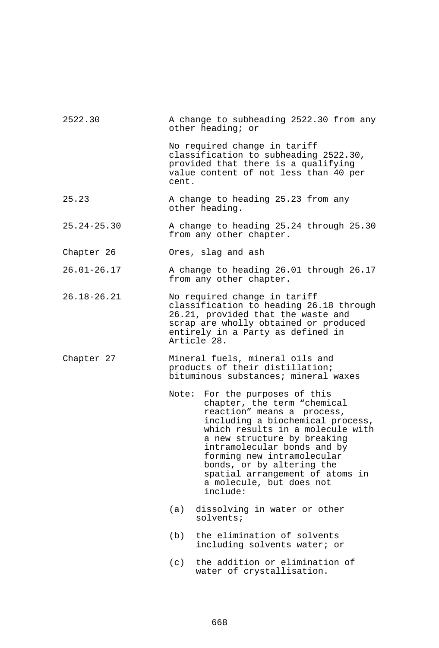| 2522.30         | A change to subheading 2522.30 from any<br>other heading; or                                                                                                                                                                                                                                                                                                               |  |  |
|-----------------|----------------------------------------------------------------------------------------------------------------------------------------------------------------------------------------------------------------------------------------------------------------------------------------------------------------------------------------------------------------------------|--|--|
|                 | No required change in tariff<br>classification to subheading 2522.30,<br>provided that there is a qualifying<br>value content of not less than 40 per<br>cent.                                                                                                                                                                                                             |  |  |
| 25.23           | A change to heading 25.23 from any<br>other heading.                                                                                                                                                                                                                                                                                                                       |  |  |
| $25.24 - 25.30$ | A change to heading 25.24 through 25.30<br>from any other chapter.                                                                                                                                                                                                                                                                                                         |  |  |
| Chapter 26      | Ores, slag and ash                                                                                                                                                                                                                                                                                                                                                         |  |  |
| $26.01 - 26.17$ | A change to heading 26.01 through 26.17<br>from any other chapter.                                                                                                                                                                                                                                                                                                         |  |  |
| $26.18 - 26.21$ | No required change in tariff<br>classification to heading 26.18 through<br>26.21, provided that the waste and<br>scrap are wholly obtained or produced<br>entirely in a Party as defined in<br>Article 28.                                                                                                                                                                 |  |  |
| Chapter 27      | Mineral fuels, mineral oils and<br>products of their distillation;<br>bituminous substances; mineral waxes                                                                                                                                                                                                                                                                 |  |  |
|                 | For the purposes of this<br>Note:<br>chapter, the term "chemical<br>reaction" means a process,<br>including a biochemical process,<br>which results in a molecule with<br>a new structure by breaking<br>intramolecular bonds and by<br>forming new intramolecular<br>bonds, or by altering the<br>spatial arrangement of atoms in<br>a molecule, but does not<br>include: |  |  |
|                 | dissolving in water or other<br>(a)<br>solvents;                                                                                                                                                                                                                                                                                                                           |  |  |
|                 | (b)<br>the elimination of solvents<br>including solvents water; or                                                                                                                                                                                                                                                                                                         |  |  |
|                 | the addition or elimination of<br>(c)<br>water of crystallisation.                                                                                                                                                                                                                                                                                                         |  |  |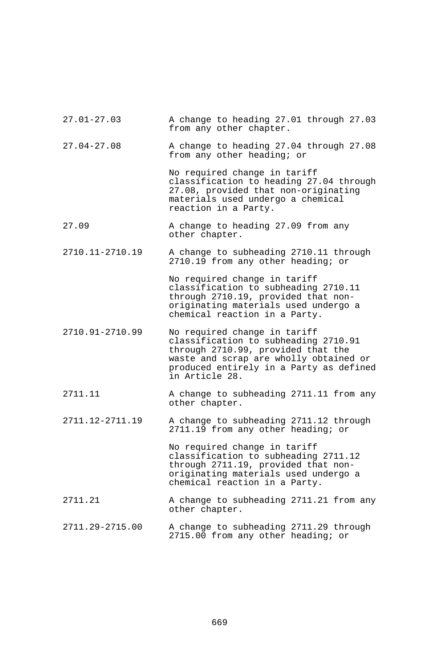| $27.01 - 27.03$ | A change to heading 27.01 through 27.03<br>from any other chapter.                                                                                                                                                |
|-----------------|-------------------------------------------------------------------------------------------------------------------------------------------------------------------------------------------------------------------|
| $27.04 - 27.08$ | A change to heading 27.04 through 27.08<br>from any other heading; or                                                                                                                                             |
|                 | No required change in tariff<br>classification to heading 27.04 through<br>27.08, provided that non-originating<br>materials used undergo a chemical<br>reaction in a Party.                                      |
| 27.09           | A change to heading 27.09 from any<br>other chapter.                                                                                                                                                              |
| 2710.11-2710.19 | A change to subheading 2710.11 through<br>2710.19 from any other heading; or                                                                                                                                      |
|                 | No required change in tariff<br>classification to subheading 2710.11<br>through 2710.19, provided that non-<br>originating materials used undergo a<br>chemical reaction in a Party.                              |
| 2710.91-2710.99 | No required change in tariff<br>classification to subheading 2710.91<br>through 2710.99, provided that the<br>waste and scrap are wholly obtained or<br>produced entirely in a Party as defined<br>in Article 28. |
| 2711.11         | A change to subheading 2711.11 from any<br>other chapter.                                                                                                                                                         |
| 2711.12-2711.19 | A change to subheading 2711.12 through<br>2711.19 from any other heading; or                                                                                                                                      |
|                 | No required change in tariff<br>classification to subheading 2711.12<br>through 2711.19, provided that non-<br>originating materials used undergo a<br>chemical reaction in a Party.                              |
| 2711.21         | A change to subheading 2711.21 from any<br>other chapter.                                                                                                                                                         |
| 2711.29-2715.00 | A change to subheading 2711.29 through<br>2715.00 from any other heading; or                                                                                                                                      |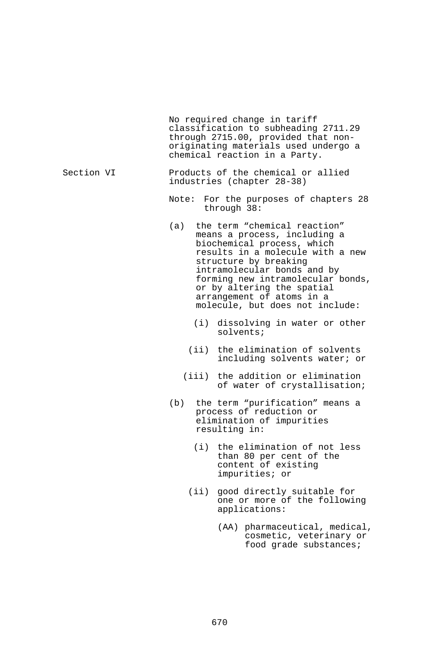No required change in tariff classification to subheading 2711.29 through 2715.00, provided that nonoriginating materials used undergo a chemical reaction in a Party. Section VI Products of the chemical or allied<br>industries (chapter 28-38) Note: For the purposes of chapters 28 through 38: (a) the term "chemical reaction" means a process, including a biochemical process, which results in a molecule with a new structure by breaking intramolecular bonds and by forming new intramolecular bonds, or by altering the spatial arrangement of atoms in a molecule, but does not include: (i) dissolving in water or other solvents; (ii) the elimination of solvents including solvents water; or (iii) the addition or elimination of water of crystallisation; (b) the term "purification" means a process of reduction or elimination of impurities<br>resulting in:  $(i)$  the elimination of not less than 80 per cent of the content of existing impurities; or (ii) good directly suitable for one or more of the following applications:

 (AA) pharmaceutical, medical, cosmetic, veterinary or food grade substances;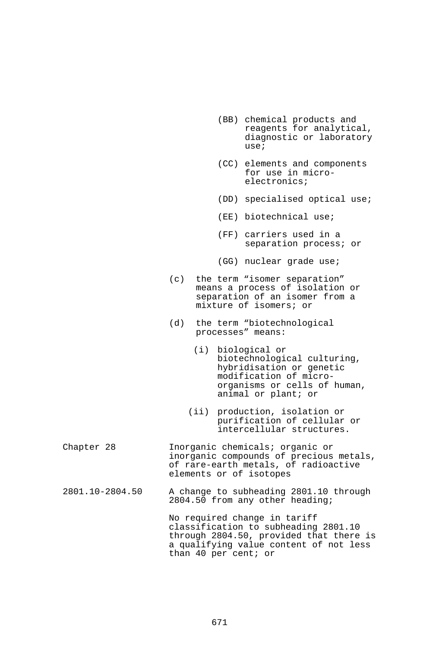- (BB) chemical products and reagents for analytical, diagnostic or laboratory use;
- (CC) elements and components for use in microelectronics;
- (DD) specialised optical use;
- (EE) biotechnical use;
- (FF) carriers used in a separation process; or
- (GG) nuclear grade use;
- (c) the term "isomer separation" means a process of isolation or separation of an isomer from a mixture of isomers; or
- (d) the term "biotechnological processes" means:
	- (i) biological or biotechnological culturing, hybridisation or genetic modification of microorganisms or cells of human, animal or plant; or
	- (ii) production, isolation or purification of cellular or intercellular structures.
- Chapter 28 Inorganic chemicals; organic or inorganic compounds of precious metals, of rare-earth metals, of radioactive elements or of isotopes
- 2801.10-2804.50 A change to subheading 2801.10 through 2804.50 from any other heading;

No required change in tariff classification to subheading 2801.10 through 2804.50, provided that there is a qualifying value content of not less than 40 per cent; or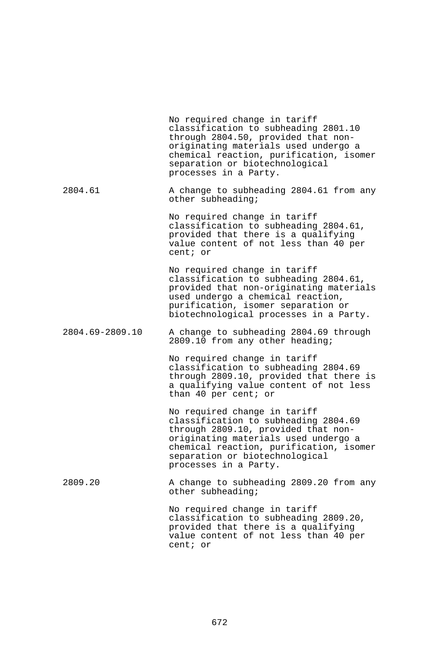|                 | No required change in tariff<br>classification to subheading 2801.10<br>through 2804.50, provided that non-<br>originating materials used undergo a<br>chemical reaction, purification, isomer<br>separation or biotechnological<br>processes in a Party. |
|-----------------|-----------------------------------------------------------------------------------------------------------------------------------------------------------------------------------------------------------------------------------------------------------|
| 2804.61         | A change to subheading 2804.61 from any<br>other subheading;                                                                                                                                                                                              |
|                 | No required change in tariff<br>classification to subheading 2804.61,<br>provided that there is a qualifying<br>value content of not less than 40 per<br>cent; or                                                                                         |
|                 | No required change in tariff<br>classification to subheading 2804.61,<br>provided that non-originating materials<br>used undergo a chemical reaction,<br>purification, isomer separation or<br>biotechnological processes in a Party.                     |
| 2804.69-2809.10 | A change to subheading 2804.69 through<br>2809.10 from any other heading;                                                                                                                                                                                 |
|                 | No required change in tariff<br>classification to subheading 2804.69<br>through 2809.10, provided that there is<br>a qualifying value content of not less<br>than 40 per cent; or                                                                         |
|                 | No required change in tariff<br>classification to subheading 2804.69<br>through 2809.10, provided that non-<br>originating materials used undergo a<br>chemical reaction, purification, isomer<br>separation or biotechnological<br>processes in a Party. |
| 2809.20         | A change to subheading 2809.20 from any<br>other subheading;                                                                                                                                                                                              |
|                 | No required change in tariff<br>classification to subheading 2809.20,<br>provided that there is a qualifying<br>value content of not less than 40 per<br>cent; or                                                                                         |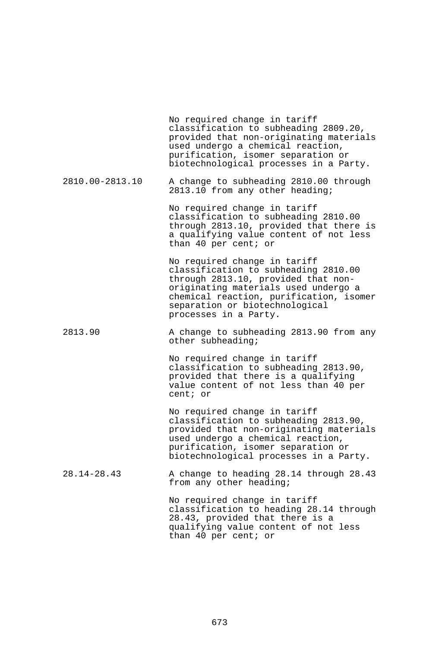No required change in tariff classification to subheading 2809.20, provided that non-originating materials used undergo a chemical reaction, purification, isomer separation or biotechnological processes in a Party.

2810.00-2813.10 A change to subheading 2810.00 through 2813.10 from any other heading;

> No required change in tariff classification to subheading 2810.00 through 2813.10, provided that there is a qualifying value content of not less than 40 per cent; or

> No required change in tariff classification to subheading 2810.00 through 2813.10, provided that nonoriginating materials used undergo a chemical reaction, purification, isomer separation or biotechnological processes in a Party.

2813.90 A change to subheading 2813.90 from any other subheading;

> No required change in tariff classification to subheading 2813.90, provided that there is a qualifying value content of not less than 40 per cent; or

No required change in tariff classification to subheading 2813.90, provided that non-originating materials used undergo a chemical reaction, purification, isomer separation or biotechnological processes in a Party.

28.14-28.43 A change to heading 28.14 through 28.43 from any other heading;

> No required change in tariff classification to heading 28.14 through 28.43, provided that there is a qualifying value content of not less than 40 per cent; or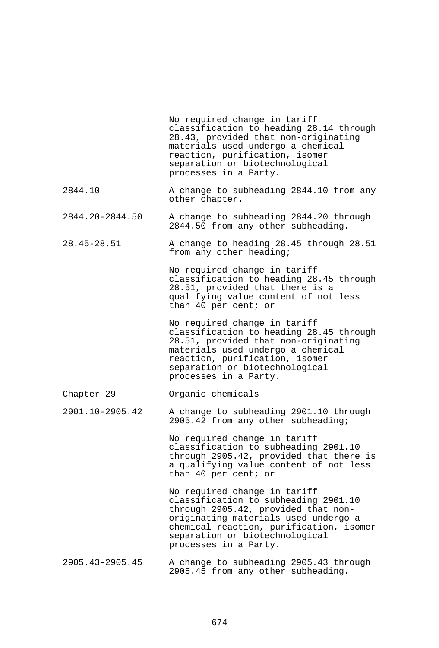|                 | No required change in tariff<br>classification to heading 28.14 through<br>28.43, provided that non-originating<br>materials used undergo a chemical<br>reaction, purification, isomer<br>separation or biotechnological<br>processes in a Party.         |
|-----------------|-----------------------------------------------------------------------------------------------------------------------------------------------------------------------------------------------------------------------------------------------------------|
| 2844.10         | A change to subheading 2844.10 from any<br>other chapter.                                                                                                                                                                                                 |
| 2844.20-2844.50 | A change to subheading 2844.20 through<br>2844.50 from any other subheading.                                                                                                                                                                              |
| $28.45 - 28.51$ | A change to heading 28.45 through 28.51<br>from any other heading;                                                                                                                                                                                        |
|                 | No required change in tariff<br>classification to heading 28.45 through<br>28.51, provided that there is a<br>qualifying value content of not less<br>than 40 per cent; or                                                                                |
|                 | No required change in tariff<br>classification to heading 28.45 through<br>28.51, provided that non-originating<br>materials used undergo a chemical<br>reaction, purification, isomer<br>separation or biotechnological<br>processes in a Party.         |
| Chapter 29      | Organic chemicals                                                                                                                                                                                                                                         |
| 2901.10-2905.42 | A change to subheading 2901.10 through<br>2905.42 from any other subheading;                                                                                                                                                                              |
|                 | No required change in tariff<br>classification to subheading 2901.10<br>through 2905.42, provided that there is<br>a qualifying value content of not less<br>than 40 per cent; or                                                                         |
|                 | No required change in tariff<br>classification to subheading 2901.10<br>through 2905.42, provided that non-<br>originating materials used undergo a<br>chemical reaction, purification, isomer<br>separation or biotechnological<br>processes in a Party. |
| 2905.43-2905.45 | A change to subheading 2905.43 through<br>2905.45 from any other subheading.                                                                                                                                                                              |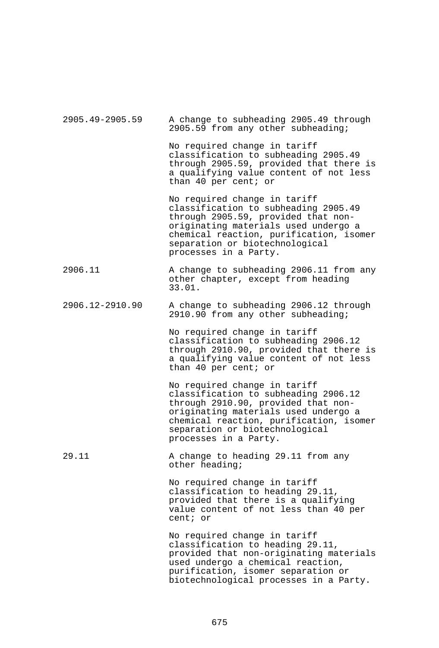| 2905.49-2905.59 | A change to subheading 2905.49 through<br>2905.59 from any other subheading;                                                                                                                                                                              |
|-----------------|-----------------------------------------------------------------------------------------------------------------------------------------------------------------------------------------------------------------------------------------------------------|
|                 | No required change in tariff<br>classification to subheading 2905.49<br>through 2905.59, provided that there is<br>a qualifying value content of not less<br>than 40 per cent; or                                                                         |
|                 | No required change in tariff<br>classification to subheading 2905.49<br>through 2905.59, provided that non-<br>originating materials used undergo a<br>chemical reaction, purification, isomer<br>separation or biotechnological<br>processes in a Party. |
| 2906.11         | A change to subheading 2906.11 from any<br>other chapter, except from heading<br>33.01.                                                                                                                                                                   |
| 2906.12-2910.90 | A change to subheading 2906.12 through<br>2910.90 from any other subheading;                                                                                                                                                                              |
|                 | No required change in tariff<br>classification to subheading 2906.12<br>through 2910.90, provided that there is<br>a qualifying value content of not less<br>than 40 per cent; or                                                                         |
|                 | No required change in tariff<br>classification to subheading 2906.12<br>through 2910.90, provided that non-<br>originating materials used undergo a<br>chemical reaction, purification, isomer<br>separation or biotechnological<br>processes in a Party. |
| 29.11           | A change to heading 29.11 from any<br>other heading;                                                                                                                                                                                                      |
|                 | No required change in tariff<br>classification to heading 29.11,<br>provided that there is a qualifying<br>value content of not less than 40 per<br>cent; or                                                                                              |
|                 | No required change in tariff<br>classification to heading 29.11,<br>provided that non-originating materials<br>used undergo a chemical reaction,<br>purification, isomer separation or<br>biotechnological processes in a Party.                          |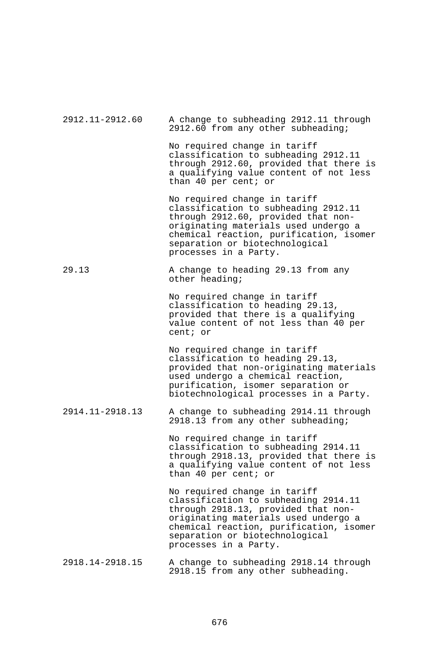| 2912.11-2912.60 | A change to subheading 2912.11 through<br>2912.60 from any other subheading;                                                                                                                                                                              |
|-----------------|-----------------------------------------------------------------------------------------------------------------------------------------------------------------------------------------------------------------------------------------------------------|
|                 | No required change in tariff<br>classification to subheading 2912.11<br>through 2912.60, provided that there is<br>a qualifying value content of not less<br>than 40 per cent; or                                                                         |
|                 | No required change in tariff<br>classification to subheading 2912.11<br>through 2912.60, provided that non-<br>originating materials used undergo a<br>chemical reaction, purification, isomer<br>separation or biotechnological<br>processes in a Party. |
| 29.13           | A change to heading 29.13 from any<br>other heading;                                                                                                                                                                                                      |
|                 | No required change in tariff<br>classification to heading 29.13,<br>provided that there is a qualifying<br>value content of not less than 40 per<br>cent; or                                                                                              |
|                 | No required change in tariff<br>classification to heading 29.13,<br>provided that non-originating materials<br>used undergo a chemical reaction,<br>purification, isomer separation or<br>biotechnological processes in a Party.                          |
| 2914.11-2918.13 | A change to subheading 2914.11 through<br>2918.13 from any other subheading;                                                                                                                                                                              |
|                 | No required change in tariff<br>classification to subheading 2914.11<br>through 2918.13, provided that there is<br>a qualifying value content of not less<br>than 40 per cent; or                                                                         |
|                 | No required change in tariff<br>classification to subheading 2914.11<br>through 2918.13, provided that non-<br>originating materials used undergo a<br>chemical reaction, purification, isomer<br>separation or biotechnological<br>processes in a Party. |
| 2918.14-2918.15 | A change to subheading 2918.14 through<br>2918.15 from any other subheading.                                                                                                                                                                              |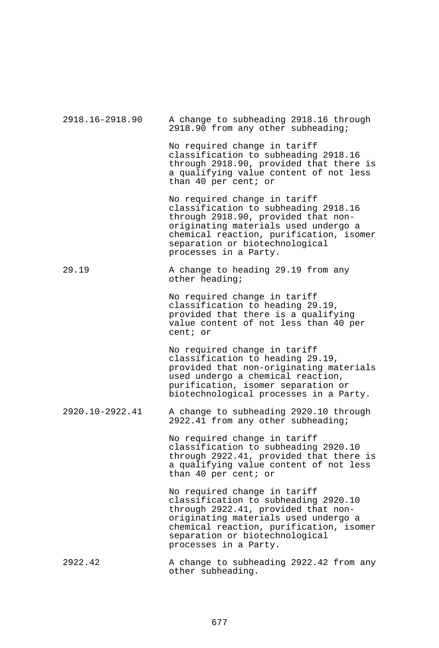| 2918.16-2918.90 | A change to subheading 2918.16 through<br>2918.90 from any other subheading;                                                                                                                                                                              |
|-----------------|-----------------------------------------------------------------------------------------------------------------------------------------------------------------------------------------------------------------------------------------------------------|
|                 | No required change in tariff<br>classification to subheading 2918.16<br>through 2918.90, provided that there is<br>a qualifying value content of not less<br>than 40 per cent; or                                                                         |
|                 | No required change in tariff<br>classification to subheading 2918.16<br>through 2918.90, provided that non-<br>originating materials used undergo a<br>chemical reaction, purification, isomer<br>separation or biotechnological<br>processes in a Party. |
| 29.19           | A change to heading 29.19 from any<br>other heading;                                                                                                                                                                                                      |
|                 | No required change in tariff<br>classification to heading 29.19,<br>provided that there is a qualifying<br>value content of not less than 40 per<br>cent; or                                                                                              |
|                 | No required change in tariff<br>classification to heading 29.19,<br>provided that non-originating materials<br>used undergo a chemical reaction,<br>purification, isomer separation or<br>biotechnological processes in a Party.                          |
| 2920.10-2922.41 | A change to subheading 2920.10 through<br>2922.41 from any other subheading;                                                                                                                                                                              |
|                 | No required change in tariff<br>classification to subheading 2920.10<br>through 2922.41, provided that there is<br>a qualifying value content of not less<br>than 40 per cent; or                                                                         |
|                 | No required change in tariff<br>classification to subheading 2920.10<br>through 2922.41, provided that non-<br>originating materials used undergo a<br>chemical reaction, purification, isomer<br>separation or biotechnological<br>processes in a Party. |
| 2922.42         | A change to subheading 2922.42 from any<br>other subheading.                                                                                                                                                                                              |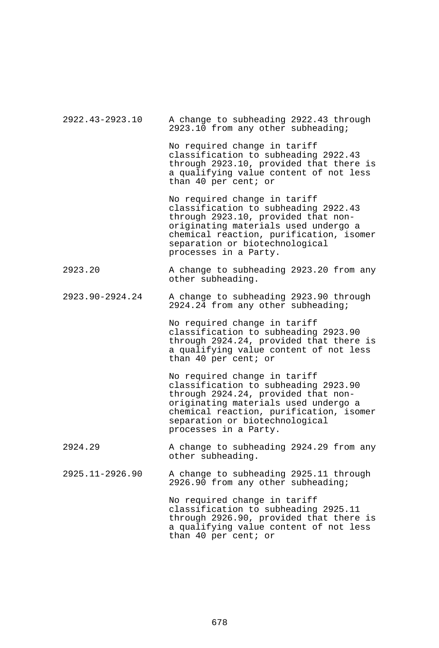| 2922.43-2923.10 | A change to subheading 2922.43 through<br>2923.10 from any other subheading;                                                                                                                                                                              |
|-----------------|-----------------------------------------------------------------------------------------------------------------------------------------------------------------------------------------------------------------------------------------------------------|
|                 | No required change in tariff<br>classification to subheading 2922.43<br>through 2923.10, provided that there is<br>a qualifying value content of not less<br>than 40 per cent; or                                                                         |
|                 | No required change in tariff<br>classification to subheading 2922.43<br>through 2923.10, provided that non-<br>originating materials used undergo a<br>chemical reaction, purification, isomer<br>separation or biotechnological<br>processes in a Party. |
| 2923.20         | A change to subheading 2923.20 from any<br>other subheading.                                                                                                                                                                                              |
| 2923.90-2924.24 | A change to subheading 2923.90 through<br>2924.24 from any other subheading;                                                                                                                                                                              |
|                 | No required change in tariff<br>classification to subheading 2923.90<br>through 2924.24, provided that there is<br>a qualifying value content of not less<br>than 40 per cent; or                                                                         |
|                 | No required change in tariff<br>classification to subheading 2923.90<br>through 2924.24, provided that non-<br>originating materials used undergo a<br>chemical reaction, purification, isomer<br>separation or biotechnological<br>processes in a Party. |
| 2924.29         | A change to subheading 2924.29 from any<br>other subheading.                                                                                                                                                                                              |
| 2925.11-2926.90 | A change to subheading 2925.11 through<br>2926.90 from any other subheading;                                                                                                                                                                              |
|                 | No required change in tariff<br>classification to subheading 2925.11<br>through 2926.90, provided that there is<br>a qualifying value content of not less<br>than 40 per cent; or                                                                         |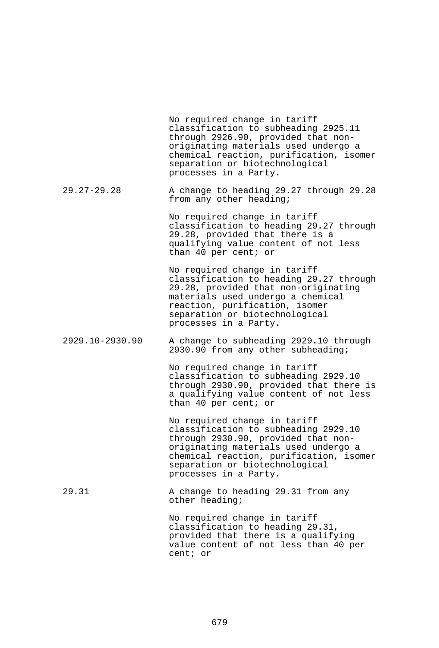|                 | No required change in tariff<br>classification to subheading 2925.11<br>through 2926.90, provided that non-<br>originating materials used undergo a<br>chemical reaction, purification, isomer<br>separation or biotechnological<br>processes in a Party. |
|-----------------|-----------------------------------------------------------------------------------------------------------------------------------------------------------------------------------------------------------------------------------------------------------|
| $29.27 - 29.28$ | A change to heading 29.27 through 29.28<br>from any other heading;                                                                                                                                                                                        |
|                 | No required change in tariff<br>classification to heading 29.27 through<br>29.28, provided that there is a<br>qualifying value content of not less<br>than 40 per cent; or                                                                                |
|                 | No required change in tariff<br>classification to heading 29.27 through<br>29.28, provided that non-originating<br>materials used undergo a chemical<br>reaction, purification, isomer<br>separation or biotechnological<br>processes in a Party.         |
| 2929.10-2930.90 | A change to subheading 2929.10 through<br>2930.90 from any other subheading;                                                                                                                                                                              |
|                 | No required change in tariff<br>classification to subheading 2929.10<br>through 2930.90, provided that there is<br>a qualifying value content of not less<br>than 40 per cent; or                                                                         |
|                 | No required change in tariff<br>classification to subheading 2929.10<br>through 2930.90, provided that non-<br>originating materials used undergo a<br>chemical reaction, purification, isomer<br>separation or biotechnological<br>processes in a Party. |
| 29.31           | A change to heading 29.31 from any<br>other heading;                                                                                                                                                                                                      |
|                 | No required change in tariff<br>classification to heading 29.31,<br>provided that there is a qualifying<br>value content of not less than 40 per<br>cent; or                                                                                              |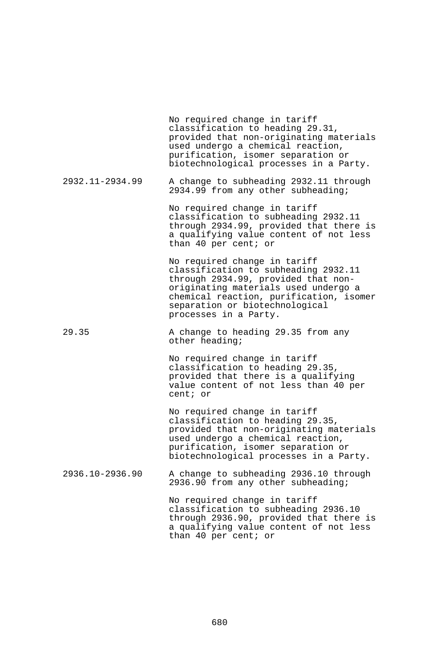|                 | No required change in tariff<br>classification to heading 29.31,<br>provided that non-originating materials<br>used undergo a chemical reaction,<br>purification, isomer separation or<br>biotechnological processes in a Party.                          |
|-----------------|-----------------------------------------------------------------------------------------------------------------------------------------------------------------------------------------------------------------------------------------------------------|
| 2932.11-2934.99 | A change to subheading 2932.11 through<br>2934.99 from any other subheading;                                                                                                                                                                              |
|                 | No required change in tariff<br>classification to subheading 2932.11<br>through 2934.99, provided that there is<br>a qualifying value content of not less<br>than 40 per cent; or                                                                         |
|                 | No required change in tariff<br>classification to subheading 2932.11<br>through 2934.99, provided that non-<br>originating materials used undergo a<br>chemical reaction, purification, isomer<br>separation or biotechnological<br>processes in a Party. |
| 29.35           | A change to heading 29.35 from any<br>other heading;                                                                                                                                                                                                      |
|                 | No required change in tariff<br>classification to heading 29.35,<br>provided that there is a qualifying<br>value content of not less than 40 per<br>cent; or                                                                                              |
|                 | No required change in tariff<br>classification to heading 29.35,<br>provided that non-originating materials<br>used undergo a chemical reaction,<br>purification, isomer separation or<br>biotechnological processes in a Party.                          |
| 2936.10-2936.90 | A change to subheading 2936.10 through<br>2936.90 from any other subheading;                                                                                                                                                                              |
|                 | No required change in tariff<br>classification to subheading 2936.10<br>through 2936.90, provided that there is<br>a qualifying value content of not less<br>than 40 per cent; or                                                                         |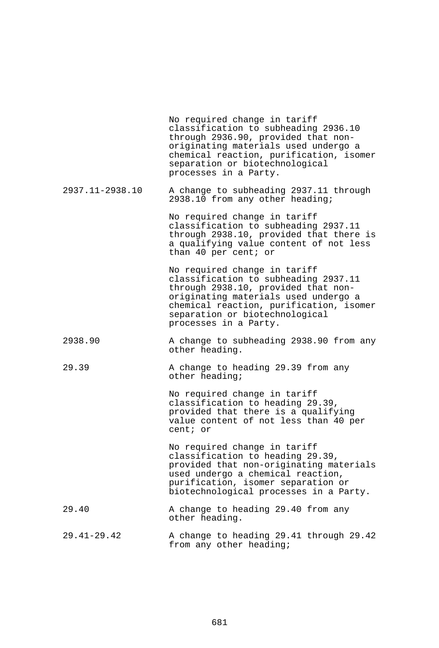|                 | No required change in tariff<br>classification to subheading 2936.10<br>through 2936.90, provided that non-<br>originating materials used undergo a<br>chemical reaction, purification, isomer<br>separation or biotechnological<br>processes in a Party. |
|-----------------|-----------------------------------------------------------------------------------------------------------------------------------------------------------------------------------------------------------------------------------------------------------|
| 2937.11-2938.10 | A change to subheading 2937.11 through<br>2938.10 from any other heading;                                                                                                                                                                                 |
|                 | No required change in tariff<br>classification to subheading 2937.11<br>through 2938.10, provided that there is<br>a qualifying value content of not less<br>than 40 per cent; or                                                                         |
|                 | No required change in tariff<br>classification to subheading 2937.11<br>through 2938.10, provided that non-<br>originating materials used undergo a<br>chemical reaction, purification, isomer<br>separation or biotechnological<br>processes in a Party. |
| 2938.90         | A change to subheading 2938.90 from any<br>other heading.                                                                                                                                                                                                 |
| 29.39           | A change to heading 29.39 from any<br>other heading;                                                                                                                                                                                                      |
|                 | No required change in tariff<br>classification to heading 29.39,<br>provided that there is a qualifying<br>value content of not less than 40 per<br>cent; or                                                                                              |
|                 | No required change in tariff<br>classification to heading 29.39,<br>provided that non-originating materials<br>used undergo a chemical reaction,<br>purification, isomer separation or<br>biotechnological processes in a Party.                          |
| 29.40           | A change to heading 29.40 from any<br>other heading.                                                                                                                                                                                                      |
| $29.41 - 29.42$ | A change to heading 29.41 through 29.42<br>from any other heading;                                                                                                                                                                                        |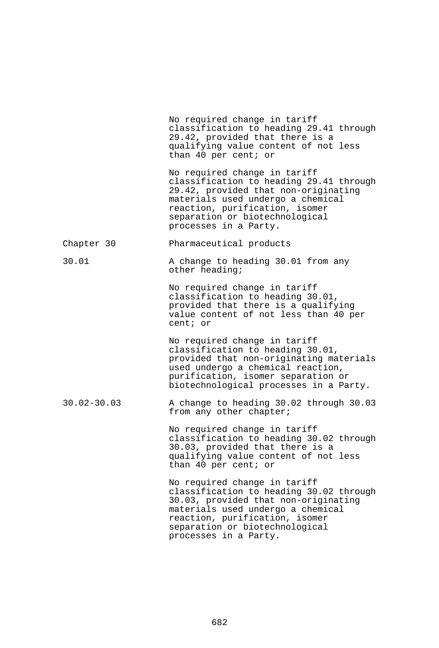|                 | No required change in tariff<br>classification to heading 29.41 through<br>29.42, provided that there is a<br>qualifying value content of not less<br>than 40 per cent; or                                                                        |
|-----------------|---------------------------------------------------------------------------------------------------------------------------------------------------------------------------------------------------------------------------------------------------|
|                 | No required change in tariff<br>classification to heading 29.41 through<br>29.42, provided that non-originating<br>materials used undergo a chemical<br>reaction, purification, isomer<br>separation or biotechnological<br>processes in a Party. |
| Chapter 30      | Pharmaceutical products                                                                                                                                                                                                                           |
| 30.01           | A change to heading 30.01 from any<br>other heading;                                                                                                                                                                                              |
|                 | No required change in tariff<br>classification to heading 30.01,<br>provided that there is a qualifying<br>value content of not less than 40 per<br>cent; or                                                                                      |
|                 | No required change in tariff<br>classification to heading 30.01,<br>provided that non-originating materials<br>used undergo a chemical reaction,<br>purification, isomer separation or<br>biotechnological processes in a Party.                  |
| $30.02 - 30.03$ | A change to heading 30.02 through 30.03<br>from any other chapter;                                                                                                                                                                                |
|                 | No required change in tariff<br>classification to heading 30.02 through<br>30.03, provided that there is a<br>qualifying value content of not less<br>than 40 per cent; or                                                                        |
|                 | No required change in tariff<br>classification to heading 30.02 through<br>30.03, provided that non-originating<br>materials used undergo a chemical<br>reaction, purification, isomer<br>separation or biotechnological<br>processes in a Party. |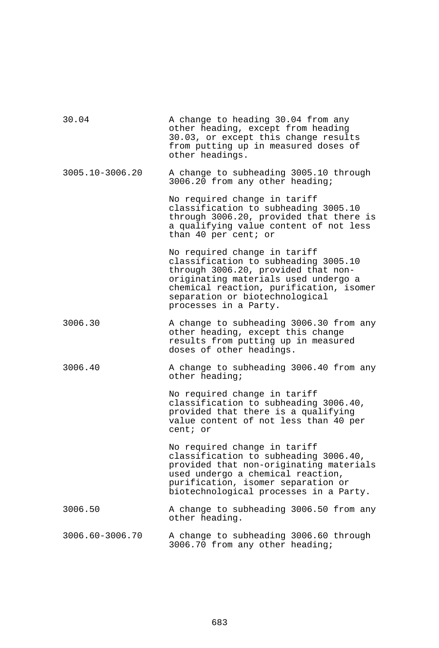| 30.04           | A change to heading 30.04 from any<br>other heading, except from heading<br>30.03, or except this change results<br>from putting up in measured doses of<br>other headings.                                                                               |
|-----------------|-----------------------------------------------------------------------------------------------------------------------------------------------------------------------------------------------------------------------------------------------------------|
| 3005.10-3006.20 | A change to subheading 3005.10 through<br>3006.20 from any other heading;                                                                                                                                                                                 |
|                 | No required change in tariff<br>classification to subheading 3005.10<br>through 3006.20, provided that there is<br>a qualifying value content of not less<br>than 40 per cent; or                                                                         |
|                 | No required change in tariff<br>classification to subheading 3005.10<br>through 3006.20, provided that non-<br>originating materials used undergo a<br>chemical reaction, purification, isomer<br>separation or biotechnological<br>processes in a Party. |
| 3006.30         | A change to subheading 3006.30 from any<br>other heading, except this change<br>results from putting up in measured<br>doses of other headings.                                                                                                           |
| 3006.40         | A change to subheading 3006.40 from any<br>other heading;                                                                                                                                                                                                 |
|                 | No required change in tariff<br>classification to subheading 3006.40,<br>provided that there is a qualifying<br>value content of not less than 40 per<br>cent; or                                                                                         |
|                 | No required change in tariff<br>classification to subheading 3006.40,<br>provided that non-originating materials<br>used undergo a chemical reaction,<br>purification, isomer separation or<br>biotechnological processes in a Party.                     |
| 3006.50         | A change to subheading 3006.50 from any<br>other heading.                                                                                                                                                                                                 |
| 3006.60-3006.70 | A change to subheading 3006.60 through<br>3006.70 from any other heading;                                                                                                                                                                                 |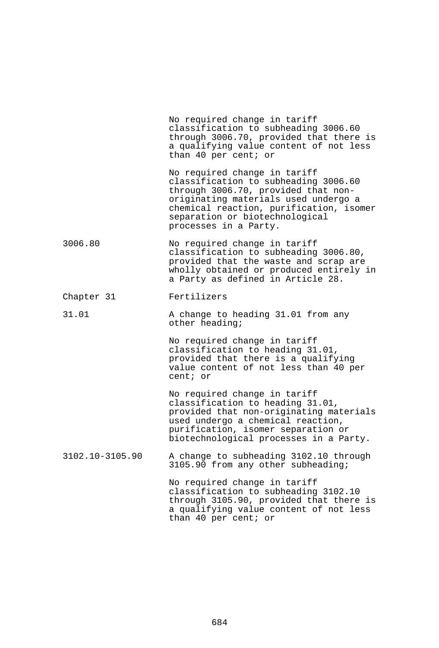|                 | No required change in tariff<br>classification to subheading 3006.60<br>through 3006.70, provided that there is<br>a qualifying value content of not less<br>than 40 per cent; or                                                                         |
|-----------------|-----------------------------------------------------------------------------------------------------------------------------------------------------------------------------------------------------------------------------------------------------------|
|                 | No required change in tariff<br>classification to subheading 3006.60<br>through 3006.70, provided that non-<br>originating materials used undergo a<br>chemical reaction, purification, isomer<br>separation or biotechnological<br>processes in a Party. |
| 3006.80         | No required change in tariff<br>classification to subheading 3006.80,<br>provided that the waste and scrap are<br>wholly obtained or produced entirely in<br>a Party as defined in Article 28.                                                            |
| Chapter 31      | Fertilizers                                                                                                                                                                                                                                               |
| 31.01           | A change to heading 31.01 from any<br>other heading;                                                                                                                                                                                                      |
|                 | No required change in tariff<br>classification to heading 31.01,<br>provided that there is a qualifying<br>value content of not less than 40 per<br>cent; or                                                                                              |
|                 | No required change in tariff<br>classification to heading 31.01,<br>provided that non-originating materials<br>used undergo a chemical reaction,<br>purification, isomer separation or<br>biotechnological processes in a Party.                          |
| 3102.10-3105.90 | A change to subheading 3102.10 through<br>3105.90 from any other subheading;                                                                                                                                                                              |
|                 | No required change in tariff<br>classification to subheading 3102.10<br>through 3105.90, provided that there is<br>a qualifying value content of not less<br>than 40 per cent; or                                                                         |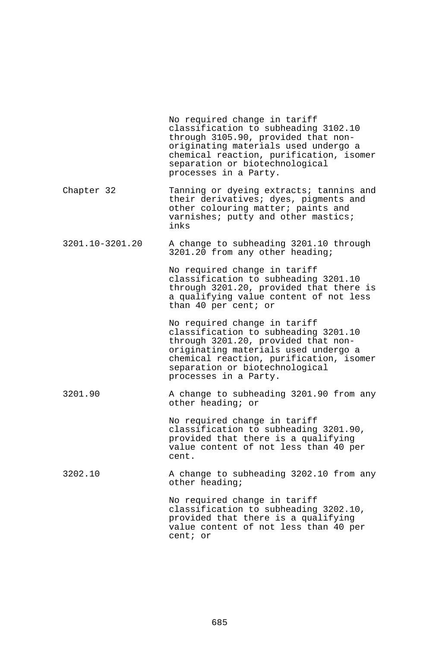|                 | No required change in tariff<br>classification to subheading 3102.10<br>through 3105.90, provided that non-<br>originating materials used undergo a<br>chemical reaction, purification, isomer<br>separation or biotechnological<br>processes in a Party. |
|-----------------|-----------------------------------------------------------------------------------------------------------------------------------------------------------------------------------------------------------------------------------------------------------|
| Chapter 32      | Tanning or dyeing extracts; tannins and<br>their derivatives; dyes, pigments and<br>other colouring matter; paints and<br>varnishes; putty and other mastics;<br>inks                                                                                     |
| 3201.10-3201.20 | A change to subheading 3201.10 through<br>3201.20 from any other heading;                                                                                                                                                                                 |
|                 | No required change in tariff<br>classification to subheading 3201.10<br>through 3201.20, provided that there is<br>a qualifying value content of not less<br>than 40 per cent; or                                                                         |
|                 | No required change in tariff<br>classification to subheading 3201.10<br>through 3201.20, provided that non-<br>originating materials used undergo a<br>chemical reaction, purification, isomer<br>separation or biotechnological<br>processes in a Party. |
| 3201.90         | A change to subheading 3201.90 from any<br>other heading; or                                                                                                                                                                                              |
|                 | No required change in tariff<br>classification to subheading 3201.90,<br>provided that there is a qualifying<br>value content of not less than 40 per<br>cent.                                                                                            |
| 3202.10         | A change to subheading 3202.10 from any<br>other heading;                                                                                                                                                                                                 |
|                 | No required change in tariff<br>classification to subheading 3202.10,<br>provided that there is a qualifying<br>value content of not less than 40 per<br>cent; or                                                                                         |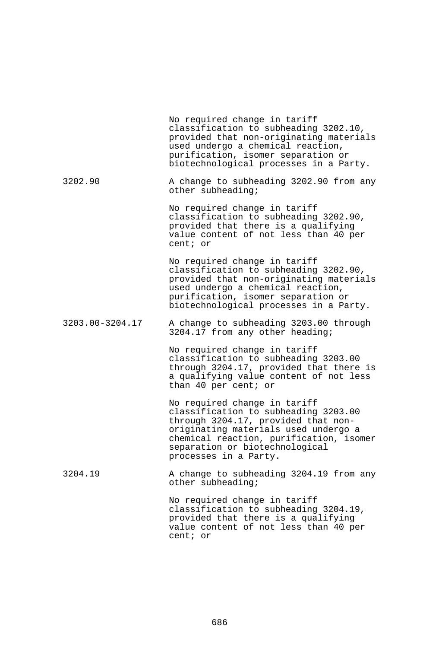|                 | No required change in tariff<br>classification to subheading 3202.10,<br>provided that non-originating materials<br>used undergo a chemical reaction,<br>purification, isomer separation or<br>biotechnological processes in a Party.                     |
|-----------------|-----------------------------------------------------------------------------------------------------------------------------------------------------------------------------------------------------------------------------------------------------------|
| 3202.90         | A change to subheading 3202.90 from any<br>other subheading;                                                                                                                                                                                              |
|                 | No required change in tariff<br>classification to subheading 3202.90,<br>provided that there is a qualifying<br>value content of not less than 40 per<br>cent; or                                                                                         |
|                 | No required change in tariff<br>classification to subheading 3202.90,<br>provided that non-originating materials<br>used undergo a chemical reaction,<br>purification, isomer separation or<br>biotechnological processes in a Party.                     |
| 3203.00-3204.17 | A change to subheading 3203.00 through<br>3204.17 from any other heading;                                                                                                                                                                                 |
|                 | No required change in tariff<br>classification to subheading 3203.00<br>through 3204.17, provided that there is<br>a qualifying value content of not less<br>than 40 per cent; or                                                                         |
|                 | No required change in tariff<br>classification to subheading 3203.00<br>through 3204.17, provided that non-<br>originating materials used undergo a<br>chemical reaction, purification, isomer<br>separation or biotechnological<br>processes in a Party. |
| 3204.19         | A change to subheading 3204.19 from any<br>other subheading;                                                                                                                                                                                              |
|                 | No required change in tariff<br>classification to subheading 3204.19,<br>provided that there is a qualifying<br>value content of not less than 40 per<br>cent; or                                                                                         |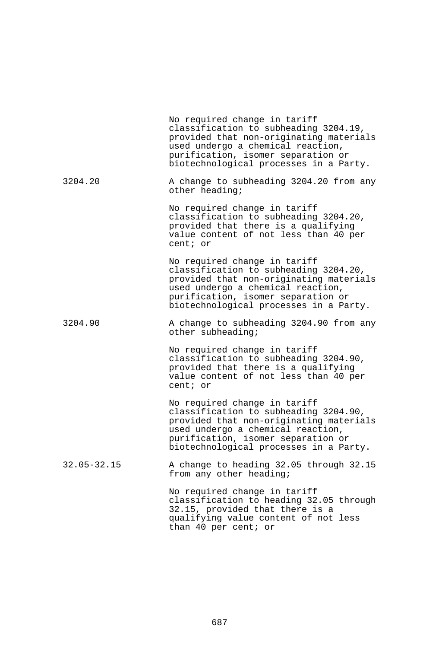|                 | No required change in tariff<br>classification to subheading 3204.19,<br>provided that non-originating materials<br>used undergo a chemical reaction,<br>purification, isomer separation or<br>biotechnological processes in a Party. |
|-----------------|---------------------------------------------------------------------------------------------------------------------------------------------------------------------------------------------------------------------------------------|
| 3204.20         | A change to subheading 3204.20 from any<br>other heading;                                                                                                                                                                             |
|                 | No required change in tariff<br>classification to subheading 3204.20,<br>provided that there is a qualifying<br>value content of not less than 40 per<br>cent; or                                                                     |
|                 | No required change in tariff<br>classification to subheading 3204.20,<br>provided that non-originating materials<br>used undergo a chemical reaction,<br>purification, isomer separation or<br>biotechnological processes in a Party. |
| 3204.90         | A change to subheading 3204.90 from any<br>other subheading;                                                                                                                                                                          |
|                 | No required change in tariff<br>classification to subheading 3204.90,<br>provided that there is a qualifying<br>value content of not less than 40 per<br>cent; or                                                                     |
|                 | No required change in tariff<br>classification to subheading 3204.90,<br>provided that non-originating materials<br>used undergo a chemical reaction,<br>purification, isomer separation or<br>biotechnological processes in a Party. |
| $32.05 - 32.15$ | A change to heading 32.05 through 32.15<br>from any other heading;                                                                                                                                                                    |
|                 | No required change in tariff<br>classification to heading 32.05 through<br>32.15, provided that there is a<br>qualifying value content of not less<br>than 40 per cent; or                                                            |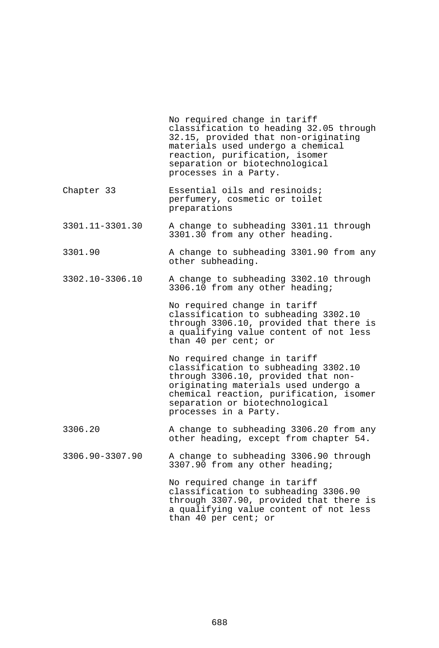|                 | No required change in tariff<br>classification to heading 32.05 through<br>32.15, provided that non-originating<br>materials used undergo a chemical<br>reaction, purification, isomer<br>separation or biotechnological<br>processes in a Party.         |
|-----------------|-----------------------------------------------------------------------------------------------------------------------------------------------------------------------------------------------------------------------------------------------------------|
| Chapter 33      | Essential oils and resinoids;<br>perfumery, cosmetic or toilet<br>preparations                                                                                                                                                                            |
| 3301.11-3301.30 | A change to subheading 3301.11 through<br>3301.30 from any other heading.                                                                                                                                                                                 |
| 3301.90         | A change to subheading 3301.90 from any<br>other subheading.                                                                                                                                                                                              |
| 3302.10-3306.10 | A change to subheading 3302.10 through<br>3306.10 from any other heading;                                                                                                                                                                                 |
|                 | No required change in tariff<br>classification to subheading 3302.10<br>through 3306.10, provided that there is<br>a qualifying value content of not less<br>than 40 per cent; or                                                                         |
|                 | No required change in tariff<br>classification to subheading 3302.10<br>through 3306.10, provided that non-<br>originating materials used undergo a<br>chemical reaction, purification, isomer<br>separation or biotechnological<br>processes in a Party. |
| 3306.20         | A change to subheading 3306.20 from any<br>other heading, except from chapter 54.                                                                                                                                                                         |
| 3306.90-3307.90 | A change to subheading 3306.90 through<br>3307.90 from any other heading;                                                                                                                                                                                 |
|                 | No required change in tariff<br>classification to subheading 3306.90<br>through 3307.90, provided that there is<br>a qualifying value content of not less                                                                                                 |

than 40 per cent; or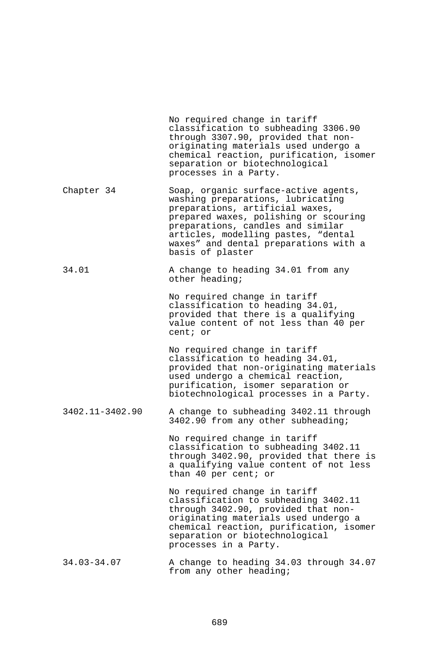|                 | No required change in tariff<br>classification to subheading 3306.90<br>through 3307.90, provided that non-<br>originating materials used undergo a<br>chemical reaction, purification, isomer<br>separation or biotechnological<br>processes in a Party.                                      |
|-----------------|------------------------------------------------------------------------------------------------------------------------------------------------------------------------------------------------------------------------------------------------------------------------------------------------|
| Chapter 34      | Soap, organic surface-active agents,<br>washing preparations, lubricating<br>preparations, artificial waxes,<br>prepared waxes, polishing or scouring<br>preparations, candles and similar<br>articles, modelling pastes, "dental<br>waxes" and dental preparations with a<br>basis of plaster |
| 34.01           | A change to heading 34.01 from any<br>other heading;                                                                                                                                                                                                                                           |
|                 | No required change in tariff<br>classification to heading 34.01,<br>provided that there is a qualifying<br>value content of not less than 40 per<br>cent; or                                                                                                                                   |
|                 | No required change in tariff<br>classification to heading 34.01,<br>provided that non-originating materials<br>used undergo a chemical reaction,<br>purification, isomer separation or<br>biotechnological processes in a Party.                                                               |
| 3402.11-3402.90 | A change to subheading 3402.11 through<br>3402.90 from any other subheading;                                                                                                                                                                                                                   |
|                 | No required change in tariff<br>classification to subheading 3402.11<br>through 3402.90, provided that there is<br>a qualifying value content of not less<br>than 40 per cent; or                                                                                                              |
|                 | No required change in tariff<br>classification to subheading 3402.11<br>through 3402.90, provided that non-<br>originating materials used undergo a<br>chemical reaction, purification, isomer<br>separation or biotechnological<br>processes in a Party.                                      |
| $34.03 - 34.07$ | A change to heading 34.03 through 34.07<br>from any other heading;                                                                                                                                                                                                                             |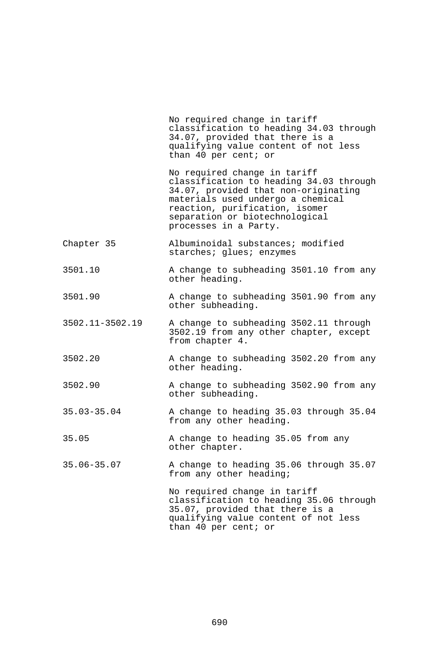No required change in tariff classification to heading 34.03 through 34.07, provided that there is a qualifying value content of not less than 40 per cent; or No required change in tariff classification to heading 34.03 through 34.07, provided that non-originating materials used undergo a chemical reaction, purification, isomer separation or biotechnological processes in a Party. Chapter 35 Albuminoidal substances; modified starches; qlues; enzymes 3501.10 A change to subheading 3501.10 from any other heading. 3501.90 A change to subheading 3501.90 from any other subheading. 3502.11-3502.19 A change to subheading 3502.11 through 3502.19 from any other chapter, except from chapter 4. 3502.20 A change to subheading 3502.20 from any other heading. 3502.90 A change to subheading 3502.90 from any other subheading. 35.03-35.04 A change to heading 35.03 through 35.04 from any other heading. 35.05 A change to heading 35.05 from any other chapter. 35.06-35.07 A change to heading 35.06 through 35.07 from any other heading; No required change in tariff classification to heading 35.06 through 35.07, provided that there is a qualifying value content of not less than 40 per cent; or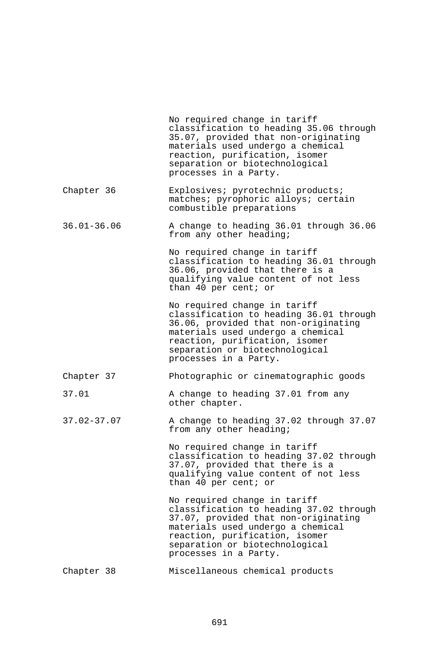|                 | No required change in tariff<br>classification to heading 35.06 through<br>35.07, provided that non-originating<br>materials used undergo a chemical<br>reaction, purification, isomer<br>separation or biotechnological<br>processes in a Party. |
|-----------------|---------------------------------------------------------------------------------------------------------------------------------------------------------------------------------------------------------------------------------------------------|
| Chapter 36      | Explosives; pyrotechnic products;<br>matches; pyrophoric alloys; certain<br>combustible preparations                                                                                                                                              |
| $36.01 - 36.06$ | A change to heading 36.01 through 36.06<br>from any other heading;                                                                                                                                                                                |
|                 | No required change in tariff<br>classification to heading 36.01 through<br>36.06, provided that there is a<br>qualifying value content of not less<br>than 40 per cent; or                                                                        |
|                 | No required change in tariff<br>classification to heading 36.01 through<br>36.06, provided that non-originating<br>materials used undergo a chemical<br>reaction, purification, isomer<br>separation or biotechnological<br>processes in a Party. |
| Chapter 37      | Photographic or cinematographic goods                                                                                                                                                                                                             |
| 37.01           | A change to heading 37.01 from any<br>other chapter.                                                                                                                                                                                              |
| $37.02 - 37.07$ | A change to heading 37.02 through 37.07<br>from any other heading;                                                                                                                                                                                |
|                 | No required change in tariff<br>classification to heading 37.02 through<br>37.07, provided that there is a<br>qualifying value content of not less<br>than 40 per cent; or                                                                        |
|                 | No required change in tariff<br>classification to heading 37.02 through<br>37.07, provided that non-originating<br>materials used undergo a chemical<br>reaction, purification, isomer<br>separation or biotechnological<br>processes in a Party. |
| Chapter 38      | Miscellaneous chemical products                                                                                                                                                                                                                   |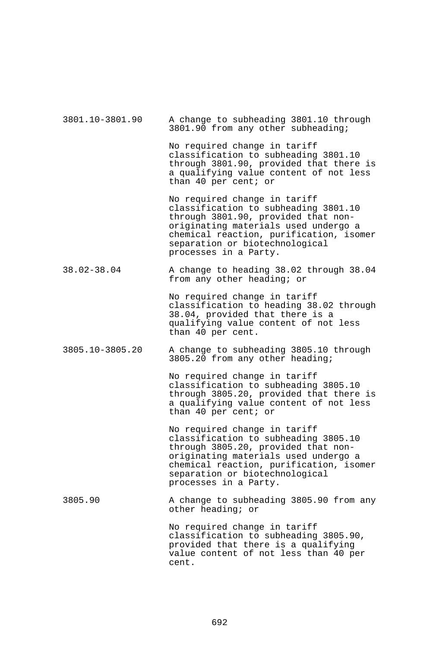| 3801.10-3801.90 | A change to subheading 3801.10 through<br>3801.90 from any other subheading;                                                                                                                                                                              |
|-----------------|-----------------------------------------------------------------------------------------------------------------------------------------------------------------------------------------------------------------------------------------------------------|
|                 | No required change in tariff<br>classification to subheading 3801.10<br>through 3801.90, provided that there is<br>a qualifying value content of not less<br>than 40 per cent; or                                                                         |
|                 | No required change in tariff<br>classification to subheading 3801.10<br>through 3801.90, provided that non-<br>originating materials used undergo a<br>chemical reaction, purification, isomer<br>separation or biotechnological<br>processes in a Party. |
| 38.02-38.04     | A change to heading 38.02 through 38.04<br>from any other heading; or                                                                                                                                                                                     |
|                 | No required change in tariff<br>classification to heading 38.02 through<br>38.04, provided that there is a<br>qualifying value content of not less<br>than 40 per cent.                                                                                   |
| 3805.10-3805.20 | A change to subheading 3805.10 through<br>3805.20 from any other heading;                                                                                                                                                                                 |
|                 | No required change in tariff<br>classification to subheading 3805.10<br>through 3805.20, provided that there is<br>a qualifying value content of not less<br>than 40 per cent; or                                                                         |
|                 | No required change in tariff<br>classification to subheading 3805.10<br>through 3805.20, provided that non-<br>originating materials used undergo a<br>chemical reaction, purification, isomer<br>separation or biotechnological<br>processes in a Party. |
| 3805.90         | A change to subheading 3805.90 from any<br>other heading; or                                                                                                                                                                                              |
|                 | No required change in tariff<br>classification to subheading 3805.90,<br>provided that there is a qualifying<br>value content of not less than 40 per<br>cent.                                                                                            |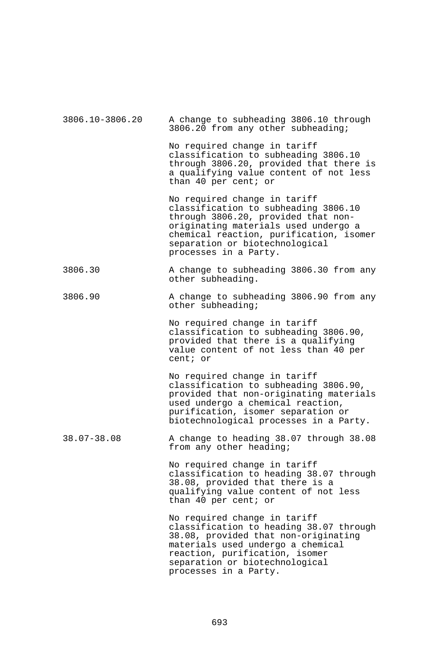| 3806.10-3806.20 | A change to subheading 3806.10 through<br>3806.20 from any other subheading;                                                                                                                                                                              |
|-----------------|-----------------------------------------------------------------------------------------------------------------------------------------------------------------------------------------------------------------------------------------------------------|
|                 | No required change in tariff<br>classification to subheading 3806.10<br>through 3806.20, provided that there is<br>a qualifying value content of not less<br>than 40 per cent; or                                                                         |
|                 | No required change in tariff<br>classification to subheading 3806.10<br>through 3806.20, provided that non-<br>originating materials used undergo a<br>chemical reaction, purification, isomer<br>separation or biotechnological<br>processes in a Party. |
| 3806.30         | A change to subheading 3806.30 from any<br>other subheading.                                                                                                                                                                                              |
| 3806.90         | A change to subheading 3806.90 from any<br>other subheading;                                                                                                                                                                                              |
|                 | No required change in tariff<br>classification to subheading 3806.90,<br>provided that there is a qualifying<br>value content of not less than 40 per<br>cent; or                                                                                         |
|                 | No required change in tariff<br>classification to subheading 3806.90,<br>provided that non-originating materials<br>used undergo a chemical reaction,<br>purification, isomer separation or<br>biotechnological processes in a Party.                     |
| $38.07 - 38.08$ | A change to heading 38.07 through 38.08<br>from any other heading;                                                                                                                                                                                        |
|                 | No required change in tariff<br>classification to heading 38.07 through<br>38.08, provided that there is a<br>qualifying value content of not less<br>than 40 per cent; or                                                                                |
|                 | No required change in tariff<br>classification to heading 38.07 through<br>38.08, provided that non-originating<br>materials used undergo a chemical<br>reaction, purification, isomer<br>separation or biotechnological<br>processes in a Party.         |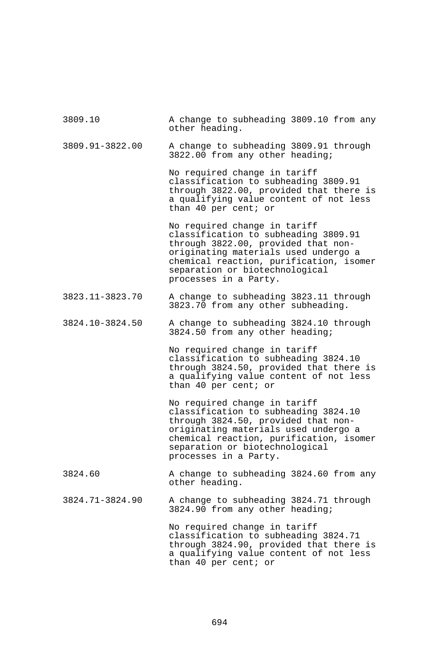| 3809.10         | A change to subheading 3809.10 from any<br>other heading.                                                                                                                                                                                                 |
|-----------------|-----------------------------------------------------------------------------------------------------------------------------------------------------------------------------------------------------------------------------------------------------------|
| 3809.91-3822.00 | A change to subheading 3809.91 through<br>3822.00 from any other heading;                                                                                                                                                                                 |
|                 | No required change in tariff<br>classification to subheading 3809.91<br>through 3822.00, provided that there is<br>a qualifying value content of not less<br>than 40 per cent; or                                                                         |
|                 | No required change in tariff<br>classification to subheading 3809.91<br>through 3822.00, provided that non-<br>originating materials used undergo a<br>chemical reaction, purification, isomer<br>separation or biotechnological<br>processes in a Party. |
| 3823.11-3823.70 | A change to subheading 3823.11 through<br>3823.70 from any other subheading.                                                                                                                                                                              |
| 3824.10-3824.50 | A change to subheading 3824.10 through<br>3824.50 from any other heading;                                                                                                                                                                                 |
|                 | No required change in tariff<br>classification to subheading 3824.10<br>through 3824.50, provided that there is<br>a qualifying value content of not less<br>than 40 per cent; or                                                                         |
|                 | No required change in tariff<br>classification to subheading 3824.10<br>through 3824.50, provided that non-<br>originating materials used undergo a<br>chemical reaction, purification, isomer<br>separation or biotechnological<br>processes in a Party. |
| 3824.60         | A change to subheading 3824.60 from any<br>other heading.                                                                                                                                                                                                 |
| 3824.71-3824.90 | A change to subheading 3824.71 through<br>3824.90 from any other heading;                                                                                                                                                                                 |
|                 | No required change in tariff<br>classification to subheading 3824.71<br>through 3824.90, provided that there is<br>a qualifying value content of not less<br>than 40 per cent; or                                                                         |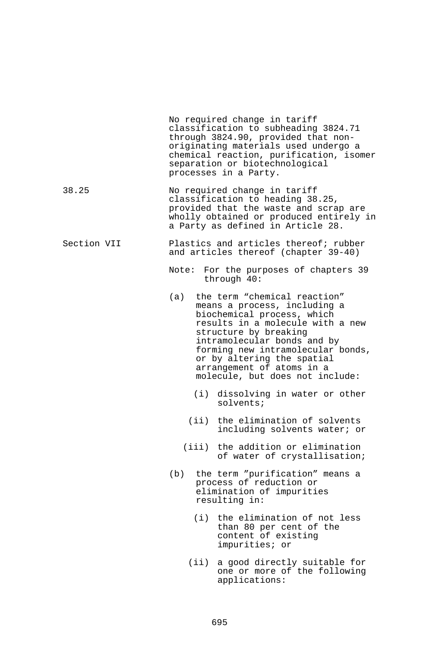|             |       | No required change in tariff<br>classification to subheading 3824.71<br>through 3824.90, provided that non-<br>originating materials used undergo a<br>chemical reaction, purification, isomer<br>separation or biotechnological<br>processes in a Party.                                                                     |
|-------------|-------|-------------------------------------------------------------------------------------------------------------------------------------------------------------------------------------------------------------------------------------------------------------------------------------------------------------------------------|
| 38.25       |       | No required change in tariff<br>classification to heading 38.25,<br>provided that the waste and scrap are<br>wholly obtained or produced entirely in<br>a Party as defined in Article 28.                                                                                                                                     |
| Section VII |       | Plastics and articles thereof; rubber<br>and articles thereof (chapter 39-40)                                                                                                                                                                                                                                                 |
|             |       | Note: For the purposes of chapters 39<br>through 40:                                                                                                                                                                                                                                                                          |
|             |       | (a) the term "chemical reaction"<br>means a process, including a<br>biochemical process, which<br>results in a molecule with a new<br>structure by breaking<br>intramolecular bonds and by<br>forming new intramolecular bonds,<br>or by altering the spatial<br>arrangement of atoms in a<br>molecule, but does not include: |
|             |       | (i) dissolving in water or other<br>$solvents$ ;                                                                                                                                                                                                                                                                              |
|             |       | (ii) the elimination of solvents<br>including solvents water; or                                                                                                                                                                                                                                                              |
|             |       | (iii) the addition or elimination<br>of water of crystallisation;                                                                                                                                                                                                                                                             |
|             | (b)   | the term "purification" means a<br>process of reduction or<br>elimination of impurities<br>resulting in:                                                                                                                                                                                                                      |
|             |       | (i) the elimination of not less<br>than 80 per cent of the<br>content of existing<br>impurities; or                                                                                                                                                                                                                           |
|             | (iii) | a good directly suitable for<br>one or more of the following<br>applications:                                                                                                                                                                                                                                                 |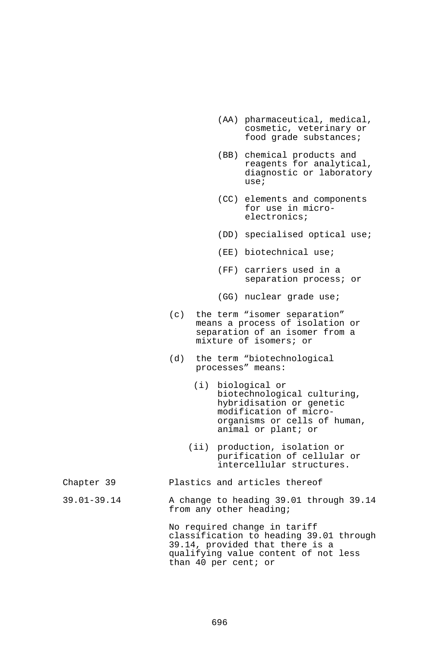- (AA) pharmaceutical, medical, cosmetic, veterinary or food grade substances;
- (BB) chemical products and reagents for analytical, diagnostic or laboratory use;
- (CC) elements and components for use in microelectronics;
- (DD) specialised optical use;
- (EE) biotechnical use;
- (FF) carriers used in a separation process; or
- (GG) nuclear grade use;
- (c) the term "isomer separation" means a process of isolation or separation of an isomer from a mixture of isomers; or
- (d) the term "biotechnological processes" means:
	- (i) biological or biotechnological culturing, hybridisation or genetic modification of microorganisms or cells of human, animal or plant; or
	- (ii) production, isolation or purification of cellular or intercellular structures.

## Chapter 39 Plastics and articles thereof

39.01-39.14 A change to heading 39.01 through 39.14 from any other heading;

> No required change in tariff classification to heading 39.01 through 39.14, provided that there is a qualifying value content of not less than 40 per cent; or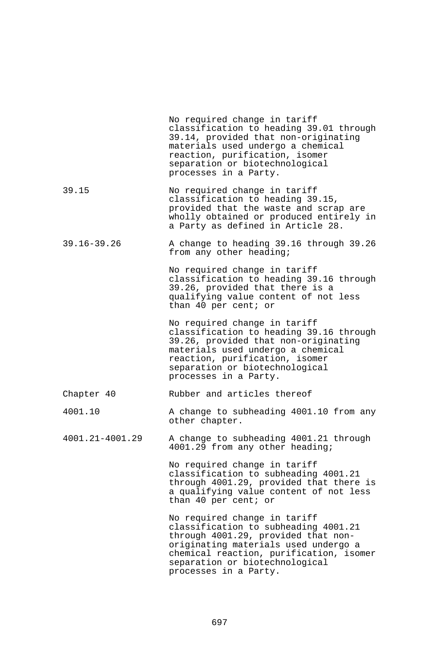|                 | No required change in tariff<br>classification to heading 39.01 through<br>39.14, provided that non-originating<br>materials used undergo a chemical<br>reaction, purification, isomer<br>separation or biotechnological<br>processes in a Party.         |
|-----------------|-----------------------------------------------------------------------------------------------------------------------------------------------------------------------------------------------------------------------------------------------------------|
| 39.15           | No required change in tariff<br>classification to heading 39.15,<br>provided that the waste and scrap are<br>wholly obtained or produced entirely in<br>a Party as defined in Article 28.                                                                 |
| $39.16 - 39.26$ | A change to heading 39.16 through 39.26<br>from any other heading;                                                                                                                                                                                        |
|                 | No required change in tariff<br>classification to heading 39.16 through<br>39.26, provided that there is a<br>qualifying value content of not less<br>than 40 per cent; or                                                                                |
|                 | No required change in tariff<br>classification to heading 39.16 through<br>39.26, provided that non-originating<br>materials used undergo a chemical<br>reaction, purification, isomer<br>separation or biotechnological<br>processes in a Party.         |
| Chapter 40      | Rubber and articles thereof                                                                                                                                                                                                                               |
| 4001.10         | A change to subheading 4001.10 from any<br>other chapter.                                                                                                                                                                                                 |
| 4001.21-4001.29 | A change to subheading 4001.21 through<br>4001.29 from any other heading;                                                                                                                                                                                 |
|                 | No required change in tariff<br>classification to subheading 4001.21<br>through 4001.29, provided that there is<br>a qualifying value content of not less<br>than 40 per cent; or                                                                         |
|                 | No required change in tariff<br>classification to subheading 4001.21<br>through 4001.29, provided that non-<br>originating materials used undergo a<br>chemical reaction, purification, isomer<br>separation or biotechnological<br>processes in a Party. |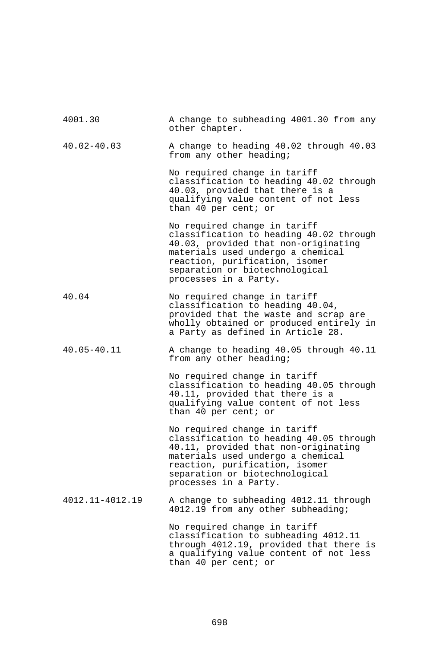| 4001.30         | A change to subheading 4001.30 from any<br>other chapter.                                                                                                                                                                                         |
|-----------------|---------------------------------------------------------------------------------------------------------------------------------------------------------------------------------------------------------------------------------------------------|
| $40.02 - 40.03$ | A change to heading 40.02 through 40.03<br>from any other heading;                                                                                                                                                                                |
|                 | No required change in tariff<br>classification to heading 40.02 through<br>40.03, provided that there is a<br>qualifying value content of not less<br>than 40 per cent; or                                                                        |
|                 | No required change in tariff<br>classification to heading 40.02 through<br>40.03, provided that non-originating<br>materials used undergo a chemical<br>reaction, purification, isomer<br>separation or biotechnological<br>processes in a Party. |
| 40.04           | No required change in tariff<br>classification to heading 40.04,<br>provided that the waste and scrap are<br>wholly obtained or produced entirely in<br>a Party as defined in Article 28.                                                         |
| $40.05 - 40.11$ | A change to heading 40.05 through 40.11<br>from any other heading;                                                                                                                                                                                |
|                 | No required change in tariff<br>classification to heading 40.05 through<br>40.11, provided that there is a<br>qualifying value content of not less<br>than 40 per cent; or                                                                        |
|                 | No required change in tariff<br>classification to heading 40.05 through<br>40.11, provided that non-originating<br>materials used undergo a chemical<br>reaction, purification, isomer<br>separation or biotechnological<br>processes in a Party. |
| 4012.11-4012.19 | A change to subheading 4012.11 through<br>4012.19 from any other subheading;                                                                                                                                                                      |
|                 | No required change in tariff<br>classification to subheading 4012.11<br>through 4012.19, provided that there is<br>a qualifying value content of not less<br>than 40 per cent; or                                                                 |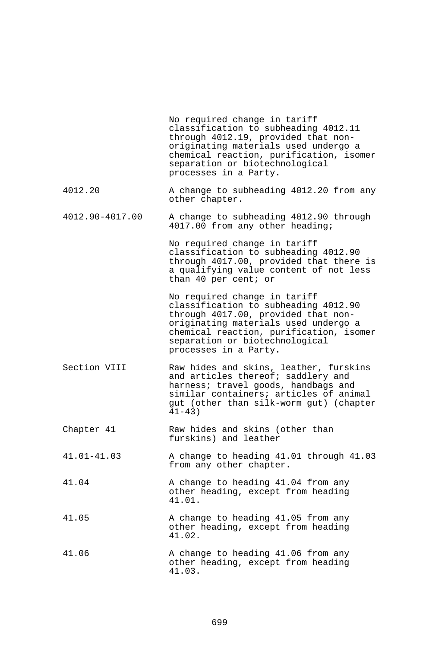|                 | No required change in tariff<br>classification to subheading 4012.11<br>through 4012.19, provided that non-<br>originating materials used undergo a<br>chemical reaction, purification, isomer<br>separation or biotechnological<br>processes in a Party. |
|-----------------|-----------------------------------------------------------------------------------------------------------------------------------------------------------------------------------------------------------------------------------------------------------|
| 4012.20         | A change to subheading 4012.20 from any<br>other chapter.                                                                                                                                                                                                 |
| 4012.90-4017.00 | A change to subheading 4012.90 through<br>4017.00 from any other heading;                                                                                                                                                                                 |
|                 | No required change in tariff<br>classification to subheading 4012.90<br>through 4017.00, provided that there is<br>a qualifying value content of not less<br>than 40 per cent; or                                                                         |
|                 | No required change in tariff<br>classification to subheading 4012.90<br>through 4017.00, provided that non-<br>originating materials used undergo a<br>chemical reaction, purification, isomer<br>separation or biotechnological<br>processes in a Party. |
| Section VIII    | Raw hides and skins, leather, furskins<br>and articles thereof; saddlery and<br>harness; travel goods, handbags and<br>similar containers; articles of animal<br>gut (other than silk-worm gut) (chapter<br>$41 - 43)$                                    |
| Chapter 41      | Raw hides and skins (other than<br>furskins) and leather                                                                                                                                                                                                  |
| $41.01 - 41.03$ | A change to heading 41.01 through 41.03<br>from any other chapter.                                                                                                                                                                                        |
| 41.04           | A change to heading 41.04 from any<br>other heading, except from heading<br>41.01.                                                                                                                                                                        |
| 41.05           | A change to heading 41.05 from any<br>other heading, except from heading<br>41.02.                                                                                                                                                                        |
| 41.06           | A change to heading 41.06 from any<br>other heading, except from heading<br>41.03.                                                                                                                                                                        |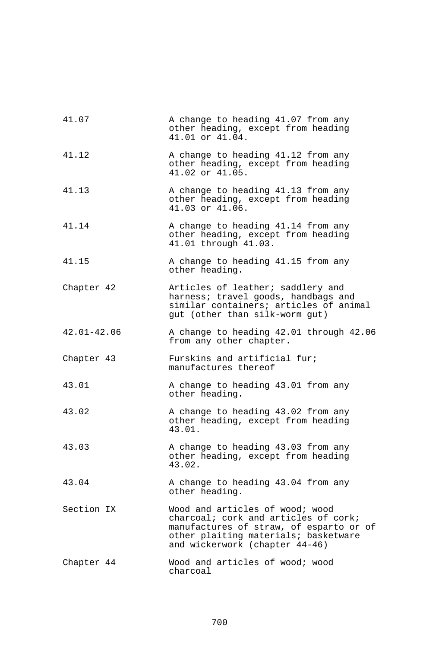| 41.07           | A change to heading 41.07 from any<br>other heading, except from heading<br>41.01 or 41.04.                                                                                                  |
|-----------------|----------------------------------------------------------------------------------------------------------------------------------------------------------------------------------------------|
| 41.12           | A change to heading 41.12 from any<br>other heading, except from heading<br>41.02 or 41.05.                                                                                                  |
| 41.13           | A change to heading 41.13 from any<br>other heading, except from heading<br>41.03 or 41.06.                                                                                                  |
| 41.14           | A change to heading 41.14 from any<br>other heading, except from heading<br>41.01 through 41.03.                                                                                             |
| 41.15           | A change to heading 41.15 from any<br>other heading.                                                                                                                                         |
| Chapter 42      | Articles of leather; saddlery and<br>harness; travel goods, handbags and<br>similar containers; articles of animal<br>gut (other than silk-worm gut)                                         |
| $42.01 - 42.06$ | A change to heading 42.01 through 42.06<br>from any other chapter.                                                                                                                           |
| Chapter 43      | Furskins and artificial fur;<br>manufactures thereof                                                                                                                                         |
| 43.01           | A change to heading 43.01 from any<br>other heading.                                                                                                                                         |
| 43.02           | A change to heading 43.02 from any<br>other heading, except from heading<br>43.01.                                                                                                           |
| 43.03           | A change to heading 43.03 from any<br>other heading, except from heading<br>43.02.                                                                                                           |
| 43.04           | A change to heading 43.04 from any<br>other heading.                                                                                                                                         |
| Section IX      | Wood and articles of wood; wood<br>charcoal; cork and articles of cork;<br>manufactures of straw, of esparto or of<br>other plaiting materials; basketware<br>and wickerwork (chapter 44-46) |
| Chapter 44      | Wood and articles of wood; wood<br>charcoal                                                                                                                                                  |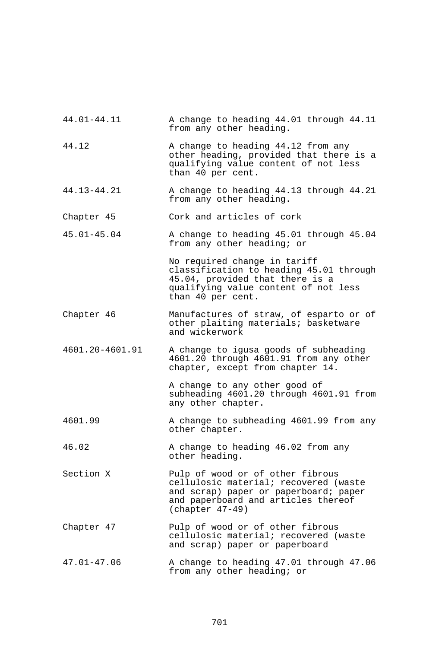| 44.01-44.11     | A change to heading 44.01 through 44.11<br>from any other heading.                                                                                                          |
|-----------------|-----------------------------------------------------------------------------------------------------------------------------------------------------------------------------|
| 44.12           | A change to heading 44.12 from any<br>other heading, provided that there is a<br>qualifying value content of not less<br>than 40 per cent.                                  |
| 44.13-44.21     | A change to heading 44.13 through 44.21<br>from any other heading.                                                                                                          |
| Chapter 45      | Cork and articles of cork                                                                                                                                                   |
| $45.01 - 45.04$ | A change to heading 45.01 through 45.04<br>from any other heading; or                                                                                                       |
|                 | No required change in tariff<br>classification to heading 45.01 through<br>45.04, provided that there is a<br>qualifying value content of not less<br>than 40 per cent.     |
| Chapter 46      | Manufactures of straw, of esparto or of<br>other plaiting materials; basketware<br>and wickerwork                                                                           |
| 4601.20-4601.91 | A change to igusa goods of subheading<br>4601.20 through 4601.91 from any other<br>chapter, except from chapter 14.                                                         |
|                 | A change to any other good of<br>subheading 4601.20 through 4601.91 from<br>any other chapter.                                                                              |
| 4601.99         | A change to subheading 4601.99 from any<br>other chapter.                                                                                                                   |
| 46.02           | A change to heading 46.02 from any<br>other heading.                                                                                                                        |
| Section X       | Pulp of wood or of other fibrous<br>cellulosic material; recovered (waste<br>and scrap) paper or paperboard; paper<br>and paperboard and articles thereof<br>$(char 47-49)$ |
| Chapter 47      | Pulp of wood or of other fibrous<br>cellulosic material; recovered (waste<br>and scrap) paper or paperboard                                                                 |
| $47.01 - 47.06$ | A change to heading 47.01 through 47.06<br>from any other heading; or                                                                                                       |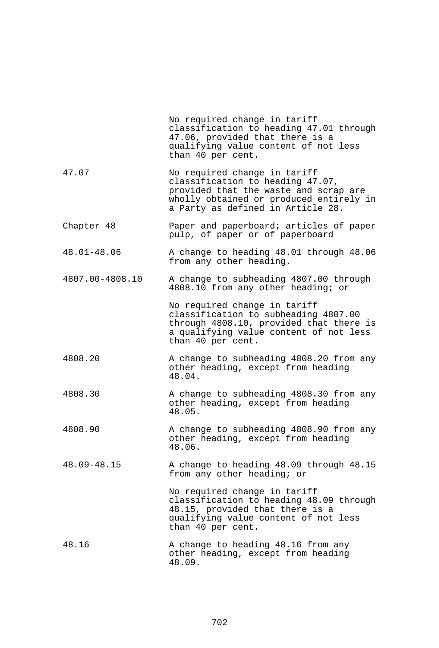|                 | No required change in tariff<br>classification to heading 47.01 through<br>47.06, provided that there is a<br>qualifying value content of not less<br>than 40 per cent.                   |
|-----------------|-------------------------------------------------------------------------------------------------------------------------------------------------------------------------------------------|
| 47.07           | No required change in tariff<br>classification to heading 47.07,<br>provided that the waste and scrap are<br>wholly obtained or produced entirely in<br>a Party as defined in Article 28. |
| Chapter 48      | Paper and paperboard; articles of paper<br>pulp, of paper or of paperboard                                                                                                                |
| 48.01-48.06     | A change to heading 48.01 through 48.06<br>from any other heading.                                                                                                                        |
| 4807.00-4808.10 | A change to subheading 4807.00 through<br>4808.10 from any other heading; or                                                                                                              |
|                 | No required change in tariff<br>classification to subheading 4807.00<br>through 4808.10, provided that there is<br>a qualifying value content of not less<br>than 40 per cent.            |
| 4808.20         | A change to subheading 4808.20 from any<br>other heading, except from heading<br>48.04.                                                                                                   |
| 4808.30         | A change to subheading 4808.30 from any<br>other heading, except from heading<br>48.05.                                                                                                   |
| 4808.90         | A change to subheading 4808.90 from any<br>other heading, except from heading<br>48.06.                                                                                                   |
| 48.09-48.15     | A change to heading 48.09 through 48.15<br>from any other heading; or                                                                                                                     |
|                 | No required change in tariff<br>classification to heading 48.09 through<br>48.15, provided that there is a<br>qualifying value content of not less<br>than 40 per cent.                   |
| 48.16           | A change to heading 48.16 from any<br>other heading, except from heading<br>48.09.                                                                                                        |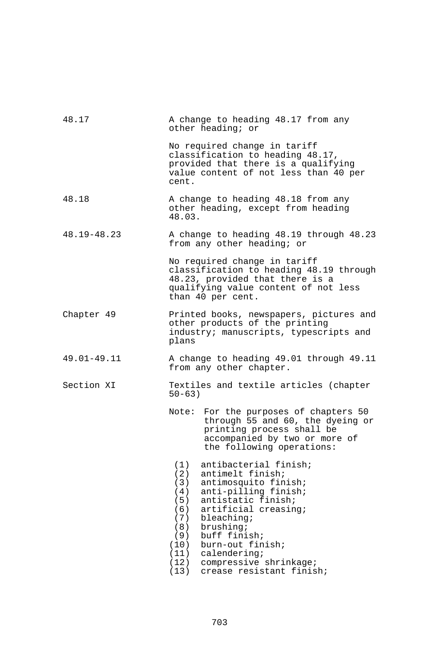| 48.17       | A change to heading 48.17 from any<br>other heading; or                                                                                                                                                                                                                                                                                                                     |  |  |
|-------------|-----------------------------------------------------------------------------------------------------------------------------------------------------------------------------------------------------------------------------------------------------------------------------------------------------------------------------------------------------------------------------|--|--|
|             | No required change in tariff<br>classification to heading 48.17,<br>provided that there is a qualifying<br>value content of not less than 40 per<br>cent.                                                                                                                                                                                                                   |  |  |
| 48.18       | A change to heading 48.18 from any<br>other heading, except from heading<br>48.03.                                                                                                                                                                                                                                                                                          |  |  |
| 48.19-48.23 | A change to heading 48.19 through 48.23<br>from any other heading; or                                                                                                                                                                                                                                                                                                       |  |  |
|             | No required change in tariff<br>classification to heading 48.19 through<br>48.23, provided that there is a<br>qualifying value content of not less<br>than 40 per cent.                                                                                                                                                                                                     |  |  |
| Chapter 49  | Printed books, newspapers, pictures and<br>other products of the printing<br>industry; manuscripts, typescripts and<br>plans                                                                                                                                                                                                                                                |  |  |
| 49.01-49.11 | A change to heading 49.01 through 49.11<br>from any other chapter.                                                                                                                                                                                                                                                                                                          |  |  |
| Section XI  | Textiles and textile articles (chapter<br>$50 - 63)$                                                                                                                                                                                                                                                                                                                        |  |  |
|             | Note: For the purposes of chapters 50<br>through 55 and 60, the dyeing or<br>printing process shall be<br>accompanied by two or more of<br>the following operations:                                                                                                                                                                                                        |  |  |
|             | antibacterial finish;<br>(1)<br>(2)<br>antimelt finish;<br>(3)<br>antimosquito finish;<br>anti-pilling finish;<br>(4)<br>(5)<br>antistatic finish;<br>(6)<br>artificial creasing;<br>(7)<br>bleaching;<br>(8)<br>brushing;<br>buff finish;<br>(9)<br>(10)<br>burn-out finish;<br>(11)<br>calendering;<br>(12)<br>compressive shrinkage;<br>crease resistant finish;<br>(13) |  |  |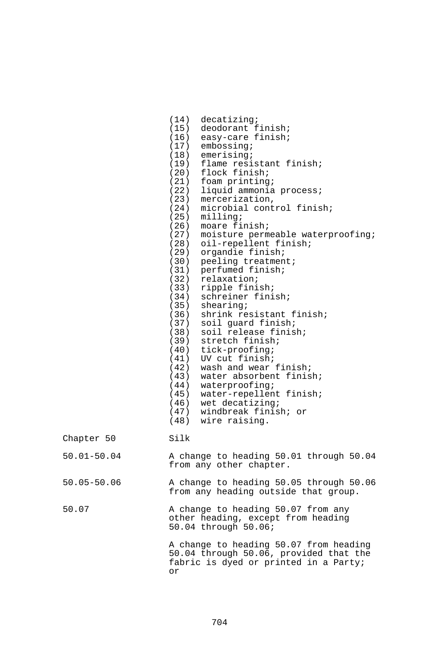|                 | (14)<br>decatizing;<br>(15) deodorant finish;<br>easy-care finish;<br>(16)<br>embossing;<br>(17)<br>$(18)$ emerising;<br>flame resistant finish;<br>(19)<br>(20) flock finish;<br>$(21)$ foam printing;<br>(22)<br>liquid ammonia process;<br>mercerization,<br>(23)<br>microbial control finish;<br>(24)<br>(25)<br>milling;<br>(26)<br>moare finish;<br>moisture permeable waterproofing;<br>(27)<br>oil-repellent finish;<br>(28)<br>organdie finish;<br>(29)<br>peeling treatment;<br>(30)<br>perfumed finish;<br>(31)<br>(32)<br>relaxation;<br>ripple finish;<br>(33)<br>schreiner finish;<br>(34)<br>(35)<br>$shearing$ ;<br>shrink resistant finish;<br>(36)<br>(37)<br>soil guard finish;<br>(38)<br>soil release finish;<br>stretch finish;<br>(39)<br>$(40)$ tick-proofing;<br>UV cut finish;<br>(41)<br>wash and wear finish;<br>(42)<br>water absorbent finish;<br>(43)<br>(44)<br>waterproofing;<br>water-repellent finish;<br>(45)<br>(46)<br>wet decatizing;<br>(47) windbreak finish; or<br>(48) wire raising. |
|-----------------|---------------------------------------------------------------------------------------------------------------------------------------------------------------------------------------------------------------------------------------------------------------------------------------------------------------------------------------------------------------------------------------------------------------------------------------------------------------------------------------------------------------------------------------------------------------------------------------------------------------------------------------------------------------------------------------------------------------------------------------------------------------------------------------------------------------------------------------------------------------------------------------------------------------------------------------------------------------------------------------------------------------------------------|
| Chapter 50      | Silk                                                                                                                                                                                                                                                                                                                                                                                                                                                                                                                                                                                                                                                                                                                                                                                                                                                                                                                                                                                                                            |
| $50.01 - 50.04$ | A change to heading 50.01 through 50.04<br>from any other chapter.                                                                                                                                                                                                                                                                                                                                                                                                                                                                                                                                                                                                                                                                                                                                                                                                                                                                                                                                                              |
| $50.05 - 50.06$ | A change to heading 50.05 through 50.06<br>from any heading outside that group.                                                                                                                                                                                                                                                                                                                                                                                                                                                                                                                                                                                                                                                                                                                                                                                                                                                                                                                                                 |
| 50.07           | A change to heading 50.07 from any<br>other heading, except from heading<br>50.04 through 50.06;                                                                                                                                                                                                                                                                                                                                                                                                                                                                                                                                                                                                                                                                                                                                                                                                                                                                                                                                |
|                 | A change to heading 50.07 from heading<br>50.04 through 50.06, provided that the<br>fabric is dyed or printed in a Party;<br>Оr                                                                                                                                                                                                                                                                                                                                                                                                                                                                                                                                                                                                                                                                                                                                                                                                                                                                                                 |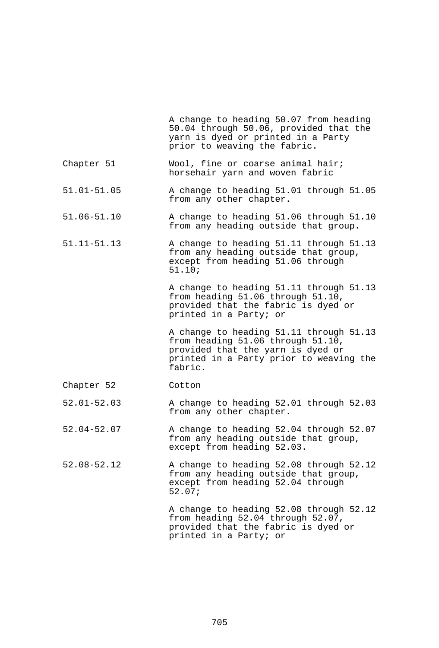|                 | A change to heading 50.07 from heading<br>50.04 through 50.06, provided that the<br>yarn is dyed or printed in a Party<br>prior to weaving the fabric.                  |
|-----------------|-------------------------------------------------------------------------------------------------------------------------------------------------------------------------|
| Chapter 51      | Wool, fine or coarse animal hair;<br>horsehair yarn and woven fabric                                                                                                    |
| $51.01 - 51.05$ | A change to heading 51.01 through 51.05<br>from any other chapter.                                                                                                      |
| $51.06 - 51.10$ | A change to heading 51.06 through 51.10<br>from any heading outside that group.                                                                                         |
| $51.11 - 51.13$ | A change to heading 51.11 through 51.13<br>from any heading outside that group,<br>except from heading 51.06 through<br>51.10;                                          |
|                 | A change to heading 51.11 through 51.13<br>from heading 51.06 through 51.10,<br>provided that the fabric is dyed or<br>printed in a Party; or                           |
|                 | A change to heading 51.11 through 51.13<br>from heading 51.06 through 51.10,<br>provided that the yarn is dyed or<br>printed in a Party prior to weaving the<br>fabric. |
| Chapter 52      | Cotton                                                                                                                                                                  |
| $52.01 - 52.03$ | A change to heading 52.01 through 52.03<br>from any other chapter.                                                                                                      |
| $52.04 - 52.07$ | A change to heading 52.04 through 52.07<br>from any heading outside that group,<br>except from heading 52.03.                                                           |
| 52.08-52.12     | A change to heading 52.08 through 52.12<br>from any heading outside that group,<br>except from heading 52.04 through<br>52.07;                                          |
|                 | A change to heading 52.08 through 52.12<br>from heading 52.04 through 52.07,<br>provided that the fabric is dyed or<br>printed in a Party; or                           |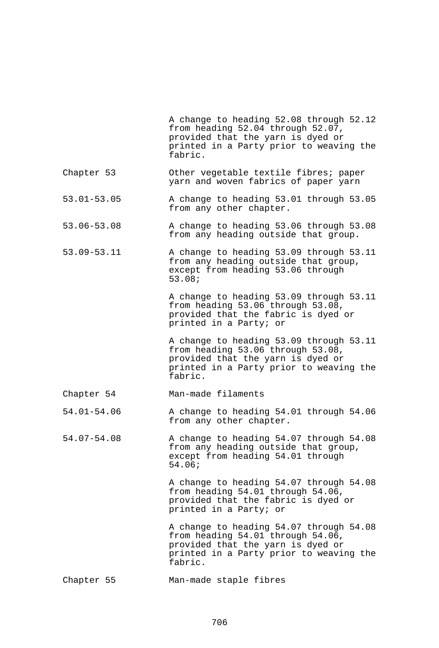|                 | A change to heading 52.08 through 52.12<br>from heading 52.04 through 52.07,<br>provided that the yarn is dyed or<br>printed in a Party prior to weaving the<br>fabric. |
|-----------------|-------------------------------------------------------------------------------------------------------------------------------------------------------------------------|
| Chapter 53      | Other vegetable textile fibres; paper<br>yarn and woven fabrics of paper yarn                                                                                           |
| $53.01 - 53.05$ | A change to heading 53.01 through 53.05<br>from any other chapter.                                                                                                      |
| 53.06-53.08     | A change to heading 53.06 through 53.08<br>from any heading outside that group.                                                                                         |
| 53.09-53.11     | A change to heading 53.09 through 53.11<br>from any heading outside that group,<br>except from heading 53.06 through<br>53.08;                                          |
|                 | A change to heading 53.09 through 53.11<br>from heading 53.06 through 53.08,<br>provided that the fabric is dyed or<br>printed in a Party; or                           |
|                 | A change to heading 53.09 through 53.11<br>from heading 53.06 through 53.08,<br>provided that the yarn is dyed or<br>printed in a Party prior to weaving the<br>fabric. |
| Chapter 54      | Man-made filaments                                                                                                                                                      |
| $54.01 - 54.06$ | A change to heading 54.01 through 54.06<br>from any other chapter.                                                                                                      |
| 54.07-54.08     | A change to heading 54.07 through 54.08<br>from any heading outside that group,<br>except from heading 54.01 through<br>54.06;                                          |
|                 | A change to heading 54.07 through 54.08<br>from heading 54.01 through 54.06,<br>provided that the fabric is dyed or<br>printed in a Party; or                           |
|                 | A change to heading 54.07 through 54.08<br>from heading 54.01 through 54.06,<br>provided that the yarn is dyed or<br>printed in a Party prior to weaving the<br>fabric. |
| Chapter 55      | Man-made staple fibres                                                                                                                                                  |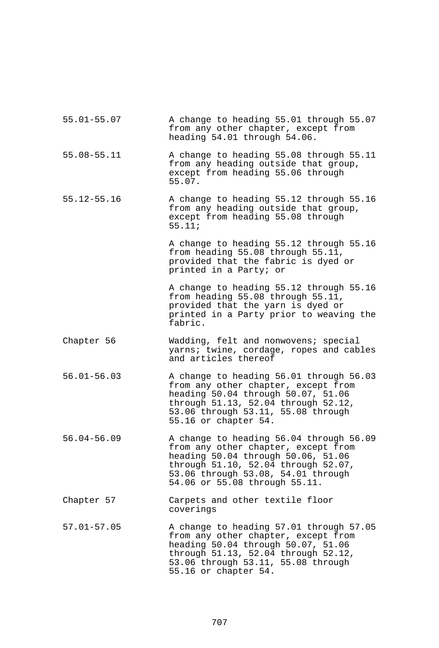| $55.01 - 55.07$ | A change to heading 55.01 through 55.07<br>from any other chapter, except from<br>heading 54.01 through 54.06.                                                                                                                     |
|-----------------|------------------------------------------------------------------------------------------------------------------------------------------------------------------------------------------------------------------------------------|
| 55.08-55.11     | A change to heading 55.08 through 55.11<br>from any heading outside that group,<br>except from heading 55.06 through<br>55.07.                                                                                                     |
| $55.12 - 55.16$ | A change to heading 55.12 through 55.16<br>from any heading outside that group,<br>except from heading 55.08 through<br>55.11;                                                                                                     |
|                 | A change to heading 55.12 through 55.16<br>from heading 55.08 through 55.11,<br>provided that the fabric is dyed or<br>printed in a Party; or                                                                                      |
|                 | A change to heading 55.12 through 55.16<br>from heading 55.08 through 55.11,<br>provided that the yarn is dyed or<br>printed in a Party prior to weaving the<br>fabric.                                                            |
| Chapter 56      | Wadding, felt and nonwovens; special<br>yarns; twine, cordage, ropes and cables<br>and articles thereof                                                                                                                            |
| $56.01 - 56.03$ | A change to heading 56.01 through 56.03<br>from any other chapter, except from<br>heading 50.04 through 50.07, 51.06<br>through 51.13, 52.04 through 52.12,<br>53.06 through 53.11, 55.08 through<br>55.16 or chapter 54.          |
| $56.04 - 56.09$ | A change to heading 56.04 through 56.09<br>from any other chapter, except from<br>heading 50.04 through 50.06, 51.06<br>through 51.10, 52.04 through 52.07,<br>53.06 through 53.08, 54.01 through<br>54.06 or 55.08 through 55.11. |
| Chapter 57      | Carpets and other textile floor<br>coverings                                                                                                                                                                                       |
| $57.01 - 57.05$ | A change to heading 57.01 through 57.05<br>from any other chapter, except from<br>heading 50.04 through 50.07, 51.06<br>through 51.13, 52.04 through 52.12,<br>53.06 through 53.11, 55.08 through<br>55.16 or chapter 54.          |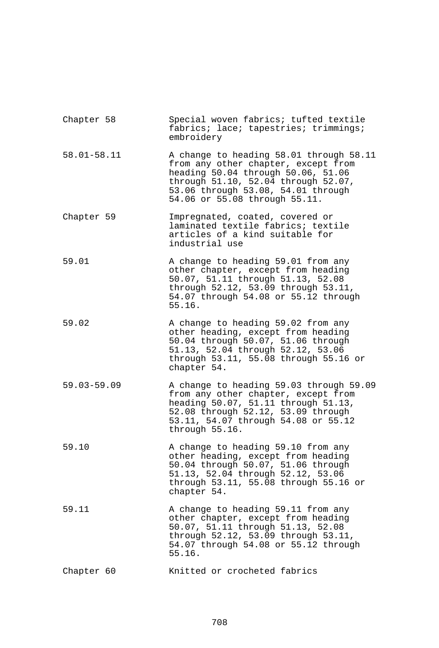| Chapter 58      | Special woven fabrics; tufted textile<br>fabrics; lace; tapestries; trimmings;<br>embroidery                                                                                                                                       |
|-----------------|------------------------------------------------------------------------------------------------------------------------------------------------------------------------------------------------------------------------------------|
| $58.01 - 58.11$ | A change to heading 58.01 through 58.11<br>from any other chapter, except from<br>heading 50.04 through 50.06, 51.06<br>through 51.10, 52.04 through 52.07,<br>53.06 through 53.08, 54.01 through<br>54.06 or 55.08 through 55.11. |
| Chapter 59      | Impregnated, coated, covered or<br>laminated textile fabrics; textile<br>articles of a kind suitable for<br>industrial use                                                                                                         |
| 59.01           | A change to heading 59.01 from any<br>other chapter, except from heading<br>50.07, 51.11 through 51.13, 52.08<br>through 52.12, 53.09 through 53.11,<br>54.07 through 54.08 or 55.12 through<br>55.16.                             |
| 59.02           | A change to heading 59.02 from any<br>other heading, except from heading<br>50.04 through 50.07, 51.06 through<br>51.13, 52.04 through 52.12, 53.06<br>through 53.11, 55.08 through 55.16 or<br>chapter 54.                        |
| $59.03 - 59.09$ | A change to heading 59.03 through 59.09<br>from any other chapter, except from<br>heading 50.07, 51.11 through 51.13,<br>52.08 through 52.12, 53.09 through<br>53.11, 54.07 through 54.08 or 55.12<br>through 55.16.               |
| 59.10           | A change to heading 59.10 from any<br>other heading, except from heading<br>50.04 through 50.07, 51.06 through<br>51.13, 52.04 through 52.12, 53.06<br>through 53.11, 55.08 through 55.16 or<br>chapter 54.                        |
| 59.11           | A change to heading 59.11 from any<br>other chapter, except from heading<br>50.07, 51.11 through 51.13, 52.08<br>through 52.12, 53.09 through 53.11,<br>54.07 through 54.08 or 55.12 through<br>55.16.                             |
| Chapter 60      | Knitted or crocheted fabrics                                                                                                                                                                                                       |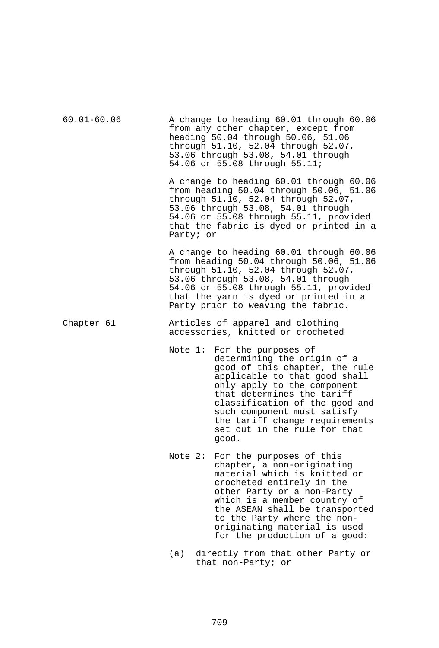| $60.01 - 60.06$ |           | A change to heading 60.01 through 60.06<br>from any other chapter, except from<br>heading 50.04 through 50.06, 51.06<br>through 51.10, 52.04 through 52.07,<br>53.06 through 53.08, 54.01 through<br>54.06 or 55.08 through 55.11;                                                                                                     |
|-----------------|-----------|----------------------------------------------------------------------------------------------------------------------------------------------------------------------------------------------------------------------------------------------------------------------------------------------------------------------------------------|
|                 | Party; or | A change to heading 60.01 through 60.06<br>from heading 50.04 through 50.06, 51.06<br>through 51.10, 52.04 through 52.07,<br>53.06 through 53.08, 54.01 through<br>54.06 or 55.08 through 55.11, provided<br>that the fabric is dyed or printed in a                                                                                   |
|                 |           | A change to heading 60.01 through 60.06<br>from heading 50.04 through 50.06, 51.06<br>through 51.10, 52.04 through 52.07,<br>53.06 through 53.08, 54.01 through<br>54.06 or 55.08 through 55.11, provided<br>that the yarn is dyed or printed in a<br>Party prior to weaving the fabric.                                               |
| Chapter 61      |           | Articles of apparel and clothing<br>accessories, knitted or crocheted                                                                                                                                                                                                                                                                  |
|                 |           | Note 1: For the purposes of<br>determining the origin of a<br>good of this chapter, the rule<br>applicable to that good shall<br>only apply to the component<br>that determines the tariff<br>classification of the good and<br>such component must satisfy<br>the tariff change requirements<br>set out in the rule for that<br>qood. |
|                 | Note $2:$ | For the purposes of this<br>chapter, a non-originating<br>material which is knitted or<br>crocheted entirely in the<br>other Party or a non-Party<br>which is a member country of<br>the ASEAN shall be transported<br>to the Party where the non-<br>originating material is used<br>for the production of a good:                    |

(a) directly from that other Party or that non-Party; or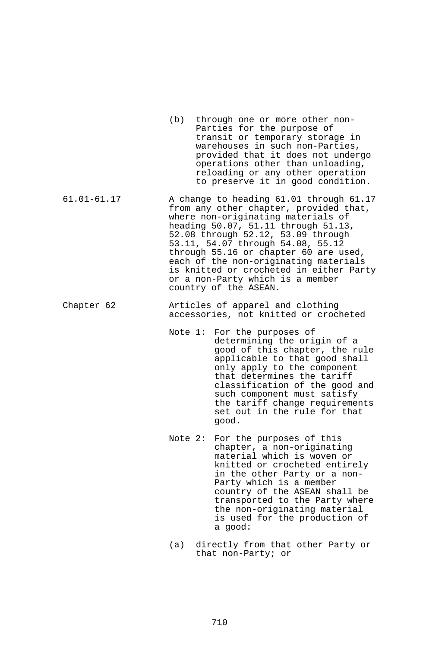- (b) through one or more other non-Parties for the purpose of transit or temporary storage in warehouses in such non-Parties, provided that it does not undergo operations other than unloading, reloading or any other operation to preserve it in good condition.
- 61.01-61.17 A change to heading 61.01 through 61.17 from any other chapter, provided that, where non-originating materials of heading 50.07, 51.11 through 51.13, 52.08 through 52.12, 53.09 through 53.11, 54.07 through 54.08, 55.12 through 55.16 or chapter 60 are used, each of the non-originating materials is knitted or crocheted in either Party or a non-Party which is a member country of the ASEAN.
- Chapter 62 Articles of apparel and clothing accessories, not knitted or crocheted
	- Note 1: For the purposes of determining the origin of a good of this chapter, the rule applicable to that good shall only apply to the component that determines the tariff classification of the good and such component must satisfy the tariff change requirements set out in the rule for that good.
	- Note 2: For the purposes of this chapter, a non-originating material which is woven or knitted or crocheted entirely in the other Party or a non-Party which is a member country of the ASEAN shall be transported to the Party where the non-originating material is used for the production of a good:
	- (a) directly from that other Party or that non-Party; or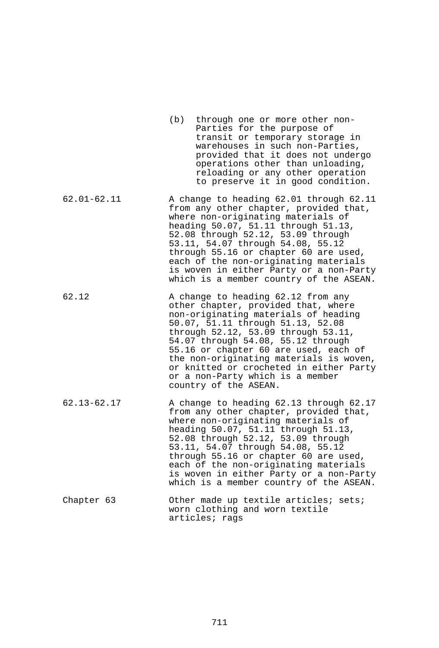|                 | (b)<br>through one or more other non-<br>Parties for the purpose of<br>transit or temporary storage in<br>warehouses in such non-Parties,<br>provided that it does not undergo<br>operations other than unloading,<br>reloading or any other operation<br>to preserve it in good condition.                                                                                                                                     |
|-----------------|---------------------------------------------------------------------------------------------------------------------------------------------------------------------------------------------------------------------------------------------------------------------------------------------------------------------------------------------------------------------------------------------------------------------------------|
| $62.01 - 62.11$ | A change to heading 62.01 through 62.11<br>from any other chapter, provided that,<br>where non-originating materials of<br>heading 50.07, 51.11 through 51.13,<br>52.08 through 52.12, 53.09 through<br>53.11, 54.07 through 54.08, 55.12<br>through 55.16 or chapter 60 are used,<br>each of the non-originating materials<br>is woven in either Party or a non-Party<br>which is a member country of the ASEAN.               |
| 62.12           | A change to heading 62.12 from any<br>other chapter, provided that, where<br>non-originating materials of heading<br>50.07, 51.11 through 51.13, 52.08<br>through 52.12, 53.09 through 53.11,<br>54.07 through 54.08, 55.12 through<br>55.16 or chapter 60 are used, each of<br>the non-originating materials is woven,<br>or knitted or crocheted in either Party<br>or a non-Party which is a member<br>country of the ASEAN. |
| $62.13 - 62.17$ | A change to heading 62.13 through 62.17<br>from any other chapter, provided that,<br>where non-originating materials of<br>heading 50.07, 51.11 through 51.13,<br>52.08 through 52.12, 53.09 through<br>53.11, 54.07 through 54.08, 55.12<br>through 55.16 or chapter 60 are used,<br>each of the non-originating materials<br>is woven in either Party or a non-Party<br>which is a member country of the ASEAN.               |
| Chapter 63      | Other made up textile articles;<br>sets;<br>worn clothing and worn textile<br>articles; rags                                                                                                                                                                                                                                                                                                                                    |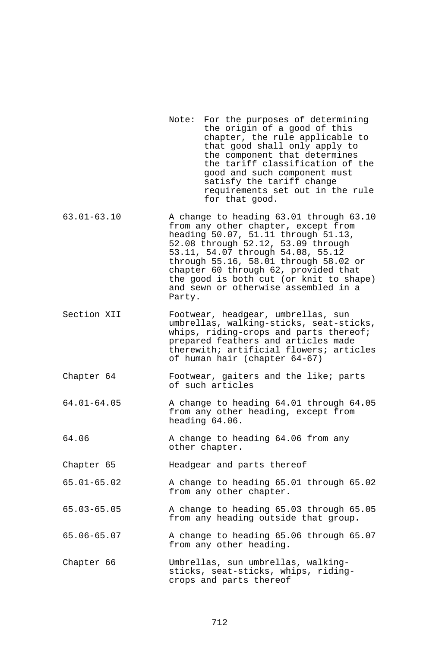- Note: For the purposes of determining the origin of a good of this chapter, the rule applicable to that good shall only apply to the component that determines the tariff classification of the good and such component must satisfy the tariff change requirements set out in the rule for that good.
- 63.01-63.10 A change to heading 63.01 through 63.10 from any other chapter, except from heading 50.07, 51.11 through 51.13, 52.08 through 52.12, 53.09 through 53.11, 54.07 through 54.08, 55.12 through 55.16, 58.01 through 58.02 or chapter 60 through 62, provided that the good is both cut (or knit to shape) and sewn or otherwise assembled in a Party.
- Section XII Footwear, headgear, umbrellas, sun umbrellas, walking-sticks, seat-sticks, whips, riding-crops and parts thereof; prepared feathers and articles made therewith; artificial flowers; articles of human hair (chapter 64-67)
- Chapter 64 Footwear, gaiters and the like; parts of such articles
- 64.01-64.05 A change to heading 64.01 through 64.05 from any other heading, except from heading 64.06.
- 64.06 A change to heading 64.06 from any other chapter.

Chapter 65 Headgear and parts thereof

- 65.01-65.02 A change to heading 65.01 through 65.02 from any other chapter.
- 65.03-65.05 A change to heading 65.03 through 65.05 from any heading outside that group.
- 65.06-65.07 A change to heading 65.06 through 65.07 from any other heading.
- Chapter 66 Umbrellas, sun umbrellas, walkingsticks, seat-sticks, whips, ridingcrops and parts thereof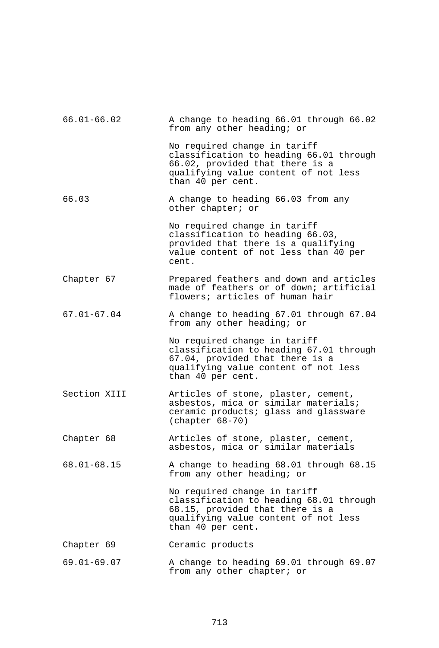| $66.01 - 66.02$ | A change to heading 66.01 through 66.02<br>from any other heading; or                                                                                                   |
|-----------------|-------------------------------------------------------------------------------------------------------------------------------------------------------------------------|
|                 | No required change in tariff<br>classification to heading 66.01 through<br>66.02, provided that there is a<br>qualifying value content of not less<br>than 40 per cent. |
| 66.03           | A change to heading 66.03 from any<br>other chapter; or                                                                                                                 |
|                 | No required change in tariff<br>classification to heading 66.03,<br>provided that there is a qualifying<br>value content of not less than 40 per<br>cent.               |
| Chapter 67      | Prepared feathers and down and articles<br>made of feathers or of down; artificial<br>flowers; articles of human hair                                                   |
| $67.01 - 67.04$ | A change to heading 67.01 through 67.04<br>from any other heading; or                                                                                                   |
|                 | No required change in tariff<br>classification to heading 67.01 through<br>67.04, provided that there is a<br>qualifying value content of not less<br>than 40 per cent. |
| Section XIII    | Articles of stone, plaster, cement,<br>asbestos, mica or similar materials;<br>ceramic products; glass and glassware<br>$(char 68-70)$                                  |
| Chapter 68      | Articles of stone, plaster, cement,<br>asbestos, mica or similar materials                                                                                              |
| $68.01 - 68.15$ | A change to heading 68.01 through 68.15<br>from any other heading; or                                                                                                   |
|                 | No required change in tariff<br>classification to heading 68.01 through<br>68.15, provided that there is a<br>qualifying value content of not less<br>than 40 per cent. |
| Chapter 69      | Ceramic products                                                                                                                                                        |
| $69.01 - 69.07$ | A change to heading 69.01 through 69.07<br>from any other chapter; or                                                                                                   |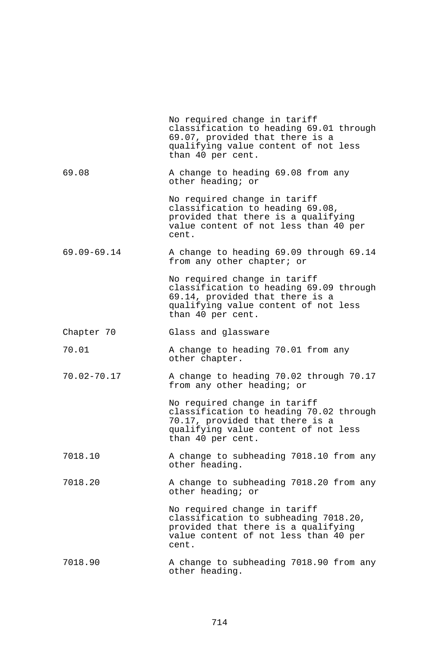|                 | No required change in tariff<br>classification to heading 69.01 through<br>69.07, provided that there is a<br>qualifying value content of not less<br>than 40 per cent. |
|-----------------|-------------------------------------------------------------------------------------------------------------------------------------------------------------------------|
| 69.08           | A change to heading 69.08 from any<br>other heading; or                                                                                                                 |
|                 | No required change in tariff<br>classification to heading 69.08,<br>provided that there is a qualifying<br>value content of not less than 40 per<br>cent.               |
| $69.09 - 69.14$ | A change to heading 69.09 through 69.14<br>from any other chapter; or                                                                                                   |
|                 | No required change in tariff<br>classification to heading 69.09 through<br>69.14, provided that there is a<br>qualifying value content of not less<br>than 40 per cent. |
| Chapter 70      | Glass and glassware                                                                                                                                                     |
| 70.01           | A change to heading 70.01 from any<br>other chapter.                                                                                                                    |
| 70.02-70.17     | A change to heading 70.02 through 70.17<br>from any other heading; or                                                                                                   |
|                 | No required change in tariff<br>classification to heading 70.02 through<br>70.17, provided that there is a<br>qualifying value content of not less<br>than 40 per cent. |
| 7018.10         | A change to subheading 7018.10 from any<br>other heading.                                                                                                               |
| 7018.20         | A change to subheading 7018.20 from any<br>other heading; or                                                                                                            |
|                 | No required change in tariff<br>classification to subheading 7018.20,<br>provided that there is a qualifying<br>value content of not less than 40 per<br>cent.          |
| 7018.90         | A change to subheading 7018.90 from any<br>other heading.                                                                                                               |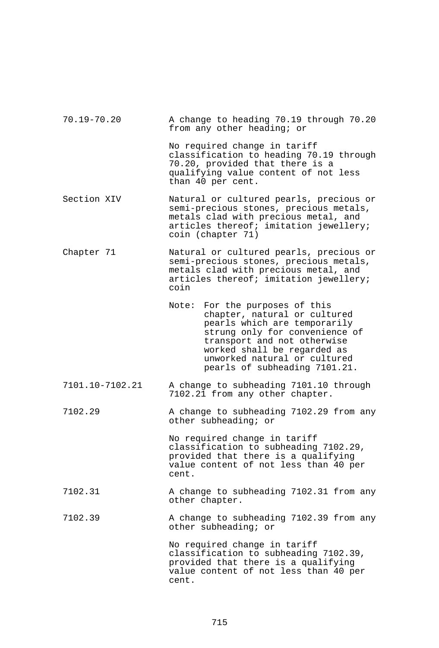| $70.19 - 70.20$ | A change to heading 70.19 through 70.20<br>from any other heading; or                                                                                                                                                                                              |
|-----------------|--------------------------------------------------------------------------------------------------------------------------------------------------------------------------------------------------------------------------------------------------------------------|
|                 | No required change in tariff<br>classification to heading 70.19 through<br>70.20, provided that there is a<br>qualifying value content of not less<br>than 40 per cent.                                                                                            |
| Section XIV     | Natural or cultured pearls, precious or<br>semi-precious stones, precious metals,<br>metals clad with precious metal, and<br>articles thereof; imitation jewellery;<br>coin (chapter 71)                                                                           |
| Chapter 71      | Natural or cultured pearls, precious or<br>semi-precious stones, precious metals,<br>metals clad with precious metal, and<br>articles thereof; imitation jewellery;<br>coin                                                                                        |
|                 | For the purposes of this<br>Note:<br>chapter, natural or cultured<br>pearls which are temporarily<br>strung only for convenience of<br>transport and not otherwise<br>worked shall be regarded as<br>unworked natural or cultured<br>pearls of subheading 7101.21. |
| 7101.10-7102.21 | A change to subheading 7101.10 through<br>7102.21 from any other chapter.                                                                                                                                                                                          |
| 7102.29         | A change to subheading 7102.29 from any<br>other subheading; or                                                                                                                                                                                                    |
|                 | No required change in tariff<br>classification to subheading 7102.29,<br>provided that there is a qualifying<br>value content of not less than 40 per<br>cent.                                                                                                     |
| 7102.31         | A change to subheading 7102.31 from any<br>other chapter.                                                                                                                                                                                                          |
| 7102.39         | A change to subheading 7102.39 from any<br>other subheading; or                                                                                                                                                                                                    |
|                 | No required change in tariff<br>classification to subheading 7102.39,<br>provided that there is a qualifying<br>value content of not less than 40 per<br>cent.                                                                                                     |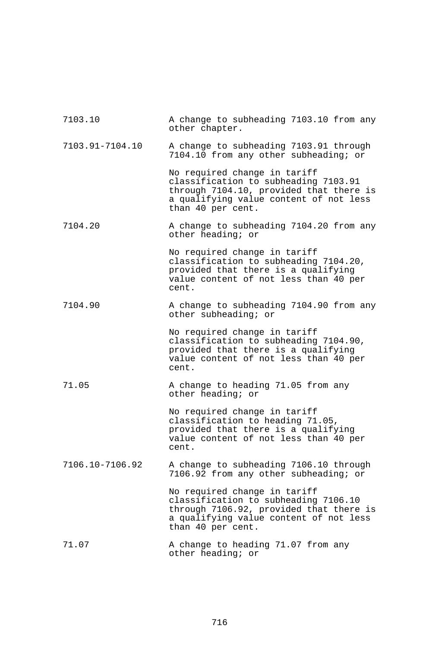| 7103.10         | A change to subheading 7103.10 from any<br>other chapter.                                                                                                                      |
|-----------------|--------------------------------------------------------------------------------------------------------------------------------------------------------------------------------|
| 7103.91-7104.10 | A change to subheading 7103.91 through<br>7104.10 from any other subheading; or                                                                                                |
|                 | No required change in tariff<br>classification to subheading 7103.91<br>through 7104.10, provided that there is<br>a qualifying value content of not less<br>than 40 per cent. |
| 7104.20         | A change to subheading 7104.20 from any<br>other heading; or                                                                                                                   |
|                 | No required change in tariff<br>classification to subheading 7104.20,<br>provided that there is a qualifying<br>value content of not less than 40 per<br>cent.                 |
| 7104.90         | A change to subheading 7104.90 from any<br>other subheading; or                                                                                                                |
|                 | No required change in tariff<br>classification to subheading 7104.90,<br>provided that there is a qualifying<br>value content of not less than 40 per<br>cent.                 |
| 71.05           | A change to heading 71.05 from any<br>other heading; or                                                                                                                        |
|                 | No required change in tariff<br>classification to heading 71.05,<br>provided that there is a qualifying<br>value content of not less than 40 per<br>cent.                      |
| 7106.10-7106.92 | A change to subheading 7106.10 through<br>7106.92 from any other subheading; or                                                                                                |
|                 | No required change in tariff<br>classification to subheading 7106.10<br>through 7106.92, provided that there is<br>a qualifying value content of not less<br>than 40 per cent. |
| 71.07           | A change to heading 71.07 from any<br>other heading; or                                                                                                                        |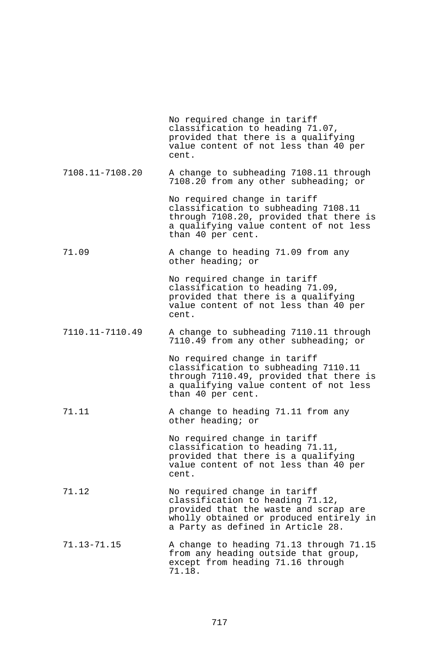|                 | No required change in tariff<br>classification to heading 71.07,<br>provided that there is a qualifying<br>value content of not less than 40 per<br>cent.                                 |
|-----------------|-------------------------------------------------------------------------------------------------------------------------------------------------------------------------------------------|
| 7108.11-7108.20 | A change to subheading 7108.11 through<br>7108.20 from any other subheading; or                                                                                                           |
|                 | No required change in tariff<br>classification to subheading 7108.11<br>through 7108.20, provided that there is<br>a qualifying value content of not less<br>than 40 per cent.            |
| 71.09           | A change to heading 71.09 from any<br>other heading; or                                                                                                                                   |
|                 | No required change in tariff<br>classification to heading 71.09,<br>provided that there is a qualifying<br>value content of not less than 40 per<br>cent.                                 |
| 7110.11-7110.49 | A change to subheading 7110.11 through<br>7110.49 from any other subheading; or                                                                                                           |
|                 | No required change in tariff<br>classification to subheading 7110.11<br>through 7110.49, provided that there is<br>a qualifying value content of not less<br>than 40 per cent.            |
| 71.11           | A change to heading 71.11 from any<br>other heading; or                                                                                                                                   |
|                 | No required change in tariff<br>classification to heading 71.11,<br>provided that there is a qualifying<br>value content of not less than 40 per<br>cent.                                 |
| 71.12           | No required change in tariff<br>classification to heading 71.12,<br>provided that the waste and scrap are<br>wholly obtained or produced entirely in<br>a Party as defined in Article 28. |
| 71.13-71.15     | A change to heading 71.13 through 71.15<br>from any heading outside that group,<br>except from heading 71.16 through<br>71.18.                                                            |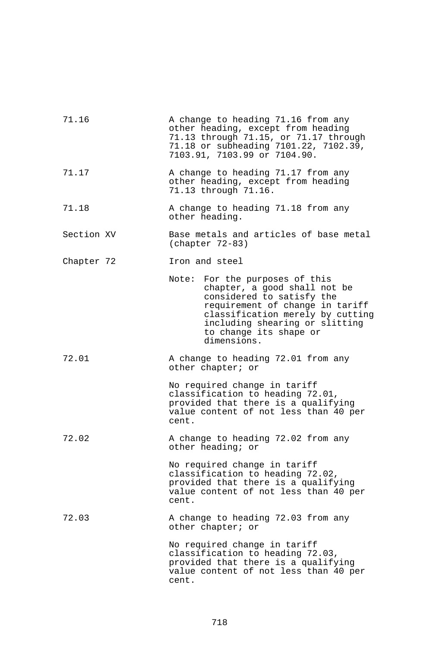| 71.16      | A change to heading 71.16 from any<br>other heading, except from heading<br>71.13 through 71.15, or 71.17 through<br>71.18 or subheading 7101.22, 7102.39,<br>7103.91, 7103.99 or 7104.90.                                                       |
|------------|--------------------------------------------------------------------------------------------------------------------------------------------------------------------------------------------------------------------------------------------------|
| 71.17      | A change to heading 71.17 from any<br>other heading, except from heading<br>71.13 through 71.16.                                                                                                                                                 |
| 71.18      | A change to heading 71.18 from any<br>other heading.                                                                                                                                                                                             |
| Section XV | Base metals and articles of base metal<br>$(char 72-83)$                                                                                                                                                                                         |
| Chapter 72 | Iron and steel                                                                                                                                                                                                                                   |
|            | For the purposes of this<br>Note:<br>chapter, a good shall not be<br>considered to satisfy the<br>requirement of change in tariff<br>classification merely by cutting<br>including shearing or slitting<br>to change its shape or<br>dimensions. |
| 72.01      | A change to heading 72.01 from any<br>other chapter; or                                                                                                                                                                                          |
|            | No required change in tariff<br>classification to heading 72.01,<br>provided that there is a qualifying<br>value content of not less than 40 per<br>cent.                                                                                        |
| 72.02      | A change to heading 72.02 from any<br>other heading; or                                                                                                                                                                                          |
|            | No required change in tariff<br>classification to heading 72.02,<br>provided that there is a qualifying<br>value content of not less than 40 per<br>cent.                                                                                        |
| 72.03      | A change to heading 72.03 from any<br>other chapter; or                                                                                                                                                                                          |
|            | No required change in tariff<br>classification to heading 72.03,<br>provided that there is a qualifying<br>value content of not less than 40 per<br>cent.                                                                                        |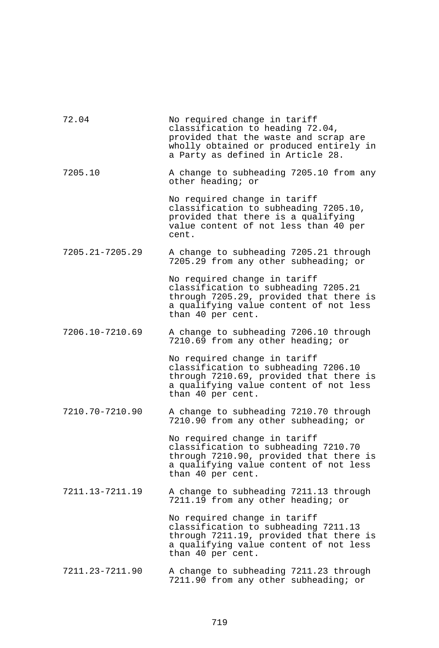| 72.04           | No required change in tariff<br>classification to heading 72.04,<br>provided that the waste and scrap are<br>wholly obtained or produced entirely in<br>a Party as defined in Article 28. |
|-----------------|-------------------------------------------------------------------------------------------------------------------------------------------------------------------------------------------|
| 7205.10         | A change to subheading 7205.10 from any<br>other heading; or                                                                                                                              |
|                 | No required change in tariff<br>classification to subheading 7205.10,<br>provided that there is a qualifying<br>value content of not less than 40 per<br>cent.                            |
| 7205.21-7205.29 | A change to subheading 7205.21 through<br>7205.29 from any other subheading; or                                                                                                           |
|                 | No required change in tariff<br>classification to subheading 7205.21<br>through 7205.29, provided that there is<br>a qualifying value content of not less<br>than 40 per cent.            |
| 7206.10-7210.69 | A change to subheading 7206.10 through<br>7210.69 from any other heading; or                                                                                                              |
|                 | No required change in tariff<br>classification to subheading 7206.10<br>through 7210.69, provided that there is<br>a qualifying value content of not less<br>than 40 per cent.            |
| 7210.70-7210.90 | A change to subheading 7210.70 through<br>7210.90 from any other subheading; or                                                                                                           |
|                 | No required change in tariff<br>classification to subheading 7210.70<br>through 7210.90, provided that there is<br>a qualifying value content of not less<br>than 40 per cent.            |
| 7211.13-7211.19 | A change to subheading 7211.13 through<br>7211.19 from any other heading; or                                                                                                              |
|                 | No required change in tariff<br>classification to subheading 7211.13<br>through 7211.19, provided that there is<br>a qualifying value content of not less<br>than 40 per cent.            |
| 7211.23-7211.90 | A change to subheading 7211.23 through<br>7211.90 from any other subheading; or                                                                                                           |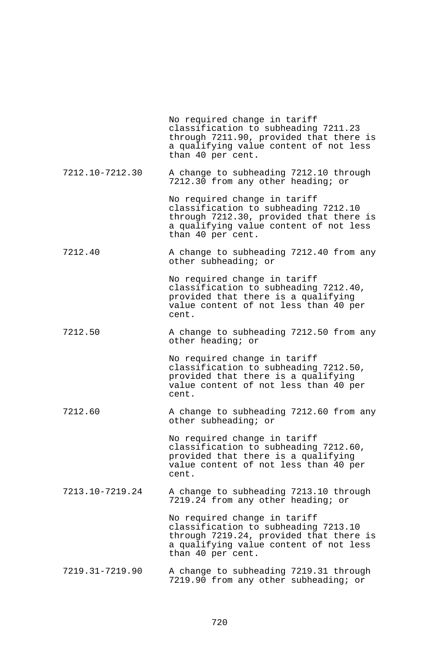|                 | No required change in tariff<br>classification to subheading 7211.23<br>through 7211.90, provided that there is<br>a qualifying value content of not less<br>than 40 per cent. |
|-----------------|--------------------------------------------------------------------------------------------------------------------------------------------------------------------------------|
| 7212.10-7212.30 | A change to subheading 7212.10 through<br>7212.30 from any other heading; or                                                                                                   |
|                 | No required change in tariff<br>classification to subheading 7212.10<br>through 7212.30, provided that there is<br>a qualifying value content of not less<br>than 40 per cent. |
| 7212.40         | A change to subheading 7212.40 from any<br>other subheading; or                                                                                                                |
|                 | No required change in tariff<br>classification to subheading 7212.40,<br>provided that there is a qualifying<br>value content of not less than 40 per<br>cent.                 |
| 7212.50         | A change to subheading 7212.50 from any<br>other heading; or                                                                                                                   |
|                 | No required change in tariff<br>classification to subheading 7212.50,<br>provided that there is a qualifying<br>value content of not less than 40 per<br>cent.                 |
| 7212.60         | A change to subheading 7212.60 from any<br>other subheading; or                                                                                                                |
|                 | No required change in tariff<br>classification to subheading 7212.60,<br>provided that there is a qualifying<br>value content of not less than 40 per<br>cent.                 |
| 7213.10-7219.24 | A change to subheading 7213.10 through<br>7219.24 from any other heading; or                                                                                                   |
|                 | No required change in tariff<br>classification to subheading 7213.10<br>through 7219.24, provided that there is<br>a qualifying value content of not less<br>than 40 per cent. |
| 7219.31-7219.90 | A change to subheading 7219.31 through<br>7219.90 from any other subheading; or                                                                                                |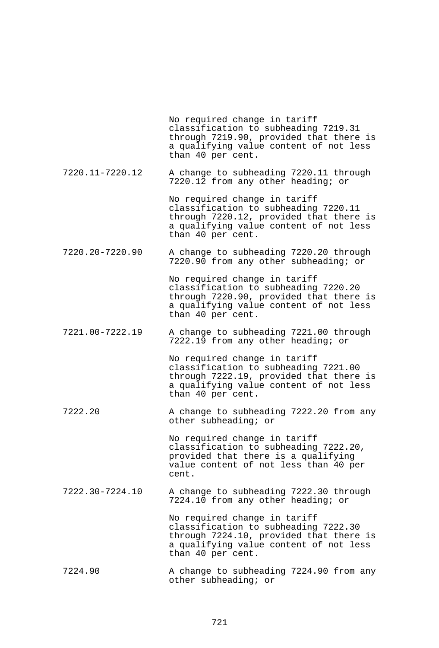No required change in tariff classification to subheading 7219.31 through 7219.90, provided that there is a qualifying value content of not less than 40 per cent.

7220.11-7220.12 A change to subheading 7220.11 through 7220.12 from any other heading; or

> No required change in tariff classification to subheading 7220.11 through 7220.12, provided that there is a qualifying value content of not less than 40 per cent.

7220.20-7220.90 A change to subheading 7220.20 through 7220.90 from any other subheading; or

> No required change in tariff classification to subheading 7220.20 through 7220.90, provided that there is a qualifying value content of not less than 40 per cent.

7221.00-7222.19 A change to subheading 7221.00 through 7222.19 from any other heading; or

> No required change in tariff classification to subheading 7221.00 through 7222.19, provided that there is a qualifying value content of not less than 40 per cent.

7222.20 A change to subheading 7222.20 from any other subheading; or

> No required change in tariff classification to subheading 7222.20, provided that there is a qualifying value content of not less than 40 per cent.

7222.30-7224.10 A change to subheading 7222.30 through 7224.10 from any other heading; or

> No required change in tariff classification to subheading 7222.30 through 7224.10, provided that there is a qualifying value content of not less than 40 per cent.

7224.90 A change to subheading 7224.90 from any other subheading; or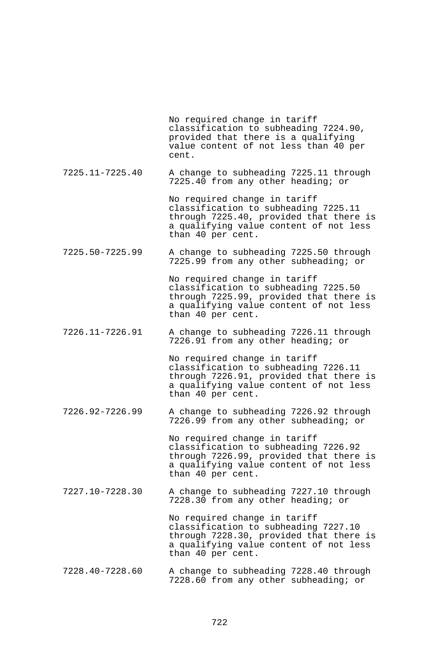No required change in tariff classification to subheading 7224.90, provided that there is a qualifying value content of not less than 40 per cent.

7225.11-7225.40 A change to subheading 7225.11 through 7225.40 from any other heading; or

> No required change in tariff classification to subheading 7225.11 through 7225.40, provided that there is a qualifying value content of not less than 40 per cent.

7225.50-7225.99 A change to subheading 7225.50 through 7225.99 from any other subheading; or

> No required change in tariff classification to subheading 7225.50 through 7225.99, provided that there is a qualifying value content of not less than 40 per cent.

7226.11-7226.91 A change to subheading 7226.11 through 7226.91 from any other heading; or

> No required change in tariff classification to subheading 7226.11 through 7226.91, provided that there is a qualifying value content of not less than 40 per cent.

7226.92-7226.99 A change to subheading 7226.92 through 7226.99 from any other subheading; or

> No required change in tariff classification to subheading 7226.92 through 7226.99, provided that there is a qualifying value content of not less than 40 per cent.

7227.10-7228.30 A change to subheading 7227.10 through 7228.30 from any other heading; or

> No required change in tariff classification to subheading 7227.10 through 7228.30, provided that there is a qualifying value content of not less than 40 per cent.

7228.40-7228.60 A change to subheading 7228.40 through 7228.60 from any other subheading; or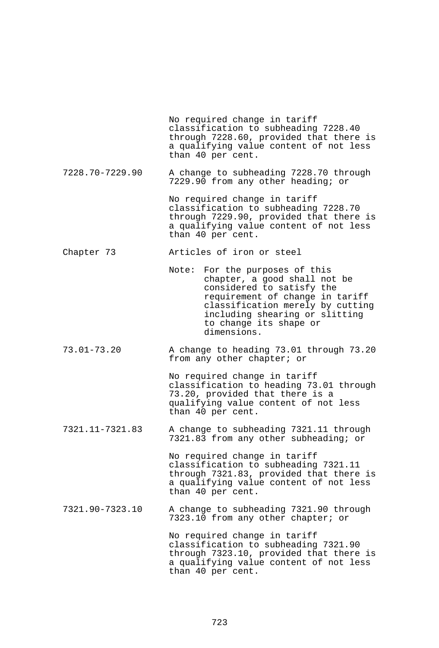No required change in tariff classification to subheading 7228.40 through 7228.60, provided that there is a qualifying value content of not less than 40 per cent. 7228.70-7229.90 A change to subheading 7228.70 through 7229.90 from any other heading; or No required change in tariff classification to subheading 7228.70 through 7229.90, provided that there is a qualifying value content of not less than 40 per cent. Chapter 73 Articles of iron or steel Note: For the purposes of this chapter, a good shall not be considered to satisfy the requirement of change in tariff classification merely by cutting including shearing or slitting to change its shape or dimensions. 73.01-73.20 A change to heading 73.01 through 73.20 from any other chapter; or No required change in tariff classification to heading 73.01 through 73.20, provided that there is a qualifying value content of not less than 40 per cent. 7321.11-7321.83 A change to subheading 7321.11 through 7321.83 from any other subheading; or No required change in tariff classification to subheading 7321.11 through 7321.83, provided that there is a qualifying value content of not less than 40 per cent. 7321.90-7323.10 A change to subheading 7321.90 through 7323.10 from any other chapter; or No required change in tariff classification to subheading 7321.90 through 7323.10, provided that there is a qualifying value content of not less than 40 per cent.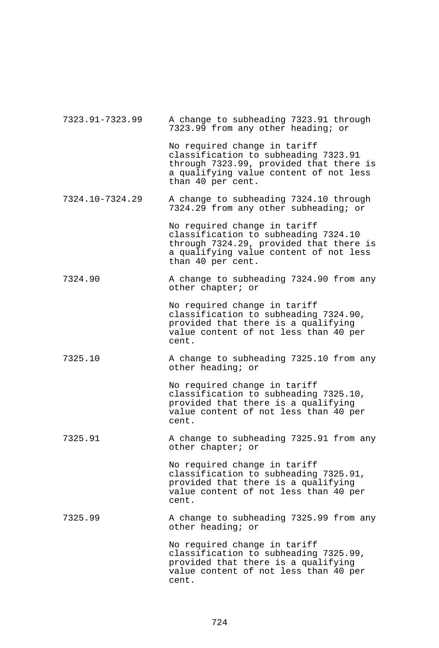| 7323.91-7323.99 | A change to subheading 7323.91 through<br>7323.99 from any other heading; or                                                                                                   |
|-----------------|--------------------------------------------------------------------------------------------------------------------------------------------------------------------------------|
|                 | No required change in tariff<br>classification to subheading 7323.91<br>through 7323.99, provided that there is<br>a qualifying value content of not less<br>than 40 per cent. |
| 7324.10-7324.29 | A change to subheading 7324.10 through<br>7324.29 from any other subheading; or                                                                                                |
|                 | No required change in tariff<br>classification to subheading 7324.10<br>through 7324.29, provided that there is<br>a qualifying value content of not less<br>than 40 per cent. |
| 7324.90         | A change to subheading 7324.90 from any<br>other chapter; or                                                                                                                   |
|                 | No required change in tariff<br>classification to subheading 7324.90,<br>provided that there is a qualifying<br>value content of not less than 40 per<br>cent.                 |
| 7325.10         | A change to subheading 7325.10 from any<br>other heading; or                                                                                                                   |
|                 | No required change in tariff<br>classification to subheading 7325.10,<br>provided that there is a qualifying<br>value content of not less than 40 per<br>cent.                 |
| 7325.91         | A change to subheading 7325.91 from any<br>other chapter; or                                                                                                                   |
|                 | No required change in tariff<br>classification to subheading 7325.91,<br>provided that there is a qualifying<br>value content of not less than 40 per<br>cent.                 |
| 7325.99         | A change to subheading 7325.99 from any<br>other heading; or                                                                                                                   |
|                 | No required change in tariff<br>classification to subheading 7325.99,<br>provided that there is a qualifying<br>value content of not less than 40 per<br>cent.                 |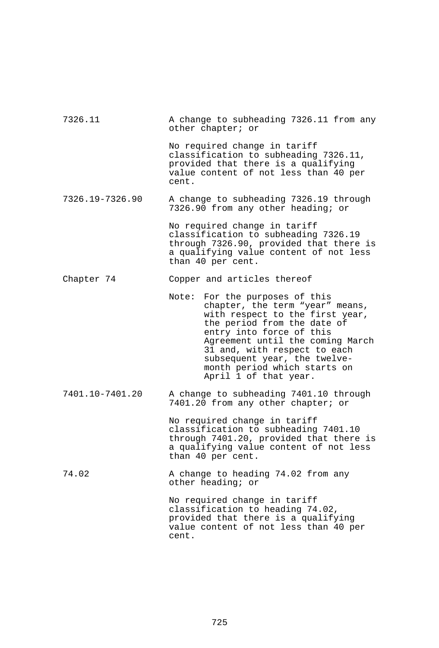| 7326.11         | A change to subheading 7326.11 from any<br>other chapter; or                                                                                                                                                                                                                                                                    |
|-----------------|---------------------------------------------------------------------------------------------------------------------------------------------------------------------------------------------------------------------------------------------------------------------------------------------------------------------------------|
|                 | No required change in tariff<br>classification to subheading 7326.11,<br>provided that there is a qualifying<br>value content of not less than 40 per<br>cent.                                                                                                                                                                  |
| 7326.19-7326.90 | A change to subheading 7326.19 through<br>7326.90 from any other heading; or                                                                                                                                                                                                                                                    |
|                 | No required change in tariff<br>classification to subheading 7326.19<br>through 7326.90, provided that there is<br>a qualifying value content of not less<br>than 40 per cent.                                                                                                                                                  |
| Chapter 74      | Copper and articles thereof                                                                                                                                                                                                                                                                                                     |
|                 | Note:<br>For the purposes of this<br>chapter, the term "year" means,<br>with respect to the first year,<br>the period from the date of<br>entry into force of this<br>Agreement until the coming March<br>31 and, with respect to each<br>subsequent year, the twelve-<br>month period which starts on<br>April 1 of that year. |
| 7401.10-7401.20 | A change to subheading 7401.10 through<br>7401.20 from any other chapter; or                                                                                                                                                                                                                                                    |
|                 | No required change in tariff<br>classification to subheading 7401.10<br>through 7401.20, provided that there is<br>a qualifying value content of not less<br>than 40 per cent.                                                                                                                                                  |
| 74.02           | A change to heading 74.02 from any<br>other heading; or                                                                                                                                                                                                                                                                         |
|                 | No required change in tariff<br>classification to heading 74.02,<br>provided that there is a qualifying<br>value content of not less than 40 per<br>cent.                                                                                                                                                                       |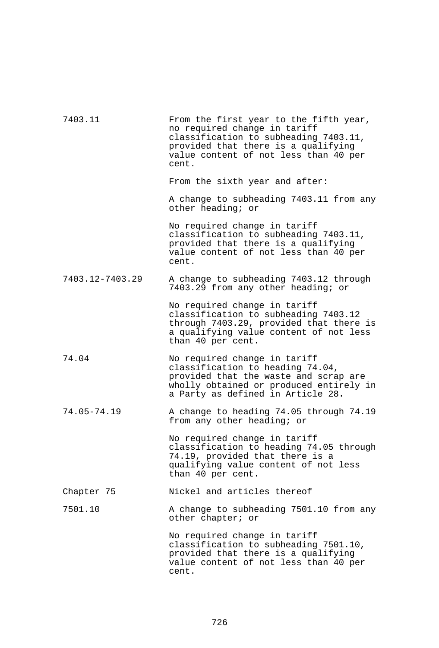| 7403.11         | From the first year to the fifth year,<br>no required change in tariff<br>classification to subheading 7403.11,<br>provided that there is a qualifying<br>value content of not less than 40 per<br>cent. |
|-----------------|----------------------------------------------------------------------------------------------------------------------------------------------------------------------------------------------------------|
|                 | From the sixth year and after:                                                                                                                                                                           |
|                 | A change to subheading 7403.11 from any<br>other heading; or                                                                                                                                             |
|                 | No required change in tariff<br>classification to subheading 7403.11,<br>provided that there is a qualifying<br>value content of not less than 40 per<br>cent.                                           |
| 7403.12-7403.29 | A change to subheading 7403.12 through<br>7403.29 from any other heading; or                                                                                                                             |
|                 | No required change in tariff<br>classification to subheading 7403.12<br>through 7403.29, provided that there is<br>a qualifying value content of not less<br>than 40 per cent.                           |
| 74.04           | No required change in tariff<br>classification to heading 74.04,<br>provided that the waste and scrap are<br>wholly obtained or produced entirely in<br>a Party as defined in Article 28.                |
| $74.05 - 74.19$ | A change to heading 74.05 through 74.19<br>from any other heading; or                                                                                                                                    |
|                 | No required change in tariff<br>classification to heading 74.05 through<br>74.19, provided that there is a<br>qualifying value content of not less<br>than 40 per cent.                                  |
| Chapter 75      | Nickel and articles thereof                                                                                                                                                                              |
| 7501.10         | A change to subheading 7501.10 from any<br>other chapter; or                                                                                                                                             |
|                 | No required change in tariff<br>classification to subheading 7501.10,<br>provided that there is a qualifying<br>value content of not less than 40 per<br>cent.                                           |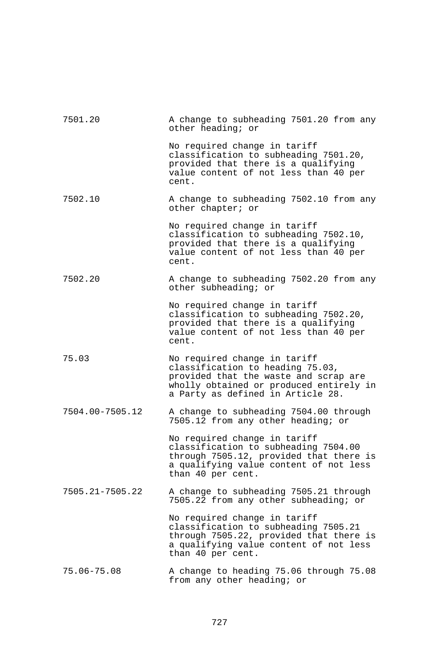| 7501.20         | A change to subheading 7501.20 from any<br>other heading; or                                                                                                                              |
|-----------------|-------------------------------------------------------------------------------------------------------------------------------------------------------------------------------------------|
|                 | No required change in tariff<br>classification to subheading 7501.20,<br>provided that there is a qualifying<br>value content of not less than 40 per<br>cent.                            |
| 7502.10         | A change to subheading 7502.10 from any<br>other chapter; or                                                                                                                              |
|                 | No required change in tariff<br>classification to subheading 7502.10,<br>provided that there is a qualifying<br>value content of not less than 40 per<br>cent.                            |
| 7502.20         | A change to subheading 7502.20 from any<br>other subheading; or                                                                                                                           |
|                 | No required change in tariff<br>classification to subheading 7502.20,<br>provided that there is a qualifying<br>value content of not less than 40 per<br>cent.                            |
| 75.03           | No required change in tariff<br>classification to heading 75.03,<br>provided that the waste and scrap are<br>wholly obtained or produced entirely in<br>a Party as defined in Article 28. |
| 7504.00-7505.12 | A change to subheading 7504.00 through<br>7505.12 from any other heading; or                                                                                                              |
|                 | No required change in tariff<br>classification to subheading 7504.00<br>through 7505.12, provided that there is<br>a qualifying value content of not less<br>than 40 per cent.            |
| 7505.21-7505.22 | A change to subheading 7505.21 through<br>7505.22 from any other subheading; or                                                                                                           |
|                 | No required change in tariff<br>classification to subheading 7505.21<br>through 7505.22, provided that there is<br>a qualifying value content of not less<br>than 40 per cent.            |
| $75.06 - 75.08$ | A change to heading 75.06 through 75.08<br>from any other heading; or                                                                                                                     |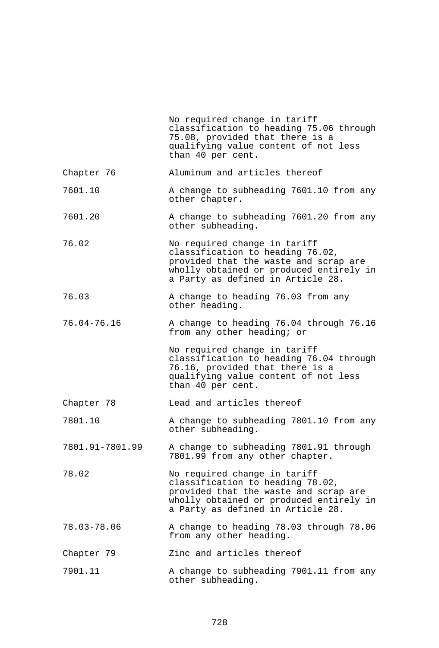|                 | No required change in tariff<br>classification to heading 75.06 through<br>75.08, provided that there is a<br>qualifying value content of not less<br>than 40 per cent.                   |
|-----------------|-------------------------------------------------------------------------------------------------------------------------------------------------------------------------------------------|
| Chapter 76      | Aluminum and articles thereof                                                                                                                                                             |
| 7601.10         | A change to subheading 7601.10 from any<br>other chapter.                                                                                                                                 |
| 7601.20         | A change to subheading 7601.20 from any<br>other subheading.                                                                                                                              |
| 76.02           | No required change in tariff<br>classification to heading 76.02,<br>provided that the waste and scrap are<br>wholly obtained or produced entirely in<br>a Party as defined in Article 28. |
| 76.03           | A change to heading 76.03 from any<br>other heading.                                                                                                                                      |
| $76.04 - 76.16$ | A change to heading 76.04 through 76.16<br>from any other heading; or                                                                                                                     |
|                 | No required change in tariff<br>classification to heading 76.04 through<br>76.16, provided that there is a<br>qualifying value content of not less<br>than 40 per cent.                   |
| Chapter 78      | Lead and articles thereof                                                                                                                                                                 |
| 7801.10         | A change to subheading 7801.10 from any<br>other subheading.                                                                                                                              |
| 7801.91-7801.99 | A change to subheading 7801.91 through<br>7801.99 from any other chapter.                                                                                                                 |
| 78.02           | No required change in tariff<br>classification to heading 78.02,<br>provided that the waste and scrap are<br>wholly obtained or produced entirely in<br>a Party as defined in Article 28. |
| $78.03 - 78.06$ | A change to heading 78.03 through 78.06<br>from any other heading.                                                                                                                        |
| Chapter 79      | Zinc and articles thereof                                                                                                                                                                 |
| 7901.11         | A change to subheading 7901.11 from any<br>other subheading.                                                                                                                              |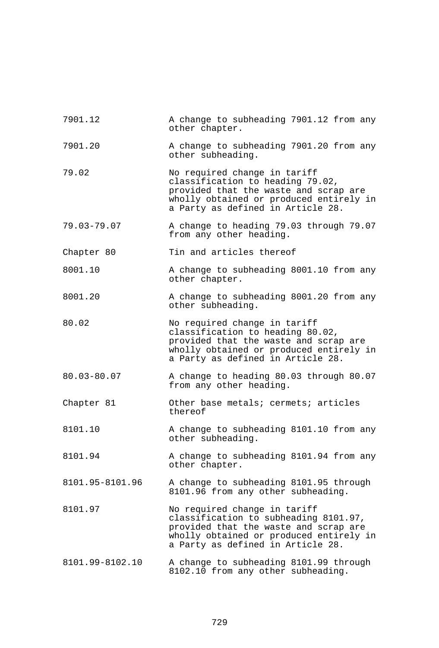| 7901.12         | A change to subheading 7901.12 from any<br>other chapter.                                                                                                                                      |
|-----------------|------------------------------------------------------------------------------------------------------------------------------------------------------------------------------------------------|
| 7901.20         | A change to subheading 7901.20 from any<br>other subheading.                                                                                                                                   |
| 79.02           | No required change in tariff<br>classification to heading 79.02,<br>provided that the waste and scrap are<br>wholly obtained or produced entirely in<br>a Party as defined in Article 28.      |
| $79.03 - 79.07$ | A change to heading 79.03 through 79.07<br>from any other heading.                                                                                                                             |
| Chapter 80      | Tin and articles thereof                                                                                                                                                                       |
| 8001.10         | A change to subheading 8001.10 from any<br>other chapter.                                                                                                                                      |
| 8001.20         | A change to subheading 8001.20 from any<br>other subheading.                                                                                                                                   |
| 80.02           | No required change in tariff<br>classification to heading 80.02,<br>provided that the waste and scrap are<br>wholly obtained or produced entirely in<br>a Party as defined in Article 28.      |
| 80.03-80.07     | A change to heading 80.03 through 80.07<br>from any other heading.                                                                                                                             |
| Chapter 81      | Other base metals; cermets; articles<br>thereof                                                                                                                                                |
| 8101.10         | A change to subheading 8101.10 from any<br>other subheading.                                                                                                                                   |
| 8101.94         | A change to subheading 8101.94 from any<br>other chapter.                                                                                                                                      |
| 8101.95-8101.96 | A change to subheading 8101.95 through<br>8101.96 from any other subheading.                                                                                                                   |
| 8101.97         | No required change in tariff<br>classification to subheading 8101.97,<br>provided that the waste and scrap are<br>wholly obtained or produced entirely in<br>a Party as defined in Article 28. |
| 8101.99-8102.10 | A change to subheading 8101.99 through<br>8102.10 from any other subheading.                                                                                                                   |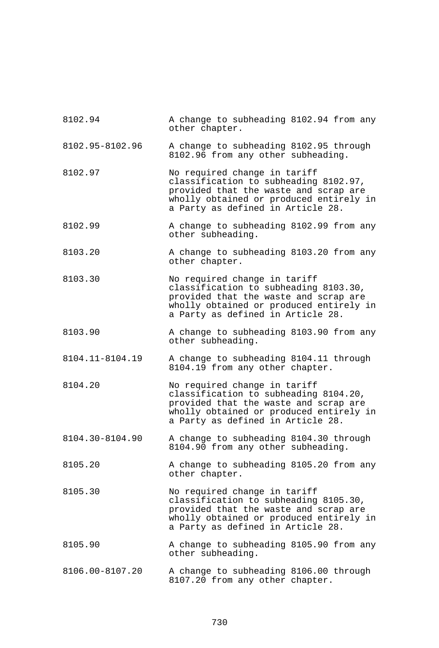| 8102.94         | A change to subheading 8102.94 from any<br>other chapter.                                                                                                                                      |
|-----------------|------------------------------------------------------------------------------------------------------------------------------------------------------------------------------------------------|
| 8102.95-8102.96 | A change to subheading 8102.95 through<br>8102.96 from any other subheading.                                                                                                                   |
| 8102.97         | No required change in tariff<br>classification to subheading 8102.97,<br>provided that the waste and scrap are<br>wholly obtained or produced entirely in<br>a Party as defined in Article 28. |
| 8102.99         | A change to subheading 8102.99 from any<br>other subheading.                                                                                                                                   |
| 8103.20         | A change to subheading 8103.20 from any<br>other chapter.                                                                                                                                      |
| 8103.30         | No required change in tariff<br>classification to subheading 8103.30,<br>provided that the waste and scrap are<br>wholly obtained or produced entirely in<br>a Party as defined in Article 28. |
| 8103.90         | A change to subheading 8103.90 from any<br>other subheading.                                                                                                                                   |
| 8104.11-8104.19 | A change to subheading 8104.11 through<br>8104.19 from any other chapter.                                                                                                                      |
| 8104.20         | No required change in tariff<br>classification to subheading 8104.20,<br>provided that the waste and scrap are<br>wholly obtained or produced entirely in<br>a Party as defined in Article 28. |
| 8104.30-8104.90 | A change to subheading 8104.30 through<br>8104.90 from any other subheading.                                                                                                                   |
| 8105.20         | A change to subheading 8105.20 from any<br>other chapter.                                                                                                                                      |
| 8105.30         | No required change in tariff<br>classification to subheading 8105.30,<br>provided that the waste and scrap are<br>wholly obtained or produced entirely in<br>a Party as defined in Article 28. |
| 8105.90         | A change to subheading 8105.90 from any<br>other subheading.                                                                                                                                   |
| 8106.00-8107.20 | A change to subheading 8106.00 through<br>8107.20 from any other chapter.                                                                                                                      |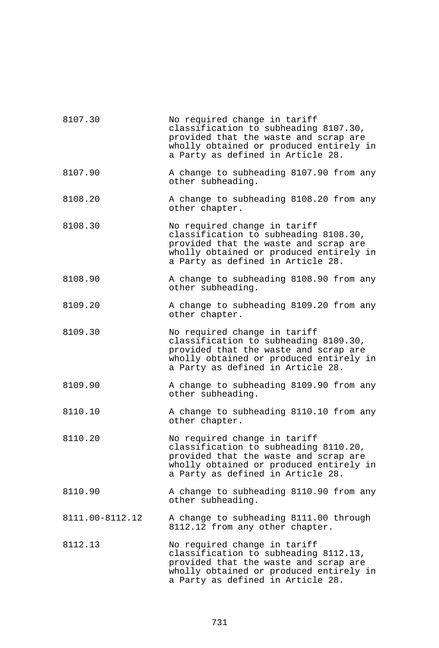| 8107.30         | No required change in tariff<br>classification to subheading 8107.30,<br>provided that the waste and scrap are<br>wholly obtained or produced entirely in<br>a Party as defined in Article 28. |
|-----------------|------------------------------------------------------------------------------------------------------------------------------------------------------------------------------------------------|
| 8107.90         | A change to subheading 8107.90 from any<br>other subheading.                                                                                                                                   |
| 8108.20         | A change to subheading 8108.20 from any<br>other chapter.                                                                                                                                      |
| 8108.30         | No required change in tariff<br>classification to subheading 8108.30,<br>provided that the waste and scrap are<br>wholly obtained or produced entirely in<br>a Party as defined in Article 28. |
| 8108.90         | A change to subheading 8108.90 from any<br>other subheading.                                                                                                                                   |
| 8109.20         | A change to subheading 8109.20 from any<br>other chapter.                                                                                                                                      |
| 8109.30         | No required change in tariff<br>classification to subheading 8109.30,<br>provided that the waste and scrap are<br>wholly obtained or produced entirely in<br>a Party as defined in Article 28. |
| 8109.90         | A change to subheading 8109.90 from any<br>other subheading.                                                                                                                                   |
| 8110.10         | A change to subheading 8110.10 from any<br>other chapter.                                                                                                                                      |
| 8110.20         | No required change in tariff<br>classification to subheading 8110.20,<br>provided that the waste and scrap are<br>wholly obtained or produced entirely in<br>a Party as defined in Article 28. |
| 8110.90         | A change to subheading 8110.90 from any<br>other subheading.                                                                                                                                   |
| 8111.00-8112.12 | A change to subheading 8111.00 through<br>8112.12 from any other chapter.                                                                                                                      |
| 8112.13         | No required change in tariff<br>classification to subheading 8112.13,<br>provided that the waste and scrap are<br>wholly obtained or produced entirely in<br>a Party as defined in Article 28. |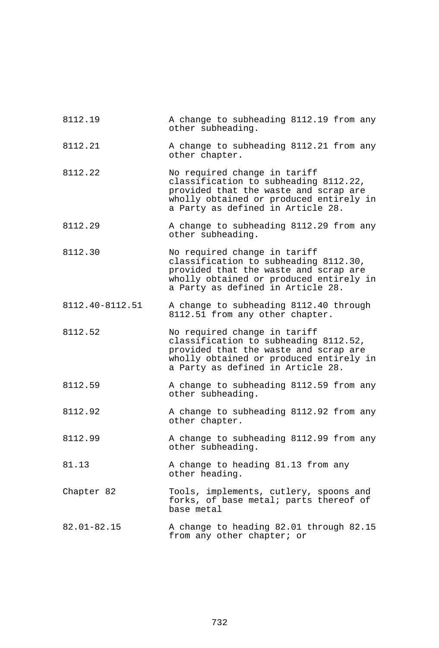| 8112.19         | A change to subheading 8112.19 from any<br>other subheading.                                                                                                                                   |
|-----------------|------------------------------------------------------------------------------------------------------------------------------------------------------------------------------------------------|
| 8112.21         | A change to subheading 8112.21 from any<br>other chapter.                                                                                                                                      |
| 8112.22         | No required change in tariff<br>classification to subheading 8112.22,<br>provided that the waste and scrap are<br>wholly obtained or produced entirely in<br>a Party as defined in Article 28. |
| 8112.29         | A change to subheading 8112.29 from any<br>other subheading.                                                                                                                                   |
| 8112.30         | No required change in tariff<br>classification to subheading 8112.30,<br>provided that the waste and scrap are<br>wholly obtained or produced entirely in<br>a Party as defined in Article 28. |
| 8112.40-8112.51 | A change to subheading 8112.40 through<br>8112.51 from any other chapter.                                                                                                                      |
| 8112.52         | No required change in tariff<br>classification to subheading 8112.52,<br>provided that the waste and scrap are<br>wholly obtained or produced entirely in<br>a Party as defined in Article 28. |
| 8112.59         | A change to subheading 8112.59 from any<br>other subheading.                                                                                                                                   |
| 8112.92         | A change to subheading 8112.92 from any<br>other chapter.                                                                                                                                      |
| 8112.99         | A change to subheading 8112.99 from any<br>other subheading.                                                                                                                                   |
| 81.13           | A change to heading 81.13 from any<br>other heading.                                                                                                                                           |
| Chapter 82      | Tools, implements, cutlery, spoons and<br>forks, of base metal; parts thereof of<br>base metal                                                                                                 |
| $82.01 - 82.15$ | A change to heading 82.01 through 82.15<br>from any other chapter; or                                                                                                                          |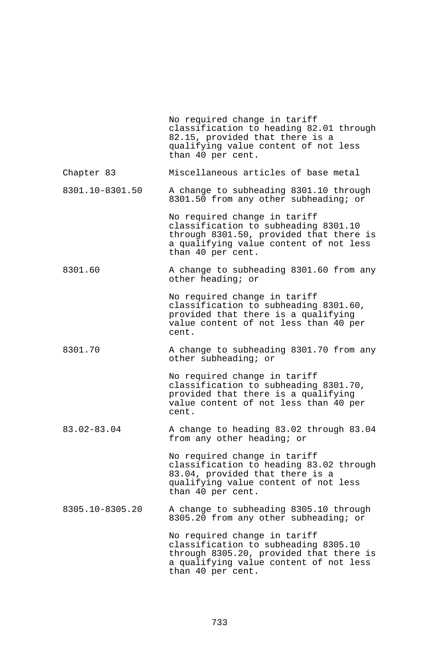|                 | No required change in tariff<br>classification to heading 82.01 through<br>82.15, provided that there is a<br>qualifying value content of not less<br>than 40 per cent.        |
|-----------------|--------------------------------------------------------------------------------------------------------------------------------------------------------------------------------|
| Chapter 83      | Miscellaneous articles of base metal                                                                                                                                           |
| 8301.10-8301.50 | A change to subheading 8301.10 through<br>8301.50 from any other subheading; or                                                                                                |
|                 | No required change in tariff<br>classification to subheading 8301.10<br>through 8301.50, provided that there is<br>a qualifying value content of not less<br>than 40 per cent. |
| 8301.60         | A change to subheading 8301.60 from any<br>other heading; or                                                                                                                   |
|                 | No required change in tariff<br>classification to subheading 8301.60,<br>provided that there is a qualifying<br>value content of not less than 40 per<br>cent.                 |
| 8301.70         | A change to subheading 8301.70 from any<br>other subheading; or                                                                                                                |
|                 | No required change in tariff<br>classification to subheading 8301.70,<br>provided that there is a qualifying<br>value content of not less than 40 per<br>cent.                 |
| $83.02 - 83.04$ | A change to heading 83.02 through 83.04<br>from any other heading; or                                                                                                          |
|                 | No required change in tariff<br>classification to heading 83.02 through<br>83.04, provided that there is a<br>qualifying value content of not less<br>than 40 per cent.        |
| 8305.10-8305.20 | A change to subheading 8305.10 through<br>8305.20 from any other subheading; or                                                                                                |
|                 | No required change in tariff<br>classification to subheading 8305.10<br>through 8305.20, provided that there is<br>a qualifying value content of not less<br>than 40 per cent. |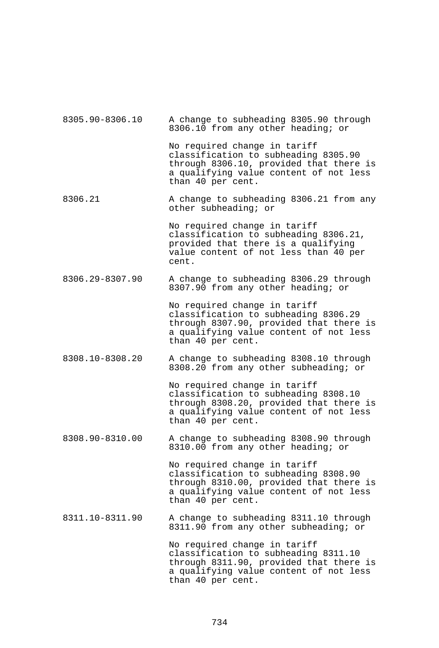| 8305.90-8306.10 | A change to subheading 8305.90 through<br>8306.10 from any other heading; or                                                                                                   |
|-----------------|--------------------------------------------------------------------------------------------------------------------------------------------------------------------------------|
|                 | No required change in tariff<br>classification to subheading 8305.90<br>through 8306.10, provided that there is<br>a qualifying value content of not less<br>than 40 per cent. |
| 8306.21         | A change to subheading 8306.21 from any<br>other subheading; or                                                                                                                |
|                 | No required change in tariff<br>classification to subheading 8306.21,<br>provided that there is a qualifying<br>value content of not less than 40 per<br>cent.                 |
| 8306.29-8307.90 | A change to subheading 8306.29 through<br>8307.90 from any other heading; or                                                                                                   |
|                 | No required change in tariff<br>classification to subheading 8306.29<br>through 8307.90, provided that there is<br>a qualifying value content of not less<br>than 40 per cent. |
| 8308.10-8308.20 | A change to subheading 8308.10 through<br>8308.20 from any other subheading; or                                                                                                |
|                 | No required change in tariff<br>classification to subheading 8308.10<br>through 8308.20, provided that there is<br>a qualifying value content of not less<br>than 40 per cent. |
| 8308.90-8310.00 | A change to subheading 8308.90 through<br>8310.00 from any other heading; or                                                                                                   |
|                 | No required change in tariff<br>classification to subheading 8308.90<br>through 8310.00, provided that there is<br>a qualifying value content of not less<br>than 40 per cent. |
| 8311.10-8311.90 | A change to subheading 8311.10 through<br>8311.90 from any other subheading; or                                                                                                |
|                 | No required change in tariff<br>classification to subheading 8311.10<br>through 8311.90, provided that there is<br>a qualifying value content of not less<br>than 40 per cent. |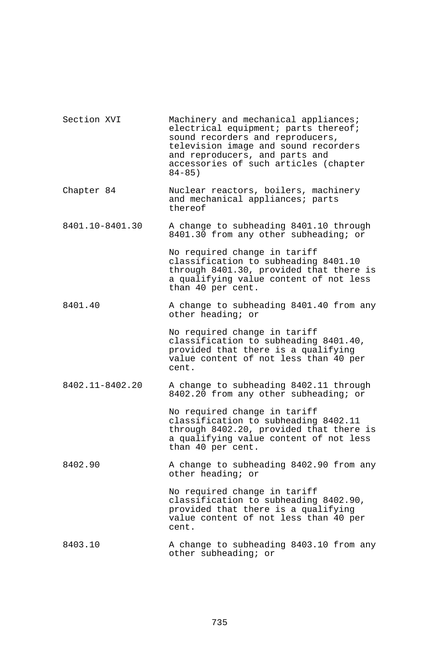| Section XVI     | Machinery and mechanical appliances;<br>electrical equipment; parts thereof;<br>sound recorders and reproducers,<br>television image and sound recorders<br>and reproducers, and parts and<br>accessories of such articles (chapter<br>$84 - 85$ ) |
|-----------------|----------------------------------------------------------------------------------------------------------------------------------------------------------------------------------------------------------------------------------------------------|
| Chapter 84      | Nuclear reactors, boilers, machinery<br>and mechanical appliances; parts<br>thereof                                                                                                                                                                |
| 8401.10-8401.30 | A change to subheading 8401.10 through<br>8401.30 from any other subheading; or                                                                                                                                                                    |
|                 | No required change in tariff<br>classification to subheading 8401.10<br>through 8401.30, provided that there is<br>a qualifying value content of not less<br>than 40 per cent.                                                                     |
| 8401.40         | A change to subheading 8401.40 from any<br>other heading; or                                                                                                                                                                                       |
|                 | No required change in tariff<br>classification to subheading 8401.40,<br>provided that there is a qualifying<br>value content of not less than 40 per<br>cent.                                                                                     |
| 8402.11-8402.20 | A change to subheading 8402.11 through<br>8402.20 from any other subheading; or                                                                                                                                                                    |
|                 | No required change in tariff<br>classification to subheading 8402.11<br>through 8402.20, provided that there is<br>a qualifying value content of not less<br>than 40 per cent.                                                                     |
| 8402.90         | A change to subheading 8402.90 from any<br>other heading; or                                                                                                                                                                                       |
|                 | No required change in tariff<br>classification to subheading 8402.90,<br>provided that there is a qualifying<br>value content of not less than 40 per<br>cent.                                                                                     |
| 8403.10         | A change to subheading 8403.10 from any<br>other subheading; or                                                                                                                                                                                    |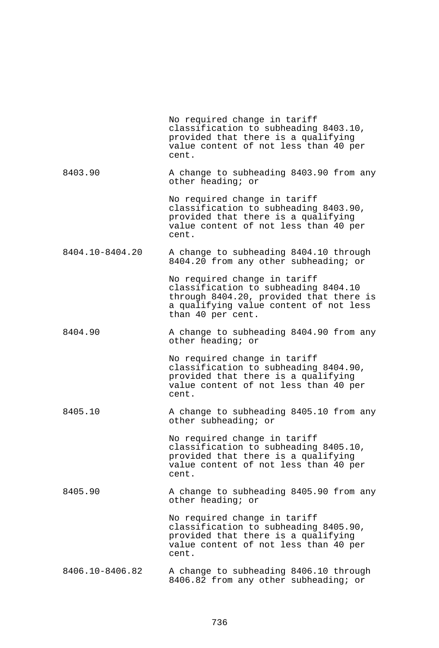|                 | No required change in tariff<br>classification to subheading 8403.10,<br>provided that there is a qualifying<br>value content of not less than 40 per<br>cent.                 |
|-----------------|--------------------------------------------------------------------------------------------------------------------------------------------------------------------------------|
| 8403.90         | A change to subheading 8403.90 from any<br>other heading; or                                                                                                                   |
|                 | No required change in tariff<br>classification to subheading 8403.90,<br>provided that there is a qualifying<br>value content of not less than 40 per<br>cent.                 |
| 8404.10-8404.20 | A change to subheading 8404.10 through<br>8404.20 from any other subheading; or                                                                                                |
|                 | No required change in tariff<br>classification to subheading 8404.10<br>through 8404.20, provided that there is<br>a qualifying value content of not less<br>than 40 per cent. |
| 8404.90         | A change to subheading 8404.90 from any<br>other heading; or                                                                                                                   |
|                 | No required change in tariff<br>classification to subheading 8404.90,<br>provided that there is a qualifying<br>value content of not less than 40 per<br>cent.                 |
| 8405.10         | A change to subheading 8405.10 from any<br>other subheading; or                                                                                                                |
|                 | No required change in tariff<br>classification to subheading 8405.10,<br>provided that there is a qualifying<br>value content of not less than 40 per<br>cent.                 |
| 8405.90         | A change to subheading 8405.90 from any<br>other heading; or                                                                                                                   |
|                 | No required change in tariff<br>classification to subheading 8405.90,<br>provided that there is a qualifying<br>value content of not less than 40 per<br>cent.                 |
| 8406.10-8406.82 | A change to subheading 8406.10 through<br>8406.82 from any other subheading; or                                                                                                |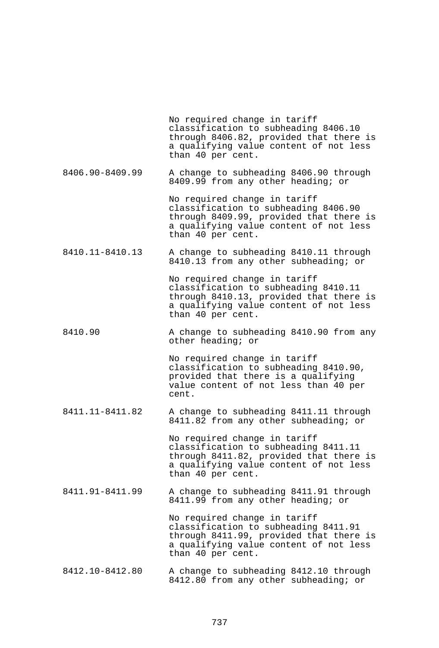No required change in tariff classification to subheading 8406.10 through 8406.82, provided that there is a qualifying value content of not less than 40 per cent. 8406.90-8409.99 A change to subheading 8406.90 through 8409.99 from any other heading; or No required change in tariff classification to subheading 8406.90 through 8409.99, provided that there is a qualifying value content of not less than 40 per cent. 8410.11-8410.13 A change to subheading 8410.11 through 8410.13 from any other subheading; or No required change in tariff classification to subheading 8410.11 through 8410.13, provided that there is a qualifying value content of not less than 40 per cent. 8410.90 A change to subheading 8410.90 from any other heading; or No required change in tariff classification to subheading 8410.90, provided that there is a qualifying value content of not less than 40 per cent. 8411.11-8411.82 A change to subheading 8411.11 through 8411.82 from any other subheading; or No required change in tariff classification to subheading 8411.11 through 8411.82, provided that there is a qualifying value content of not less than 40 per cent. 8411.91-8411.99 A change to subheading 8411.91 through 8411.99 from any other heading; or No required change in tariff classification to subheading 8411.91 through 8411.99, provided that there is a qualifying value content of not less than 40 per cent. 8412.10-8412.80 A change to subheading 8412.10 through 8412.80 from any other subheading; or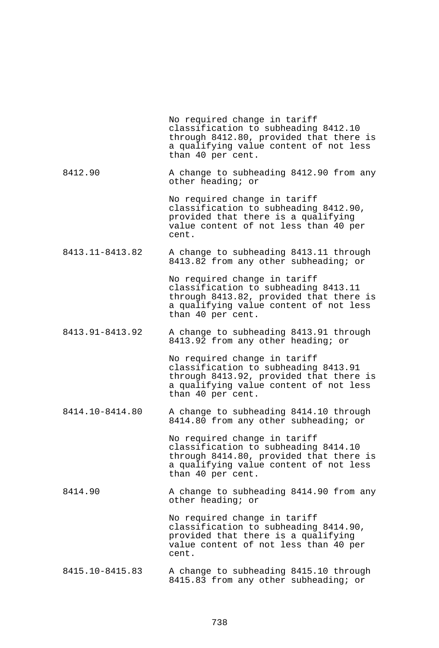|                 | No required change in tariff<br>classification to subheading 8412.10<br>through 8412.80, provided that there is<br>a qualifying value content of not less<br>than 40 per cent. |
|-----------------|--------------------------------------------------------------------------------------------------------------------------------------------------------------------------------|
| 8412.90         | A change to subheading 8412.90 from any<br>other heading; or                                                                                                                   |
|                 | No required change in tariff<br>classification to subheading 8412.90,<br>provided that there is a qualifying<br>value content of not less than 40 per<br>cent.                 |
| 8413.11-8413.82 | A change to subheading 8413.11 through<br>8413.82 from any other subheading; or                                                                                                |
|                 | No required change in tariff<br>classification to subheading 8413.11<br>through 8413.82, provided that there is<br>a qualifying value content of not less<br>than 40 per cent. |
| 8413.91-8413.92 | A change to subheading 8413.91 through<br>8413.92 from any other heading; or                                                                                                   |
|                 | No required change in tariff<br>classification to subheading 8413.91<br>through 8413.92, provided that there is<br>a qualifying value content of not less<br>than 40 per cent. |
| 8414.10-8414.80 | A change to subheading 8414.10 through<br>8414.80 from any other subheading; or                                                                                                |
|                 | No required change in tariff<br>classification to subheading 8414.10<br>through 8414.80, provided that there is<br>a qualifying value content of not less<br>than 40 per cent. |
| 8414.90         | A change to subheading 8414.90 from any<br>other heading; or                                                                                                                   |
|                 | No required change in tariff<br>classification to subheading 8414.90,<br>provided that there is a qualifying<br>value content of not less than 40 per<br>cent.                 |
| 8415.10-8415.83 | A change to subheading 8415.10 through<br>8415.83 from any other subheading; or                                                                                                |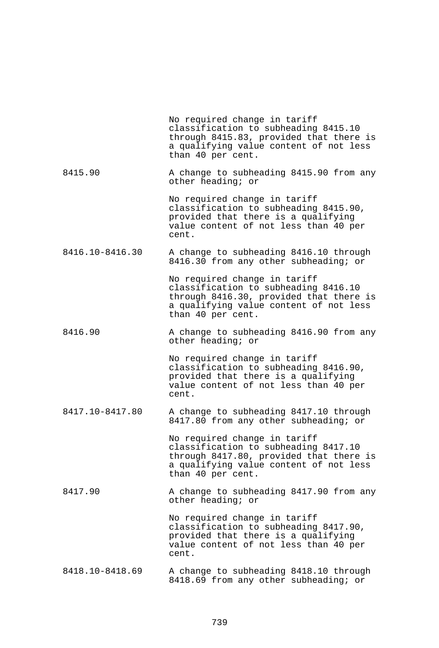|                 | No required change in tariff<br>classification to subheading 8415.10<br>through 8415.83, provided that there is<br>a qualifying value content of not less<br>than 40 per cent. |
|-----------------|--------------------------------------------------------------------------------------------------------------------------------------------------------------------------------|
| 8415.90         | A change to subheading 8415.90 from any<br>other heading; or                                                                                                                   |
|                 | No required change in tariff<br>classification to subheading 8415.90,<br>provided that there is a qualifying<br>value content of not less than 40 per<br>cent.                 |
| 8416.10-8416.30 | A change to subheading 8416.10 through<br>8416.30 from any other subheading; or                                                                                                |
|                 | No required change in tariff<br>classification to subheading 8416.10<br>through 8416.30, provided that there is<br>a qualifying value content of not less<br>than 40 per cent. |
| 8416.90         | A change to subheading 8416.90 from any<br>other heading; or                                                                                                                   |
|                 | No required change in tariff<br>classification to subheading 8416.90,<br>provided that there is a qualifying<br>value content of not less than 40 per<br>cent.                 |
| 8417.10-8417.80 | A change to subheading 8417.10 through<br>8417.80 from any other subheading; or                                                                                                |
|                 | No required change in tariff<br>classification to subheading 8417.10<br>through 8417.80, provided that there is<br>a qualifying value content of not less<br>than 40 per cent. |
| 8417.90         | A change to subheading 8417.90 from any<br>other heading; or                                                                                                                   |
|                 | No required change in tariff<br>classification to subheading 8417.90,<br>provided that there is a qualifying<br>value content of not less than 40 per<br>cent.                 |
| 8418.10-8418.69 | A change to subheading 8418.10 through<br>8418.69 from any other subheading; or                                                                                                |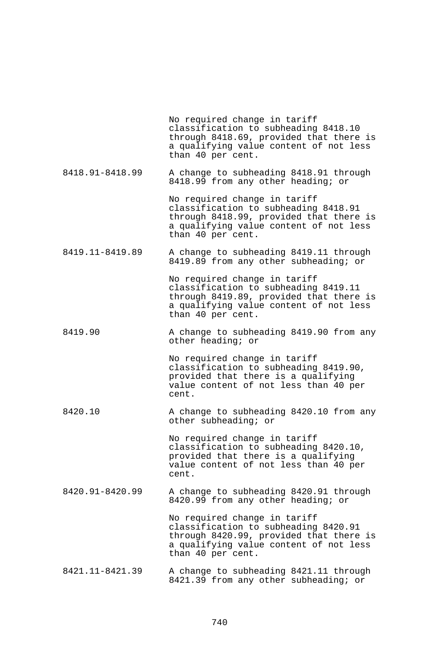|                 | No required change in tariff<br>classification to subheading 8418.10<br>through 8418.69, provided that there is<br>a qualifying value content of not less<br>than 40 per cent. |
|-----------------|--------------------------------------------------------------------------------------------------------------------------------------------------------------------------------|
| 8418.91-8418.99 | A change to subheading 8418.91 through<br>8418.99 from any other heading; or                                                                                                   |
|                 | No required change in tariff<br>classification to subheading 8418.91<br>through 8418.99, provided that there is<br>a qualifying value content of not less<br>than 40 per cent. |
| 8419.11-8419.89 | A change to subheading 8419.11 through<br>8419.89 from any other subheading; or                                                                                                |
|                 | No required change in tariff<br>classification to subheading 8419.11<br>through 8419.89, provided that there is<br>a qualifying value content of not less<br>than 40 per cent. |
| 8419.90         | A change to subheading 8419.90 from any<br>other heading; or                                                                                                                   |
|                 | No required change in tariff<br>classification to subheading 8419.90,<br>provided that there is a qualifying<br>value content of not less than 40 per<br>cent.                 |
| 8420.10         | A change to subheading 8420.10 from any<br>other subheading; or                                                                                                                |
|                 | No required change in tariff<br>classification to subheading 8420.10,<br>provided that there is a qualifying<br>value content of not less than 40 per<br>cent.                 |
| 8420.91-8420.99 | A change to subheading 8420.91 through<br>8420.99 from any other heading; or                                                                                                   |
|                 | No required change in tariff<br>classification to subheading 8420.91<br>through 8420.99, provided that there is<br>a qualifying value content of not less<br>than 40 per cent. |
| 8421.11-8421.39 | A change to subheading 8421.11 through<br>8421.39 from any other subheading; or                                                                                                |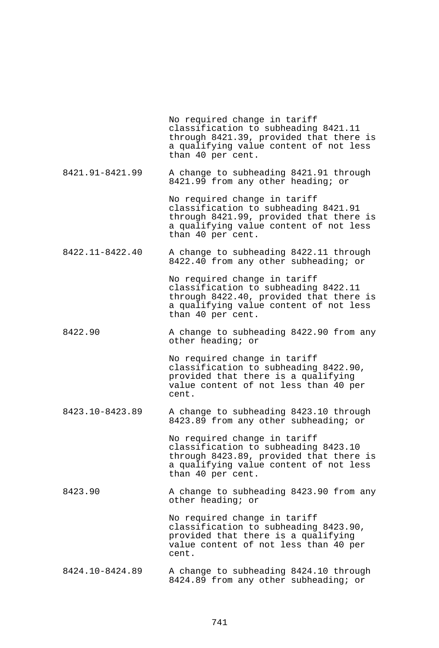No required change in tariff classification to subheading 8421.11 through 8421.39, provided that there is a qualifying value content of not less than 40 per cent. 8421.91-8421.99 A change to subheading 8421.91 through 8421.99 from any other heading; or No required change in tariff classification to subheading 8421.91 through 8421.99, provided that there is a qualifying value content of not less than 40 per cent. 8422.11-8422.40 A change to subheading 8422.11 through 8422.40 from any other subheading; or No required change in tariff classification to subheading 8422.11 through 8422.40, provided that there is a qualifying value content of not less than 40 per cent. 8422.90 A change to subheading 8422.90 from any other heading; or No required change in tariff classification to subheading 8422.90, provided that there is a qualifying value content of not less than 40 per cent. 8423.10-8423.89 A change to subheading 8423.10 through 8423.89 from any other subheading; or No required change in tariff classification to subheading 8423.10 through 8423.89, provided that there is a qualifying value content of not less than 40 per cent. 8423.90 A change to subheading 8423.90 from any other heading; or No required change in tariff classification to subheading 8423.90, provided that there is a qualifying value content of not less than 40 per cent. 8424.10-8424.89 A change to subheading 8424.10 through 8424.89 from any other subheading; or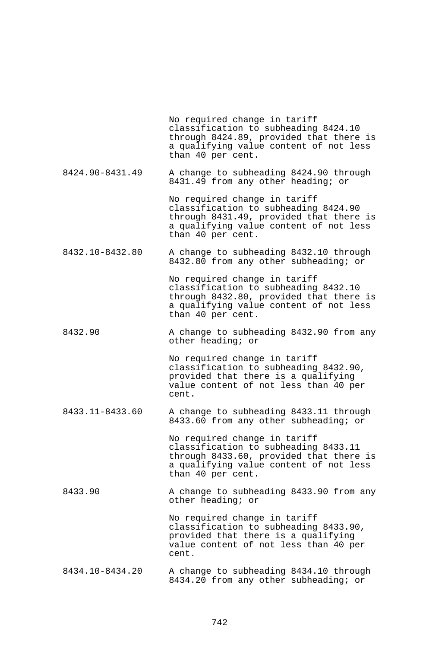No required change in tariff classification to subheading 8424.10 through 8424.89, provided that there is a qualifying value content of not less than 40 per cent. 8424.90-8431.49 A change to subheading 8424.90 through 8431.49 from any other heading; or No required change in tariff classification to subheading 8424.90 through 8431.49, provided that there is a qualifying value content of not less than 40 per cent. 8432.10-8432.80 A change to subheading 8432.10 through 8432.80 from any other subheading; or No required change in tariff classification to subheading 8432.10 through 8432.80, provided that there is a qualifying value content of not less than 40 per cent. 8432.90 A change to subheading 8432.90 from any other heading; or No required change in tariff classification to subheading 8432.90, provided that there is a qualifying value content of not less than 40 per cent. 8433.11-8433.60 A change to subheading 8433.11 through 8433.60 from any other subheading; or No required change in tariff classification to subheading 8433.11 through 8433.60, provided that there is a qualifying value content of not less than 40 per cent. 8433.90 A change to subheading 8433.90 from any other heading; or No required change in tariff classification to subheading 8433.90, provided that there is a qualifying value content of not less than 40 per cent. 8434.10-8434.20 A change to subheading 8434.10 through 8434.20 from any other subheading; or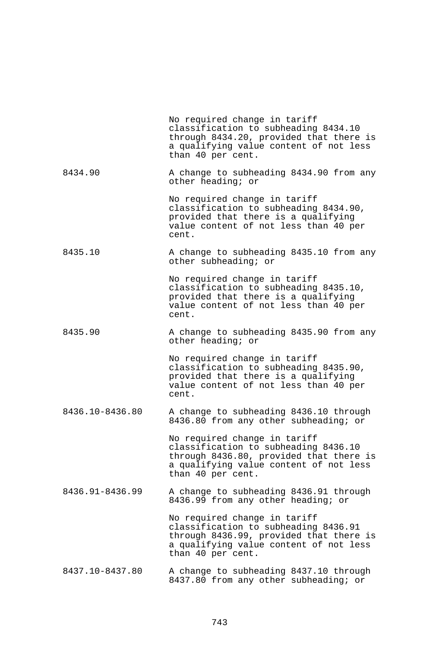|                 | No required change in tariff<br>classification to subheading 8434.10<br>through 8434.20, provided that there is<br>a qualifying value content of not less<br>than 40 per cent. |
|-----------------|--------------------------------------------------------------------------------------------------------------------------------------------------------------------------------|
| 8434.90         | A change to subheading 8434.90 from any<br>other heading; or                                                                                                                   |
|                 | No required change in tariff<br>classification to subheading 8434.90,<br>provided that there is a qualifying<br>value content of not less than 40 per<br>cent.                 |
| 8435.10         | A change to subheading 8435.10 from any<br>other subheading; or                                                                                                                |
|                 | No required change in tariff<br>classification to subheading 8435.10,<br>provided that there is a qualifying<br>value content of not less than 40 per<br>cent.                 |
| 8435.90         | A change to subheading 8435.90 from any<br>other heading; or                                                                                                                   |
|                 | No required change in tariff<br>classification to subheading 8435.90,<br>provided that there is a qualifying<br>value content of not less than 40 per<br>cent.                 |
| 8436.10-8436.80 | A change to subheading 8436.10 through<br>8436.80 from any other subheading; or                                                                                                |
|                 | No required change in tariff<br>classification to subheading 8436.10<br>through 8436.80, provided that there is<br>a qualifying value content of not less<br>than 40 per cent. |
| 8436.91-8436.99 | A change to subheading 8436.91 through<br>8436.99 from any other heading; or                                                                                                   |
|                 | No required change in tariff<br>classification to subheading 8436.91<br>through 8436.99, provided that there is<br>a qualifying value content of not less<br>than 40 per cent. |
| 8437.10-8437.80 | A change to subheading 8437.10 through<br>8437.80 from any other subheading; or                                                                                                |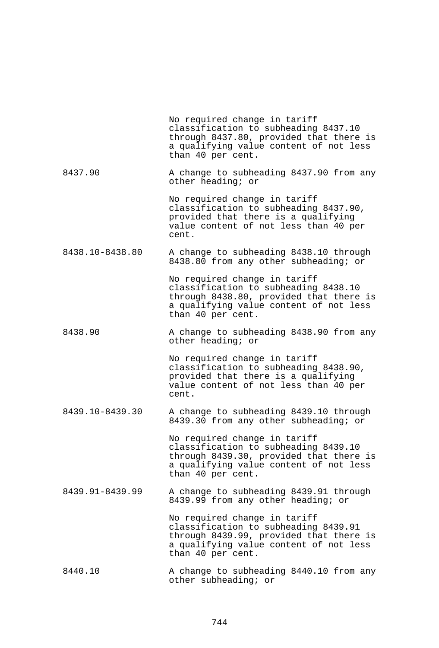|                 | No required change in tariff<br>classification to subheading 8437.10<br>through 8437.80, provided that there is<br>a qualifying value content of not less<br>than 40 per cent. |
|-----------------|--------------------------------------------------------------------------------------------------------------------------------------------------------------------------------|
| 8437.90         | A change to subheading 8437.90 from any<br>other heading; or                                                                                                                   |
|                 | No required change in tariff<br>classification to subheading 8437.90,<br>provided that there is a qualifying<br>value content of not less than 40 per<br>cent.                 |
| 8438.10-8438.80 | A change to subheading 8438.10 through<br>8438.80 from any other subheading; or                                                                                                |
|                 | No required change in tariff<br>classification to subheading 8438.10<br>through 8438.80, provided that there is<br>a qualifying value content of not less<br>than 40 per cent. |
| 8438.90         | A change to subheading 8438.90 from any<br>other heading; or                                                                                                                   |
|                 | No required change in tariff<br>classification to subheading 8438.90,<br>provided that there is a qualifying<br>value content of not less than 40 per<br>cent.                 |
| 8439.10-8439.30 | A change to subheading 8439.10 through<br>8439.30 from any other subheading; or                                                                                                |
|                 | No required change in tariff<br>classification to subheading 8439.10<br>through 8439.30, provided that there is<br>a qualifying value content of not less<br>than 40 per cent. |
| 8439.91-8439.99 | A change to subheading 8439.91 through<br>8439.99 from any other heading; or                                                                                                   |
|                 | No required change in tariff<br>classification to subheading 8439.91<br>through 8439.99, provided that there is<br>a qualifying value content of not less<br>than 40 per cent. |
| 8440.10         | A change to subheading 8440.10 from any<br>other subheading; or                                                                                                                |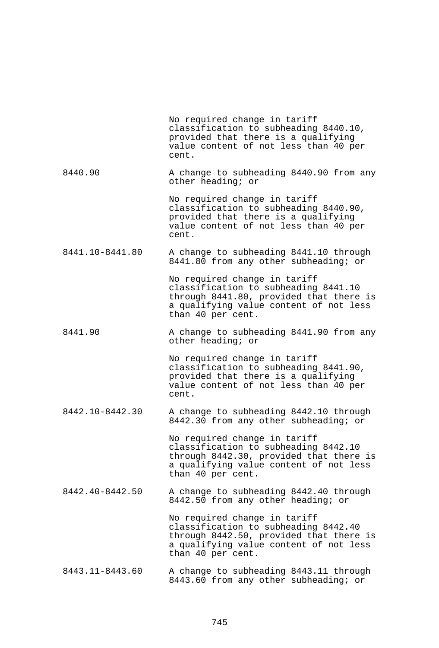|                 | No required change in tariff<br>classification to subheading 8440.10,<br>provided that there is a qualifying<br>value content of not less than 40 per<br>cent.                 |
|-----------------|--------------------------------------------------------------------------------------------------------------------------------------------------------------------------------|
| 8440.90         | A change to subheading 8440.90 from any<br>other heading; or                                                                                                                   |
|                 | No required change in tariff<br>classification to subheading 8440.90,<br>provided that there is a qualifying<br>value content of not less than 40 per<br>cent.                 |
| 8441.10-8441.80 | A change to subheading 8441.10 through<br>8441.80 from any other subheading; or                                                                                                |
|                 | No required change in tariff<br>classification to subheading 8441.10<br>through 8441.80, provided that there is<br>a qualifying value content of not less<br>than 40 per cent. |
| 8441.90         | A change to subheading 8441.90 from any<br>other heading; or                                                                                                                   |
|                 | No required change in tariff<br>classification to subheading 8441.90,<br>provided that there is a qualifying<br>value content of not less than 40 per<br>cent.                 |
| 8442.10-8442.30 | A change to subheading 8442.10 through<br>8442.30 from any other subheading; or                                                                                                |
|                 | No required change in tariff<br>classification to subheading 8442.10<br>through 8442.30, provided that there is<br>a qualifying value content of not less<br>than 40 per cent. |
| 8442.40-8442.50 | A change to subheading 8442.40 through<br>8442.50 from any other heading; or                                                                                                   |
|                 | No required change in tariff<br>classification to subheading 8442.40<br>through 8442.50, provided that there is<br>a qualifying value content of not less<br>than 40 per cent. |
| 8443.11-8443.60 | A change to subheading 8443.11 through<br>8443.60 from any other subheading; or                                                                                                |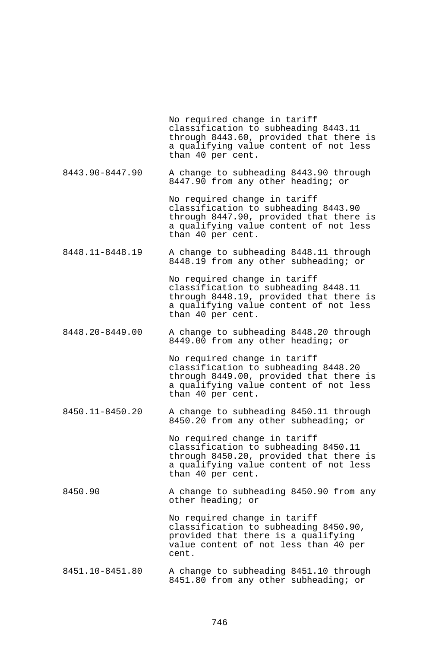No required change in tariff classification to subheading 8443.11 through 8443.60, provided that there is a qualifying value content of not less than 40 per cent.

8443.90-8447.90 A change to subheading 8443.90 through 8447.90 from any other heading; or

> No required change in tariff classification to subheading 8443.90 through 8447.90, provided that there is a qualifying value content of not less than 40 per cent.

8448.11-8448.19 A change to subheading 8448.11 through 8448.19 from any other subheading; or

> No required change in tariff classification to subheading 8448.11 through 8448.19, provided that there is a qualifying value content of not less than 40 per cent.

8448.20-8449.00 A change to subheading 8448.20 through 8449.00 from any other heading; or

> No required change in tariff classification to subheading 8448.20 through 8449.00, provided that there is a qualifying value content of not less than 40 per cent.

8450.11-8450.20 A change to subheading 8450.11 through 8450.20 from any other subheading; or

> No required change in tariff classification to subheading 8450.11 through 8450.20, provided that there is a qualifying value content of not less than 40 per cent.

8450.90 A change to subheading 8450.90 from any other heading; or

> No required change in tariff classification to subheading 8450.90, provided that there is a qualifying value content of not less than 40 per cent.

8451.10-8451.80 A change to subheading 8451.10 through 8451.80 from any other subheading; or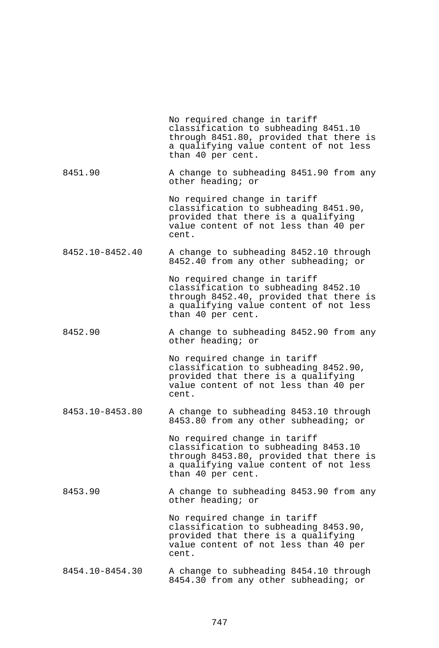|                 | No required change in tariff<br>classification to subheading 8451.10<br>through 8451.80, provided that there is<br>a qualifying value content of not less<br>than 40 per cent. |
|-----------------|--------------------------------------------------------------------------------------------------------------------------------------------------------------------------------|
| 8451.90         | A change to subheading 8451.90 from any<br>other heading; or                                                                                                                   |
|                 | No required change in tariff<br>classification to subheading 8451.90,<br>provided that there is a qualifying<br>value content of not less than 40 per<br>cent.                 |
| 8452.10-8452.40 | A change to subheading 8452.10 through<br>8452.40 from any other subheading; or                                                                                                |
|                 | No required change in tariff<br>classification to subheading 8452.10<br>through 8452.40, provided that there is<br>a qualifying value content of not less<br>than 40 per cent. |
| 8452.90         | A change to subheading 8452.90 from any<br>other heading; or                                                                                                                   |
|                 | No required change in tariff<br>classification to subheading 8452.90,<br>provided that there is a qualifying<br>value content of not less than 40 per<br>cent.                 |
| 8453.10-8453.80 | A change to subheading 8453.10 through<br>8453.80 from any other subheading; or                                                                                                |
|                 | No required change in tariff<br>classification to subheading 8453.10<br>through 8453.80, provided that there is<br>a qualifying value content of not less<br>than 40 per cent. |
| 8453.90         | A change to subheading 8453.90 from any<br>other heading; or                                                                                                                   |
|                 | No required change in tariff<br>classification to subheading 8453.90,<br>provided that there is a qualifying<br>value content of not less than 40 per<br>cent.                 |
| 8454.10-8454.30 | A change to subheading 8454.10 through<br>8454.30 from any other subheading; or                                                                                                |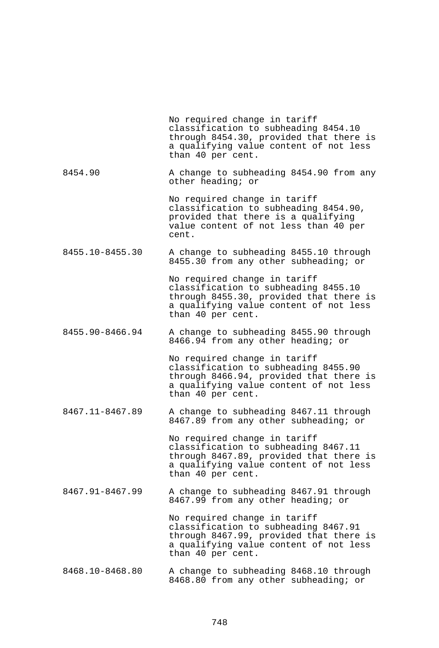|                 | No required change in tariff<br>classification to subheading 8454.10<br>through 8454.30, provided that there is<br>a qualifying value content of not less<br>than 40 per cent. |
|-----------------|--------------------------------------------------------------------------------------------------------------------------------------------------------------------------------|
| 8454.90         | A change to subheading 8454.90 from any<br>other heading; or                                                                                                                   |
|                 | No required change in tariff<br>classification to subheading 8454.90,<br>provided that there is a qualifying<br>value content of not less than 40 per<br>cent.                 |
| 8455.10-8455.30 | A change to subheading 8455.10 through<br>8455.30 from any other subheading; or                                                                                                |
|                 | No required change in tariff<br>classification to subheading 8455.10<br>through 8455.30, provided that there is<br>a qualifying value content of not less<br>than 40 per cent. |
| 8455.90-8466.94 | A change to subheading 8455.90 through<br>8466.94 from any other heading; or                                                                                                   |
|                 | No required change in tariff<br>classification to subheading 8455.90<br>through 8466.94, provided that there is<br>a qualifying value content of not less<br>than 40 per cent. |
| 8467.11-8467.89 | A change to subheading 8467.11 through<br>8467.89 from any other subheading; or                                                                                                |
|                 | No required change in tariff<br>classification to subheading 8467.11<br>through 8467.89, provided that there is<br>a qualifying value content of not less<br>than 40 per cent. |
| 8467.91-8467.99 | A change to subheading 8467.91 through<br>8467.99 from any other heading; or                                                                                                   |
|                 | No required change in tariff<br>classification to subheading 8467.91<br>through 8467.99, provided that there is<br>a qualifying value content of not less<br>than 40 per cent. |
| 8468.10-8468.80 | A change to subheading 8468.10 through<br>8468.80 from any other subheading; or                                                                                                |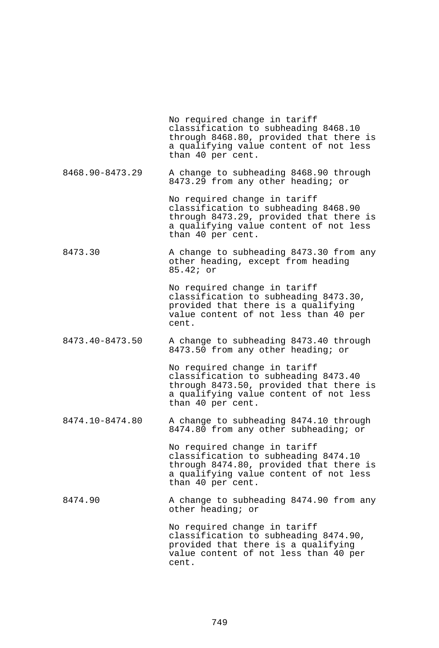No required change in tariff classification to subheading 8468.10 through 8468.80, provided that there is a qualifying value content of not less than 40 per cent. 8468.90-8473.29 A change to subheading 8468.90 through 8473.29 from any other heading; or No required change in tariff classification to subheading 8468.90 through 8473.29, provided that there is a qualifying value content of not less than 40 per cent. 8473.30 A change to subheading 8473.30 from any other heading, except from heading 85.42; or No required change in tariff classification to subheading 8473.30, provided that there is a qualifying value content of not less than 40 per cent. 8473.40-8473.50 A change to subheading 8473.40 through 8473.50 from any other heading; or No required change in tariff classification to subheading 8473.40 through 8473.50, provided that there is a qualifying value content of not less than 40 per cent. 8474.10-8474.80 A change to subheading 8474.10 through 8474.80 from any other subheading; or No required change in tariff classification to subheading 8474.10 through 8474.80, provided that there is a qualifying value content of not less than 40 per cent. 8474.90 A change to subheading 8474.90 from any other heading; or No required change in tariff classification to subheading 8474.90, provided that there is a qualifying value content of not less than 40 per cent.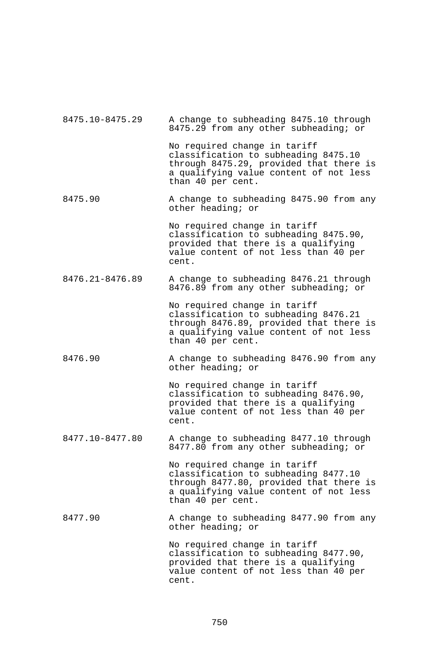| 8475.10-8475.29 | A change to subheading 8475.10 through<br>8475.29 from any other subheading; or                                                                                                |
|-----------------|--------------------------------------------------------------------------------------------------------------------------------------------------------------------------------|
|                 | No required change in tariff<br>classification to subheading 8475.10<br>through 8475.29, provided that there is<br>a qualifying value content of not less<br>than 40 per cent. |
| 8475.90         | A change to subheading 8475.90 from any<br>other heading; or                                                                                                                   |
|                 | No required change in tariff<br>classification to subheading 8475.90,<br>provided that there is a qualifying<br>value content of not less than 40 per<br>cent.                 |
| 8476.21-8476.89 | A change to subheading 8476.21 through<br>8476.89 from any other subheading; or                                                                                                |
|                 | No required change in tariff<br>classification to subheading 8476.21<br>through 8476.89, provided that there is<br>a qualifying value content of not less<br>than 40 per cent. |
| 8476.90         | A change to subheading 8476.90 from any<br>other heading; or                                                                                                                   |
|                 | No required change in tariff<br>classification to subheading 8476.90,<br>provided that there is a qualifying<br>value content of not less than 40 per<br>cent.                 |
| 8477.10-8477.80 | A change to subheading 8477.10 through<br>8477.80 from any other subheading; or                                                                                                |
|                 | No required change in tariff<br>classification to subheading 8477.10<br>through 8477.80, provided that there is<br>a qualifying value content of not less<br>than 40 per cent. |
| 8477.90         | A change to subheading 8477.90 from any<br>other heading; or                                                                                                                   |
|                 | No required change in tariff<br>classification to subheading 8477.90,<br>provided that there is a qualifying<br>value content of not less than 40 per<br>cent.                 |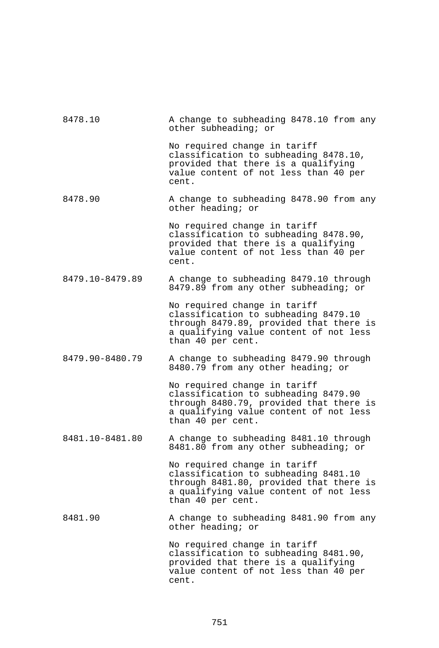| 8478.10         | A change to subheading 8478.10 from any<br>other subheading; or                                                                                                                |
|-----------------|--------------------------------------------------------------------------------------------------------------------------------------------------------------------------------|
|                 | No required change in tariff<br>classification to subheading 8478.10,<br>provided that there is a qualifying<br>value content of not less than 40 per<br>cent.                 |
| 8478.90         | A change to subheading 8478.90 from any<br>other heading; or                                                                                                                   |
|                 | No required change in tariff<br>classification to subheading 8478.90,<br>provided that there is a qualifying<br>value content of not less than 40 per<br>cent.                 |
| 8479.10-8479.89 | A change to subheading 8479.10 through<br>8479.89 from any other subheading; or                                                                                                |
|                 | No required change in tariff<br>classification to subheading 8479.10<br>through 8479.89, provided that there is<br>a qualifying value content of not less<br>than 40 per cent. |
| 8479.90-8480.79 | A change to subheading 8479.90 through<br>8480.79 from any other heading; or                                                                                                   |
|                 | No required change in tariff<br>classification to subheading 8479.90<br>through 8480.79, provided that there is<br>a qualifying value content of not less<br>than 40 per cent. |
| 8481.10-8481.80 | A change to subheading 8481.10 through<br>8481.80 from any other subheading; or                                                                                                |
|                 | No required change in tariff<br>classification to subheading 8481.10<br>through 8481.80, provided that there is<br>a qualifying value content of not less<br>than 40 per cent. |
| 8481.90         | A change to subheading 8481.90 from any<br>other heading; or                                                                                                                   |
|                 | No required change in tariff<br>classification to subheading 8481.90,<br>provided that there is a qualifying<br>value content of not less than 40 per<br>cent.                 |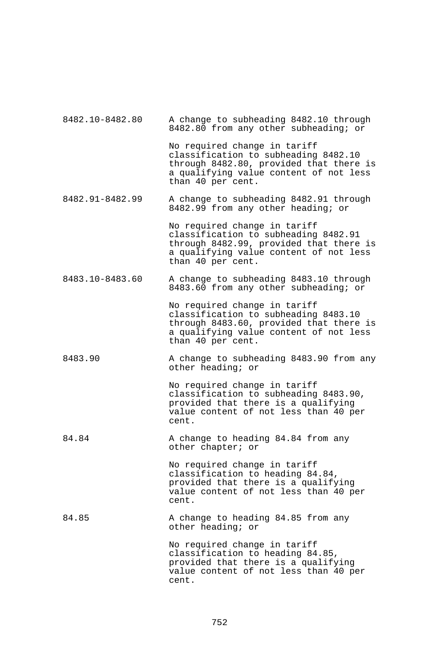| 8482.10-8482.80 | A change to subheading 8482.10 through<br>8482.80 from any other subheading; or                                                                                                |
|-----------------|--------------------------------------------------------------------------------------------------------------------------------------------------------------------------------|
|                 | No required change in tariff<br>classification to subheading 8482.10<br>through 8482.80, provided that there is<br>a qualifying value content of not less<br>than 40 per cent. |
| 8482.91-8482.99 | A change to subheading 8482.91 through<br>8482.99 from any other heading; or                                                                                                   |
|                 | No required change in tariff<br>classification to subheading 8482.91<br>through 8482.99, provided that there is<br>a qualifying value content of not less<br>than 40 per cent. |
| 8483.10-8483.60 | A change to subheading 8483.10 through<br>8483.60 from any other subheading; or                                                                                                |
|                 | No required change in tariff<br>classification to subheading 8483.10<br>through 8483.60, provided that there is<br>a qualifying value content of not less<br>than 40 per cent. |
| 8483.90         | A change to subheading 8483.90 from any<br>other heading; or                                                                                                                   |
|                 | No required change in tariff<br>classification to subheading 8483.90,<br>provided that there is a qualifying<br>value content of not less than 40 per<br>cent.                 |
| 84.84           | A change to heading 84.84 from any<br>other chapter; or                                                                                                                        |
|                 | No required change in tariff<br>classification to heading 84.84,<br>provided that there is a qualifying<br>value content of not less than 40 per<br>cent.                      |
| 84.85           | A change to heading 84.85 from any<br>other heading; or                                                                                                                        |
|                 | No required change in tariff<br>classification to heading 84.85,<br>provided that there is a qualifying<br>value content of not less than 40 per                               |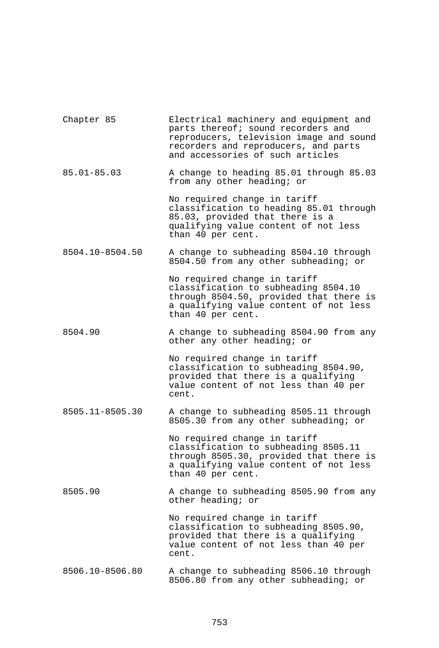| Chapter 85      | Electrical machinery and equipment and<br>parts thereof; sound recorders and<br>reproducers, television image and sound<br>recorders and reproducers, and parts<br>and accessories of such articles |
|-----------------|-----------------------------------------------------------------------------------------------------------------------------------------------------------------------------------------------------|
| $85.01 - 85.03$ | A change to heading 85.01 through 85.03<br>from any other heading; or                                                                                                                               |
|                 | No required change in tariff<br>classification to heading 85.01 through<br>85.03, provided that there is a<br>qualifying value content of not less<br>than 40 per cent.                             |
| 8504.10-8504.50 | A change to subheading 8504.10 through<br>8504.50 from any other subheading; or                                                                                                                     |
|                 | No required change in tariff<br>classification to subheading 8504.10<br>through 8504.50, provided that there is<br>a qualifying value content of not less<br>than 40 per cent.                      |
| 8504.90         | A change to subheading 8504.90 from any<br>other any other heading; or                                                                                                                              |
|                 | No required change in tariff<br>classification to subheading 8504.90,<br>provided that there is a qualifying<br>value content of not less than 40 per<br>cent.                                      |
| 8505.11-8505.30 | A change to subheading 8505.11 through<br>8505.30 from any other subheading; or                                                                                                                     |
|                 | No required change in tariff<br>classification to subheading 8505.11<br>through 8505.30, provided that there is<br>a qualifying value content of not less<br>than 40 per cent.                      |
| 8505.90         | A change to subheading 8505.90 from any<br>other heading; or                                                                                                                                        |
|                 | No required change in tariff<br>classification to subheading 8505.90,<br>provided that there is a qualifying<br>value content of not less than 40 per<br>cent.                                      |
| 8506.10-8506.80 | A change to subheading 8506.10 through<br>8506.80 from any other subheading; or                                                                                                                     |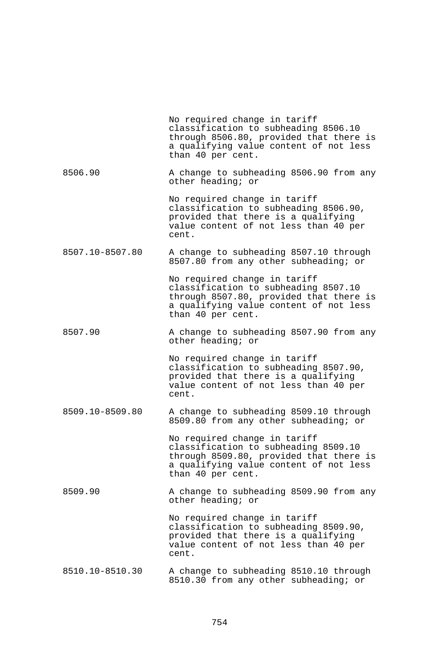|                 | No required change in tariff<br>classification to subheading 8506.10<br>through 8506.80, provided that there is<br>a qualifying value content of not less<br>than 40 per cent. |
|-----------------|--------------------------------------------------------------------------------------------------------------------------------------------------------------------------------|
| 8506.90         | A change to subheading 8506.90 from any<br>other heading; or                                                                                                                   |
|                 | No required change in tariff<br>classification to subheading 8506.90,<br>provided that there is a qualifying<br>value content of not less than 40 per<br>cent.                 |
| 8507.10-8507.80 | A change to subheading 8507.10 through<br>8507.80 from any other subheading; or                                                                                                |
|                 | No required change in tariff<br>classification to subheading 8507.10<br>through 8507.80, provided that there is<br>a qualifying value content of not less<br>than 40 per cent. |
| 8507.90         | A change to subheading 8507.90 from any<br>other heading; or                                                                                                                   |
|                 | No required change in tariff<br>classification to subheading 8507.90,<br>provided that there is a qualifying<br>value content of not less than 40 per<br>cent.                 |
| 8509.10-8509.80 | A change to subheading 8509.10 through<br>8509.80 from any other subheading; or                                                                                                |
|                 | No required change in tariff<br>classification to subheading 8509.10<br>through 8509.80, provided that there is<br>a qualifying value content of not less<br>than 40 per cent. |
| 8509.90         | A change to subheading 8509.90 from any<br>other heading; or                                                                                                                   |
|                 | No required change in tariff<br>classification to subheading 8509.90,<br>provided that there is a qualifying<br>value content of not less than 40 per<br>cent.                 |
| 8510.10-8510.30 | A change to subheading 8510.10 through<br>8510.30 from any other subheading; or                                                                                                |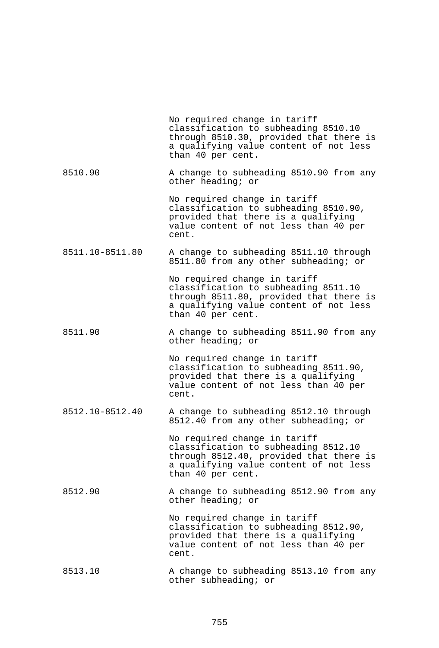|                 | No required change in tariff<br>classification to subheading 8510.10<br>through 8510.30, provided that there is<br>a qualifying value content of not less<br>than 40 per cent. |
|-----------------|--------------------------------------------------------------------------------------------------------------------------------------------------------------------------------|
| 8510.90         | A change to subheading 8510.90 from any<br>other heading; or                                                                                                                   |
|                 | No required change in tariff<br>classification to subheading 8510.90,<br>provided that there is a qualifying<br>value content of not less than 40 per<br>cent.                 |
| 8511.10-8511.80 | A change to subheading 8511.10 through<br>8511.80 from any other subheading; or                                                                                                |
|                 | No required change in tariff<br>classification to subheading 8511.10<br>through 8511.80, provided that there is<br>a qualifying value content of not less<br>than 40 per cent. |
| 8511.90         | A change to subheading 8511.90 from any<br>other heading; or                                                                                                                   |
|                 | No required change in tariff<br>classification to subheading 8511.90,<br>provided that there is a qualifying<br>value content of not less than 40 per<br>cent.                 |
| 8512.10-8512.40 | A change to subheading 8512.10 through<br>8512.40 from any other subheading; or                                                                                                |
|                 | No required change in tariff<br>classification to subheading 8512.10<br>through 8512.40, provided that there is<br>a qualifying value content of not less<br>than 40 per cent. |
| 8512.90         | A change to subheading 8512.90 from any<br>other heading; or                                                                                                                   |
|                 | No required change in tariff<br>classification to subheading 8512.90,<br>provided that there is a qualifying<br>value content of not less than 40 per<br>cent.                 |
| 8513.10         | A change to subheading 8513.10 from any<br>other subheading; or                                                                                                                |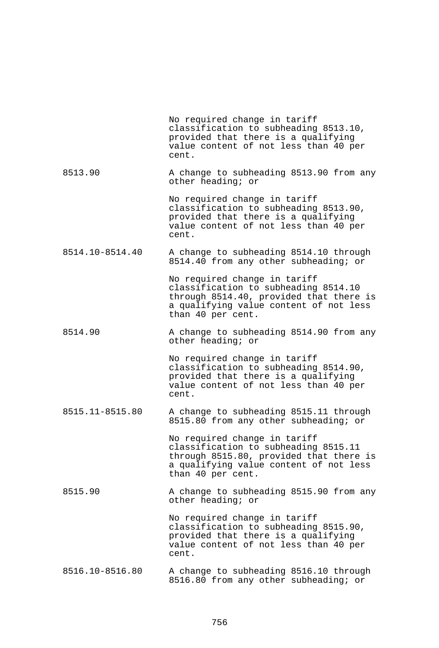|                 | No required change in tariff<br>classification to subheading 8513.10,<br>provided that there is a qualifying<br>value content of not less than 40 per<br>cent.                 |
|-----------------|--------------------------------------------------------------------------------------------------------------------------------------------------------------------------------|
| 8513.90         | A change to subheading 8513.90 from any<br>other heading; or                                                                                                                   |
|                 | No required change in tariff<br>classification to subheading 8513.90,<br>provided that there is a qualifying<br>value content of not less than 40 per<br>cent.                 |
| 8514.10-8514.40 | A change to subheading 8514.10 through<br>8514.40 from any other subheading; or                                                                                                |
|                 | No required change in tariff<br>classification to subheading 8514.10<br>through 8514.40, provided that there is<br>a qualifying value content of not less<br>than 40 per cent. |
| 8514.90         | A change to subheading 8514.90 from any<br>other heading; or                                                                                                                   |
|                 | No required change in tariff<br>classification to subheading 8514.90,<br>provided that there is a qualifying<br>value content of not less than 40 per<br>cent.                 |
| 8515.11-8515.80 | A change to subheading 8515.11 through<br>8515.80 from any other subheading; or                                                                                                |
|                 | No required change in tariff<br>classification to subheading 8515.11<br>through 8515.80, provided that there is<br>a qualifying value content of not less<br>than 40 per cent. |
| 8515.90         | A change to subheading 8515.90 from any<br>other heading; or                                                                                                                   |
|                 | No required change in tariff<br>classification to subheading 8515.90,<br>provided that there is a qualifying<br>value content of not less than 40 per<br>cent.                 |
| 8516.10-8516.80 | A change to subheading 8516.10 through<br>8516.80 from any other subheading; or                                                                                                |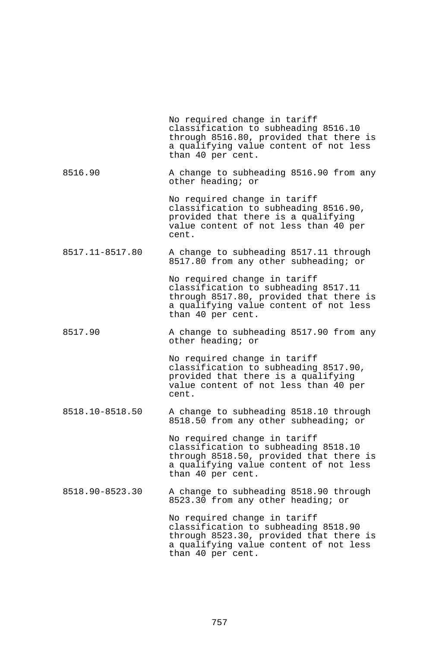|                 | No required change in tariff<br>classification to subheading 8516.10<br>through 8516.80, provided that there is<br>a qualifying value content of not less<br>than 40 per cent. |
|-----------------|--------------------------------------------------------------------------------------------------------------------------------------------------------------------------------|
| 8516.90         | A change to subheading 8516.90 from any<br>other heading; or                                                                                                                   |
|                 | No required change in tariff<br>classification to subheading 8516.90,<br>provided that there is a qualifying<br>value content of not less than 40 per<br>cent.                 |
| 8517.11-8517.80 | A change to subheading 8517.11 through<br>8517.80 from any other subheading; or                                                                                                |
|                 | No required change in tariff<br>classification to subheading 8517.11<br>through 8517.80, provided that there is<br>a qualifying value content of not less<br>than 40 per cent. |
| 8517.90         | A change to subheading 8517.90 from any<br>other heading; or                                                                                                                   |
|                 | No required change in tariff<br>classification to subheading 8517.90,<br>provided that there is a qualifying<br>value content of not less than 40 per<br>cent.                 |
| 8518.10-8518.50 | A change to subheading 8518.10 through<br>8518.50 from any other subheading; or                                                                                                |
|                 | No required change in tariff<br>classification to subheading 8518.10<br>through 8518.50, provided that there is<br>a qualifying value content of not less<br>than 40 per cent. |
| 8518.90-8523.30 | A change to subheading 8518.90 through<br>8523.30 from any other heading; or                                                                                                   |
|                 | No required change in tariff<br>classification to subheading 8518.90<br>through 8523.30, provided that there is<br>a qualifying value content of not less<br>than 40 per cent. |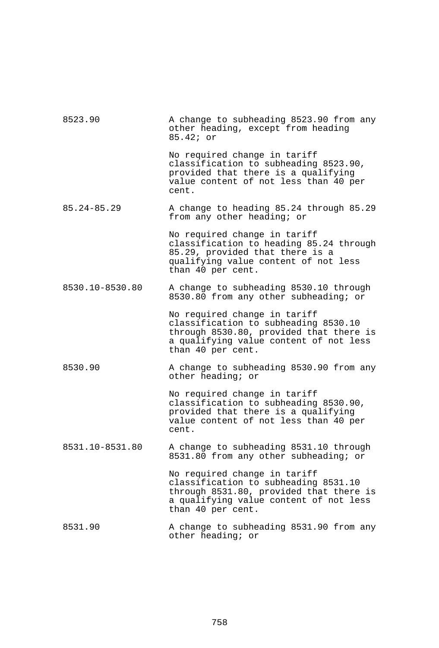| 8523.90         | A change to subheading 8523.90 from any<br>other heading, except from heading<br>85.42; or                                                                                     |
|-----------------|--------------------------------------------------------------------------------------------------------------------------------------------------------------------------------|
|                 | No required change in tariff<br>classification to subheading 8523.90,<br>provided that there is a qualifying<br>value content of not less than 40 per<br>cent.                 |
| 85.24-85.29     | A change to heading 85.24 through 85.29<br>from any other heading; or                                                                                                          |
|                 | No required change in tariff<br>classification to heading 85.24 through<br>85.29, provided that there is a<br>qualifying value content of not less<br>than 40 per cent.        |
| 8530.10-8530.80 | A change to subheading 8530.10 through<br>8530.80 from any other subheading; or                                                                                                |
|                 | No required change in tariff<br>classification to subheading 8530.10<br>through 8530.80, provided that there is<br>a qualifying value content of not less<br>than 40 per cent. |
| 8530.90         | A change to subheading 8530.90 from any<br>other heading; or                                                                                                                   |
|                 | No required change in tariff<br>classification to subheading 8530.90,<br>provided that there is a qualifying<br>value content of not less than 40 per<br>cent.                 |
| 8531.10-8531.80 | A change to subheading 8531.10 through<br>8531.80 from any other subheading; or                                                                                                |
|                 | No required change in tariff<br>classification to subheading 8531.10<br>through 8531.80, provided that there is<br>a qualifying value content of not less<br>than 40 per cent. |
| 8531.90         | A change to subheading 8531.90 from any<br>other heading; or                                                                                                                   |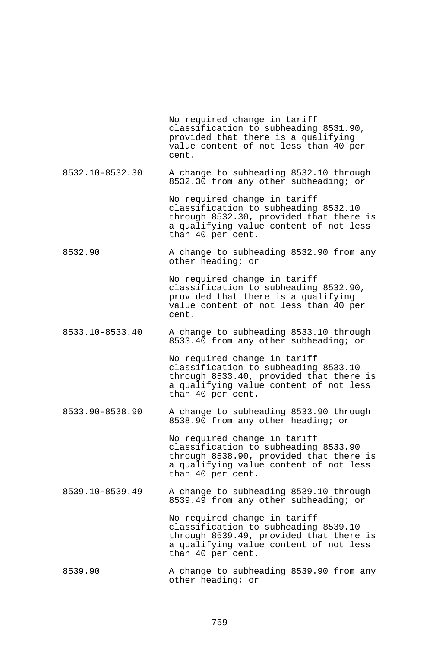|                 | No required change in tariff<br>classification to subheading 8531.90,<br>provided that there is a qualifying<br>value content of not less than 40 per<br>cent.                 |
|-----------------|--------------------------------------------------------------------------------------------------------------------------------------------------------------------------------|
| 8532.10-8532.30 | A change to subheading 8532.10 through<br>8532.30 from any other subheading; or                                                                                                |
|                 | No required change in tariff<br>classification to subheading 8532.10<br>through 8532.30, provided that there is<br>a qualifying value content of not less<br>than 40 per cent. |
| 8532.90         | A change to subheading 8532.90 from any<br>other heading; or                                                                                                                   |
|                 | No required change in tariff<br>classification to subheading 8532.90,<br>provided that there is a qualifying<br>value content of not less than 40 per<br>cent.                 |
| 8533.10-8533.40 | A change to subheading 8533.10 through<br>8533.40 from any other subheading; or                                                                                                |
|                 | No required change in tariff<br>classification to subheading 8533.10<br>through 8533.40, provided that there is<br>a qualifying value content of not less<br>than 40 per cent. |
| 8533.90-8538.90 | A change to subheading 8533.90 through<br>8538.90 from any other heading; or                                                                                                   |
|                 | No required change in tariff<br>classification to subheading 8533.90<br>through 8538.90, provided that there is<br>a qualifying value content of not less<br>than 40 per cent. |
| 8539.10-8539.49 | A change to subheading 8539.10 through<br>8539.49 from any other subheading; or                                                                                                |
|                 | No required change in tariff<br>classification to subheading 8539.10<br>through 8539.49, provided that there is<br>a qualifying value content of not less<br>than 40 per cent. |
| 8539.90         | A change to subheading 8539.90 from any<br>other heading; or                                                                                                                   |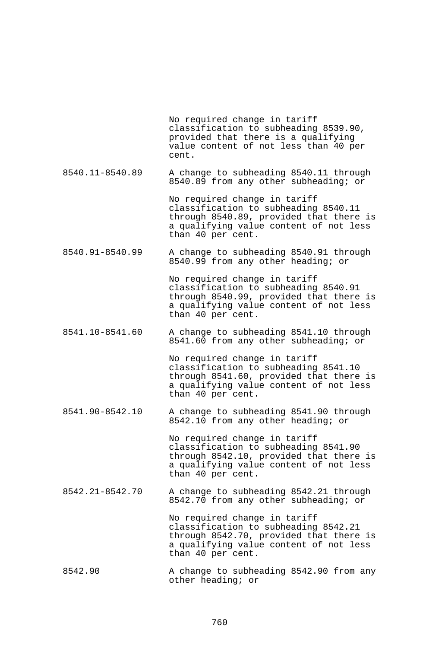No required change in tariff classification to subheading 8539.90, provided that there is a qualifying value content of not less than 40 per cent.

8540.11-8540.89 A change to subheading 8540.11 through 8540.89 from any other subheading; or

> No required change in tariff classification to subheading 8540.11 through 8540.89, provided that there is a qualifying value content of not less than 40 per cent.

8540.91-8540.99 A change to subheading 8540.91 through 8540.99 from any other heading; or

> No required change in tariff classification to subheading 8540.91 through 8540.99, provided that there is a qualifying value content of not less than 40 per cent.

8541.10-8541.60 A change to subheading 8541.10 through 8541.60 from any other subheading; or

> No required change in tariff classification to subheading 8541.10 through 8541.60, provided that there is a qualifying value content of not less than 40 per cent.

8541.90-8542.10 A change to subheading 8541.90 through 8542.10 from any other heading; or

> No required change in tariff classification to subheading 8541.90 through 8542.10, provided that there is a qualifying value content of not less than 40 per cent.

8542.21-8542.70 A change to subheading 8542.21 through 8542.70 from any other subheading; or

> No required change in tariff classification to subheading 8542.21 through 8542.70, provided that there is a qualifying value content of not less than 40 per cent.

8542.90 A change to subheading 8542.90 from any other heading; or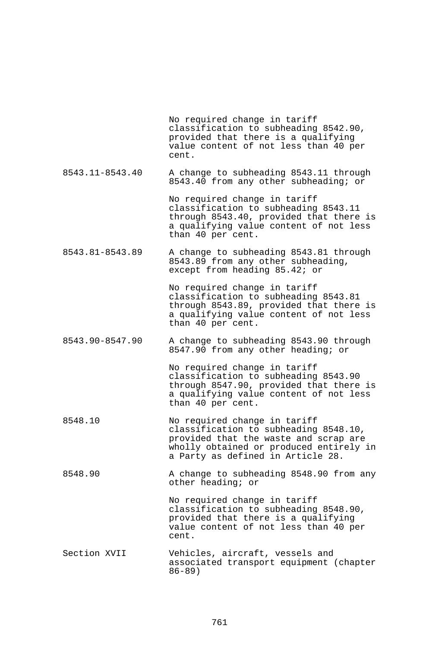No required change in tariff classification to subheading 8542.90, provided that there is a qualifying value content of not less than 40 per cent. 8543.11-8543.40 A change to subheading 8543.11 through 8543.40 from any other subheading; or No required change in tariff classification to subheading 8543.11 through 8543.40, provided that there is a qualifying value content of not less than 40 per cent. 8543.81-8543.89 A change to subheading 8543.81 through 8543.89 from any other subheading, except from heading 85.42; or No required change in tariff classification to subheading 8543.81 through 8543.89, provided that there is a qualifying value content of not less than 40 per cent. 8543.90-8547.90 A change to subheading 8543.90 through 8547.90 from any other heading; or No required change in tariff classification to subheading 8543.90 through 8547.90, provided that there is a qualifying value content of not less than 40 per cent. 8548.10 No required change in tariff classification to subheading 8548.10, provided that the waste and scrap are wholly obtained or produced entirely in a Party as defined in Article 28. 8548.90 A change to subheading 8548.90 from any other heading; or No required change in tariff classification to subheading 8548.90, provided that there is a qualifying value content of not less than 40 per cent. Section XVII Vehicles, aircraft, vessels and associated transport equipment (chapter

86-89)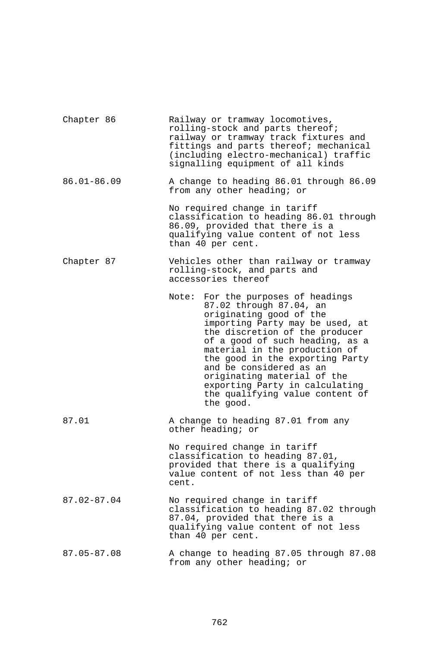| Chapter 86      | Railway or tramway locomotives,<br>rolling-stock and parts thereof;<br>railway or tramway track fixtures and<br>fittings and parts thereof; mechanical<br>(including electro-mechanical) traffic<br>signalling equipment of all kinds                                                                                                                                                                               |
|-----------------|---------------------------------------------------------------------------------------------------------------------------------------------------------------------------------------------------------------------------------------------------------------------------------------------------------------------------------------------------------------------------------------------------------------------|
| $86.01 - 86.09$ | A change to heading 86.01 through 86.09<br>from any other heading; or                                                                                                                                                                                                                                                                                                                                               |
|                 | No required change in tariff<br>classification to heading 86.01 through<br>86.09, provided that there is a<br>qualifying value content of not less<br>than 40 per cent.                                                                                                                                                                                                                                             |
| Chapter 87      | Vehicles other than railway or tramway<br>rolling-stock, and parts and<br>accessories thereof                                                                                                                                                                                                                                                                                                                       |
|                 | For the purposes of headings<br>Note:<br>87.02 through 87.04, an<br>originating good of the<br>importing Party may be used, at<br>the discretion of the producer<br>of a good of such heading, as a<br>material in the production of<br>the good in the exporting Party<br>and be considered as an<br>originating material of the<br>exporting Party in calculating<br>the qualifying value content of<br>the good. |
| 87.01           | A change to heading 87.01 from any<br>other heading; or                                                                                                                                                                                                                                                                                                                                                             |
|                 | No required change in tariff<br>classification to heading 87.01,<br>provided that there is a qualifying<br>value content of not less than 40 per<br>cent.                                                                                                                                                                                                                                                           |
| 87.02-87.04     | No required change in tariff<br>classification to heading 87.02 through<br>87.04, provided that there is a<br>qualifying value content of not less<br>than 40 per cent.                                                                                                                                                                                                                                             |
| 87.05-87.08     | A change to heading 87.05 through 87.08<br>from any other heading; or                                                                                                                                                                                                                                                                                                                                               |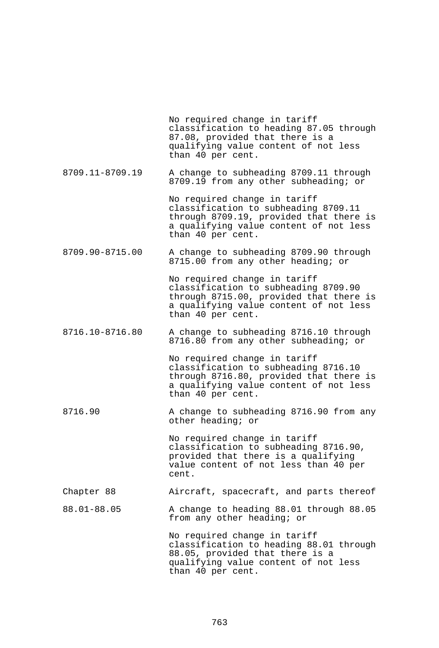No required change in tariff classification to heading 87.05 through 87.08, provided that there is a qualifying value content of not less than 40 per cent. 8709.11-8709.19 A change to subheading 8709.11 through 8709.19 from any other subheading; or No required change in tariff classification to subheading 8709.11 through 8709.19, provided that there is a qualifying value content of not less than 40 per cent. 8709.90-8715.00 A change to subheading 8709.90 through 8715.00 from any other heading; or No required change in tariff classification to subheading 8709.90 through 8715.00, provided that there is a qualifying value content of not less than 40 per cent. 8716.10-8716.80 A change to subheading 8716.10 through 8716.80 from any other subheading; or No required change in tariff classification to subheading 8716.10 through 8716.80, provided that there is a qualifying value content of not less than 40 per cent. 8716.90 A change to subheading 8716.90 from any other heading; or No required change in tariff classification to subheading 8716.90, provided that there is a qualifying value content of not less than 40 per cent. Chapter 88 Aircraft, spacecraft, and parts thereof 88.01-88.05 A change to heading 88.01 through 88.05 from any other heading; or No required change in tariff classification to heading 88.01 through 88.05, provided that there is a qualifying value content of not less than 40 per cent.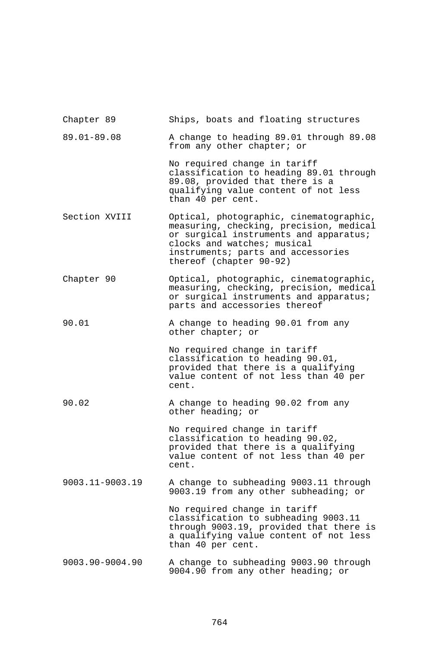| Chapter 89      | Ships, boats and floating structures                                                                                                                                                                                         |
|-----------------|------------------------------------------------------------------------------------------------------------------------------------------------------------------------------------------------------------------------------|
| 89.01-89.08     | A change to heading 89.01 through 89.08<br>from any other chapter; or                                                                                                                                                        |
|                 | No required change in tariff<br>classification to heading 89.01 through<br>89.08, provided that there is a<br>qualifying value content of not less<br>than 40 per cent.                                                      |
| Section XVIII   | Optical, photographic, cinematographic,<br>measuring, checking, precision, medical<br>or surgical instruments and apparatus;<br>clocks and watches; musical<br>instruments; parts and accessories<br>thereof (chapter 90-92) |
| Chapter 90      | Optical, photographic, cinematographic,<br>measuring, checking, precision, medical<br>or surgical instruments and apparatus;<br>parts and accessories thereof                                                                |
| 90.01           | A change to heading 90.01 from any<br>other chapter; or                                                                                                                                                                      |
|                 | No required change in tariff<br>classification to heading 90.01,<br>provided that there is a qualifying<br>value content of not less than 40 per<br>cent.                                                                    |
| 90.02           | A change to heading 90.02 from any<br>other heading; or                                                                                                                                                                      |
|                 | No required change in tariff<br>classification to heading 90.02,<br>provided that there is a qualifying<br>value content of not less than 40 per<br>cent.                                                                    |
| 9003.11-9003.19 | A change to subheading 9003.11 through<br>9003.19 from any other subheading; or                                                                                                                                              |
|                 | No required change in tariff<br>classification to subheading 9003.11<br>through 9003.19, provided that there is<br>a qualifying value content of not less<br>than 40 per cent.                                               |
| 9003.90-9004.90 | A change to subheading 9003.90 through<br>9004.90 from any other heading; or                                                                                                                                                 |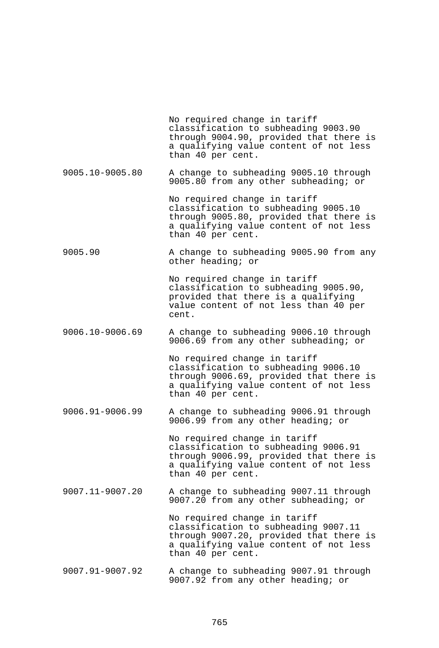No required change in tariff classification to subheading 9003.90 through 9004.90, provided that there is a qualifying value content of not less than 40 per cent. 9005.10-9005.80 A change to subheading 9005.10 through 9005.80 from any other subheading; or No required change in tariff classification to subheading 9005.10 through 9005.80, provided that there is a qualifying value content of not less than 40 per cent. 9005.90 A change to subheading 9005.90 from any other heading; or No required change in tariff classification to subheading 9005.90, provided that there is a qualifying value content of not less than 40 per cent. 9006.10-9006.69 A change to subheading 9006.10 through 9006.69 from any other subheading; or No required change in tariff classification to subheading 9006.10 through 9006.69, provided that there is a qualifying value content of not less than 40 per cent. 9006.91-9006.99 A change to subheading 9006.91 through 9006.99 from any other heading; or No required change in tariff classification to subheading 9006.91 through 9006.99, provided that there is a qualifying value content of not less than 40 per cent. 9007.11-9007.20 A change to subheading 9007.11 through 9007.20 from any other subheading; or No required change in tariff classification to subheading 9007.11 through 9007.20, provided that there is a qualifying value content of not less than 40 per cent. 9007.91-9007.92 A change to subheading 9007.91 through 9007.92 from any other heading; or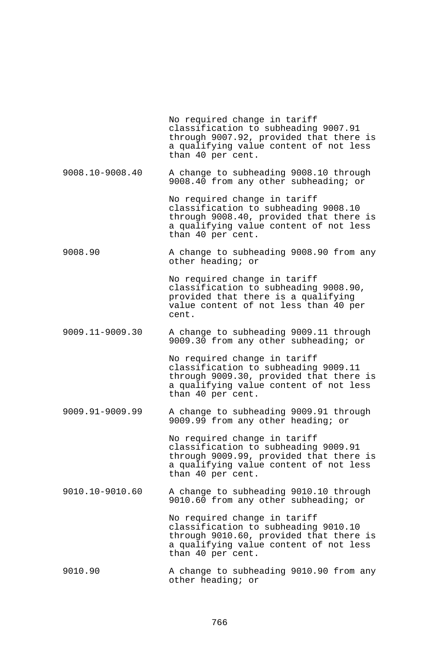No required change in tariff classification to subheading 9007.91 through 9007.92, provided that there is a qualifying value content of not less than 40 per cent. 9008.10-9008.40 A change to subheading 9008.10 through 9008.40 from any other subheading; or No required change in tariff classification to subheading 9008.10 through 9008.40, provided that there is a qualifying value content of not less than 40 per cent. 9008.90 A change to subheading 9008.90 from any other heading; or No required change in tariff classification to subheading 9008.90, provided that there is a qualifying value content of not less than 40 per cent. 9009.11-9009.30 A change to subheading 9009.11 through 9009.30 from any other subheading; or No required change in tariff classification to subheading 9009.11 through 9009.30, provided that there is a qualifying value content of not less than 40 per cent. 9009.91-9009.99 A change to subheading 9009.91 through 9009.99 from any other heading; or No required change in tariff classification to subheading 9009.91 through 9009.99, provided that there is a qualifying value content of not less than 40 per cent. 9010.10-9010.60 A change to subheading 9010.10 through 9010.60 from any other subheading; or No required change in tariff classification to subheading 9010.10 through 9010.60, provided that there is a qualifying value content of not less than 40 per cent. 9010.90 A change to subheading 9010.90 from any other heading; or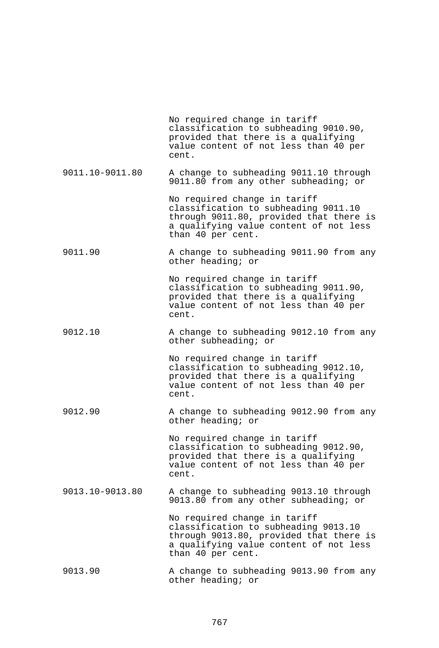|                 | No required change in tariff<br>classification to subheading 9010.90,<br>provided that there is a qualifying<br>value content of not less than 40 per<br>cent.                 |
|-----------------|--------------------------------------------------------------------------------------------------------------------------------------------------------------------------------|
| 9011.10-9011.80 | A change to subheading 9011.10 through<br>9011.80 from any other subheading; or                                                                                                |
|                 | No required change in tariff<br>classification to subheading 9011.10<br>through 9011.80, provided that there is<br>a qualifying value content of not less<br>than 40 per cent. |
| 9011.90         | A change to subheading 9011.90 from any<br>other heading; or                                                                                                                   |
|                 | No required change in tariff<br>classification to subheading 9011.90,<br>provided that there is a qualifying<br>value content of not less than 40 per<br>cent.                 |
| 9012.10         | A change to subheading 9012.10 from any<br>other subheading; or                                                                                                                |
|                 | No required change in tariff<br>classification to subheading 9012.10,<br>provided that there is a qualifying<br>value content of not less than 40 per<br>cent.                 |
| 9012.90         | A change to subheading 9012.90 from any<br>other heading; or                                                                                                                   |
|                 | No required change in tariff<br>classification to subheading 9012.90,<br>provided that there is a qualifying<br>value content of not less than 40 per<br>cent.                 |
| 9013.10-9013.80 | A change to subheading 9013.10 through<br>9013.80 from any other subheading; or                                                                                                |
|                 | No required change in tariff<br>classification to subheading 9013.10<br>through 9013.80, provided that there is<br>a qualifying value content of not less<br>than 40 per cent. |
| 9013.90         | A change to subheading 9013.90 from any<br>other heading; or                                                                                                                   |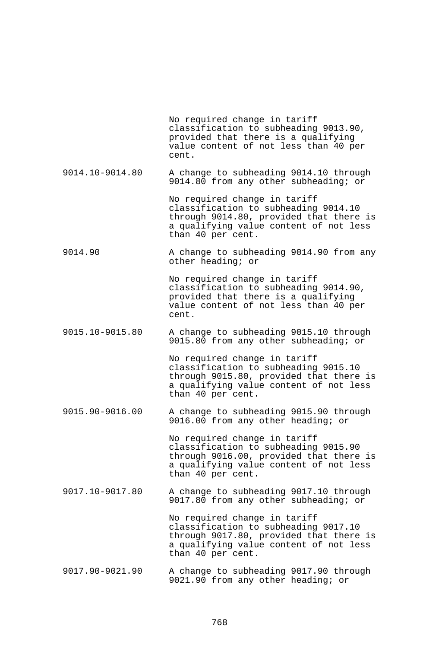|                 | No required change in tariff<br>classification to subheading 9013.90,<br>provided that there is a qualifying<br>value content of not less than 40 per<br>cent.                 |
|-----------------|--------------------------------------------------------------------------------------------------------------------------------------------------------------------------------|
| 9014.10-9014.80 | A change to subheading 9014.10 through<br>9014.80 from any other subheading; or                                                                                                |
|                 | No required change in tariff<br>classification to subheading 9014.10<br>through 9014.80, provided that there is<br>a qualifying value content of not less<br>than 40 per cent. |
| 9014.90         | A change to subheading 9014.90 from any<br>other heading; or                                                                                                                   |
|                 | No required change in tariff<br>classification to subheading 9014.90,<br>provided that there is a qualifying<br>value content of not less than 40 per<br>cent.                 |
| 9015.10-9015.80 | A change to subheading 9015.10 through<br>9015.80 from any other subheading; or                                                                                                |
|                 | No required change in tariff<br>classification to subheading 9015.10<br>through 9015.80, provided that there is<br>a qualifying value content of not less<br>than 40 per cent. |
| 9015.90-9016.00 | A change to subheading 9015.90 through<br>9016.00 from any other heading; or                                                                                                   |
|                 | No required change in tariff<br>classification to subheading 9015.90<br>through 9016.00, provided that there is<br>a qualifying value content of not less<br>than 40 per cent. |
| 9017.10-9017.80 | A change to subheading 9017.10 through<br>9017.80 from any other subheading; or                                                                                                |
|                 | No required change in tariff<br>classification to subheading 9017.10<br>through 9017.80, provided that there is<br>a qualifying value content of not less<br>than 40 per cent. |
| 9017.90-9021.90 | A change to subheading 9017.90 through<br>9021.90 from any other heading; or                                                                                                   |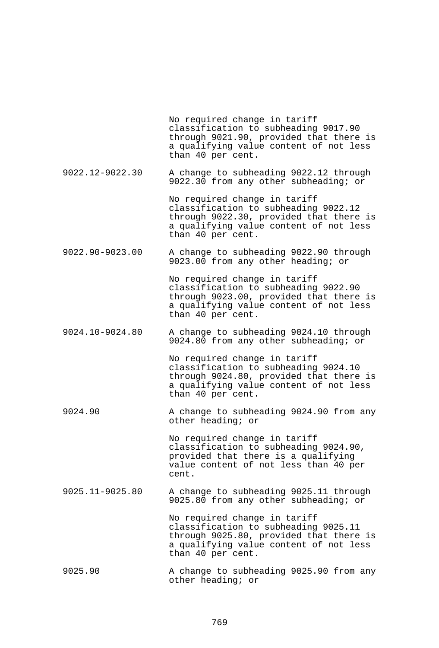No required change in tariff classification to subheading 9017.90 through 9021.90, provided that there is a qualifying value content of not less than 40 per cent.

9022.12-9022.30 A change to subheading 9022.12 through 9022.30 from any other subheading; or

> No required change in tariff classification to subheading 9022.12 through 9022.30, provided that there is a qualifying value content of not less than 40 per cent.

9022.90-9023.00 A change to subheading 9022.90 through 9023.00 from any other heading; or

> No required change in tariff classification to subheading 9022.90 through 9023.00, provided that there is a qualifying value content of not less than 40 per cent.

9024.10-9024.80 A change to subheading 9024.10 through 9024.80 from any other subheading; or

> No required change in tariff classification to subheading 9024.10 through 9024.80, provided that there is a qualifying value content of not less than 40 per cent.

9024.90 A change to subheading 9024.90 from any other heading; or

> No required change in tariff classification to subheading 9024.90, provided that there is a qualifying value content of not less than 40 per cent.

9025.11-9025.80 A change to subheading 9025.11 through 9025.80 from any other subheading; or

> No required change in tariff classification to subheading 9025.11 through 9025.80, provided that there is a qualifying value content of not less than 40 per cent.

9025.90 A change to subheading 9025.90 from any other heading; or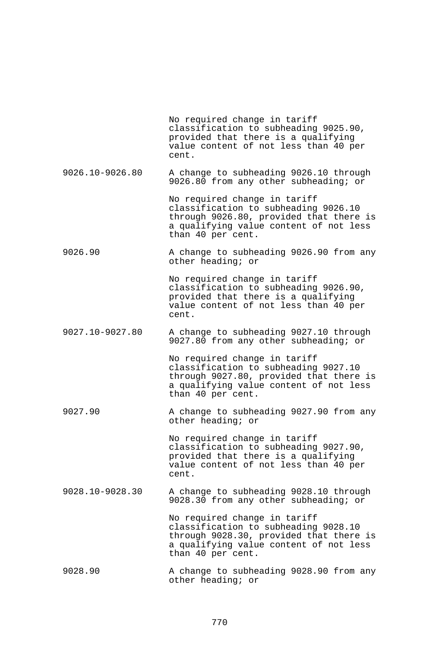|                 | No required change in tariff<br>classification to subheading 9025.90,<br>provided that there is a qualifying<br>value content of not less than 40 per<br>cent.                 |
|-----------------|--------------------------------------------------------------------------------------------------------------------------------------------------------------------------------|
| 9026.10-9026.80 | A change to subheading 9026.10 through<br>9026.80 from any other subheading; or                                                                                                |
|                 | No required change in tariff<br>classification to subheading 9026.10<br>through 9026.80, provided that there is<br>a qualifying value content of not less<br>than 40 per cent. |
| 9026.90         | A change to subheading 9026.90 from any<br>other heading; or                                                                                                                   |
|                 | No required change in tariff<br>classification to subheading 9026.90,<br>provided that there is a qualifying<br>value content of not less than 40 per<br>cent.                 |
| 9027.10-9027.80 | A change to subheading 9027.10 through<br>9027.80 from any other subheading; or                                                                                                |
|                 | No required change in tariff<br>classification to subheading 9027.10<br>through 9027.80, provided that there is<br>a qualifying value content of not less<br>than 40 per cent. |
| 9027.90         | A change to subheading 9027.90 from any<br>other heading; or                                                                                                                   |
|                 | No required change in tariff<br>classification to subheading 9027.90,<br>provided that there is a qualifying<br>value content of not less than 40 per<br>cent.                 |
| 9028.10-9028.30 | A change to subheading 9028.10 through<br>9028.30 from any other subheading; or                                                                                                |
|                 | No required change in tariff<br>classification to subheading 9028.10<br>through 9028.30, provided that there is<br>a qualifying value content of not less<br>than 40 per cent. |
| 9028.90         | A change to subheading 9028.90 from any<br>other heading; or                                                                                                                   |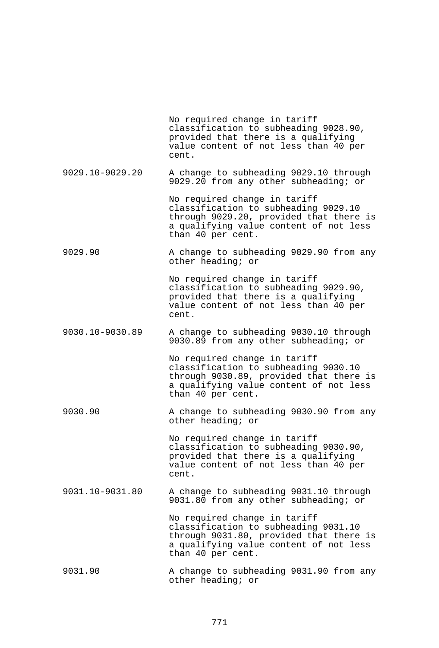|                 | No required change in tariff<br>classification to subheading 9028.90,<br>provided that there is a qualifying<br>value content of not less than 40 per<br>cent.                 |
|-----------------|--------------------------------------------------------------------------------------------------------------------------------------------------------------------------------|
| 9029.10-9029.20 | A change to subheading 9029.10 through<br>9029.20 from any other subheading; or                                                                                                |
|                 | No required change in tariff<br>classification to subheading 9029.10<br>through 9029.20, provided that there is<br>a qualifying value content of not less<br>than 40 per cent. |
| 9029.90         | A change to subheading 9029.90 from any<br>other heading; or                                                                                                                   |
|                 | No required change in tariff<br>classification to subheading 9029.90,<br>provided that there is a qualifying<br>value content of not less than 40 per<br>cent.                 |
| 9030.10-9030.89 | A change to subheading 9030.10 through<br>9030.89 from any other subheading; or                                                                                                |
|                 | No required change in tariff<br>classification to subheading 9030.10<br>through 9030.89, provided that there is<br>a qualifying value content of not less<br>than 40 per cent. |
| 9030.90         | A change to subheading 9030.90 from any<br>other heading; or                                                                                                                   |
|                 | No required change in tariff<br>classification to subheading 9030.90,<br>provided that there is a qualifying<br>value content of not less than 40 per<br>cent.                 |
| 9031.10-9031.80 | A change to subheading 9031.10 through<br>9031.80 from any other subheading; or                                                                                                |
|                 | No required change in tariff<br>classification to subheading 9031.10<br>through 9031.80, provided that there is<br>a qualifying value content of not less<br>than 40 per cent. |
| 9031.90         | A change to subheading 9031.90 from any<br>other heading; or                                                                                                                   |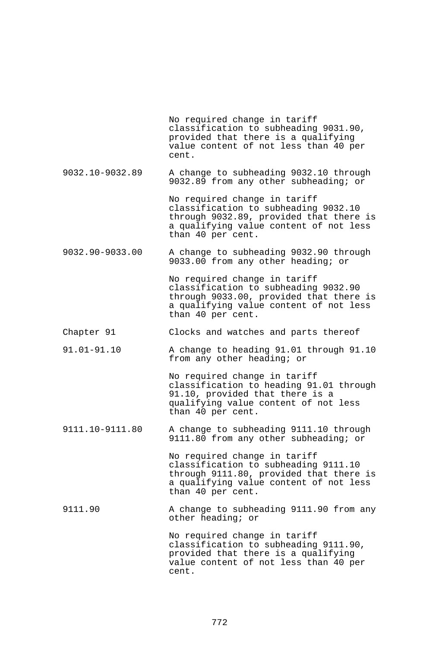No required change in tariff classification to subheading 9031.90, provided that there is a qualifying value content of not less than 40 per cent. 9032.10-9032.89 A change to subheading 9032.10 through 9032.89 from any other subheading; or No required change in tariff classification to subheading 9032.10 through 9032.89, provided that there is a qualifying value content of not less than 40 per cent. 9032.90-9033.00 A change to subheading 9032.90 through 9033.00 from any other heading; or No required change in tariff classification to subheading 9032.90 through 9033.00, provided that there is a qualifying value content of not less than 40 per cent. Chapter 91 Clocks and watches and parts thereof 91.01-91.10 A change to heading 91.01 through 91.10 from any other heading; or No required change in tariff classification to heading 91.01 through 91.10, provided that there is a qualifying value content of not less than 40 per cent. 9111.10-9111.80 A change to subheading 9111.10 through 9111.80 from any other subheading; or No required change in tariff classification to subheading 9111.10 through 9111.80, provided that there is a qualifying value content of not less than 40 per cent. 9111.90 A change to subheading 9111.90 from any other heading; or No required change in tariff classification to subheading 9111.90, provided that there is a qualifying value content of not less than 40 per cent.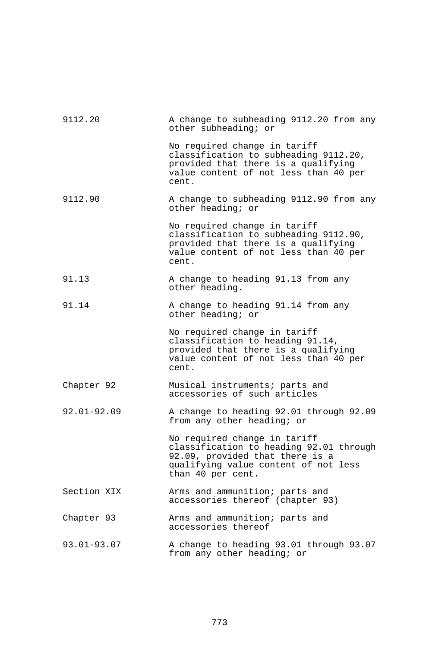| 9112.20         | A change to subheading 9112.20 from any<br>other subheading; or                                                                                                         |
|-----------------|-------------------------------------------------------------------------------------------------------------------------------------------------------------------------|
|                 | No required change in tariff<br>classification to subheading 9112.20,<br>provided that there is a qualifying<br>value content of not less than 40 per<br>cent.          |
| 9112.90         | A change to subheading 9112.90 from any<br>other heading; or                                                                                                            |
|                 | No required change in tariff<br>classification to subheading 9112.90,<br>provided that there is a qualifying<br>value content of not less than 40 per<br>cent.          |
| 91.13           | A change to heading 91.13 from any<br>other heading.                                                                                                                    |
| 91.14           | A change to heading 91.14 from any<br>other heading; or                                                                                                                 |
|                 | No required change in tariff<br>classification to heading 91.14,<br>provided that there is a qualifying<br>value content of not less than 40 per<br>cent.               |
| Chapter 92      | Musical instruments; parts and<br>accessories of such articles                                                                                                          |
| $92.01 - 92.09$ | A change to heading 92.01 through 92.09<br>from any other heading; or                                                                                                   |
|                 | No required change in tariff<br>classification to heading 92.01 through<br>92.09, provided that there is a<br>qualifying value content of not less<br>than 40 per cent. |
| Section XIX     | Arms and ammunition; parts and<br>accessories thereof (chapter 93)                                                                                                      |
| Chapter 93      | Arms and ammunition; parts and<br>accessories thereof                                                                                                                   |
| 93.01-93.07     | A change to heading 93.01 through 93.07<br>from any other heading; or                                                                                                   |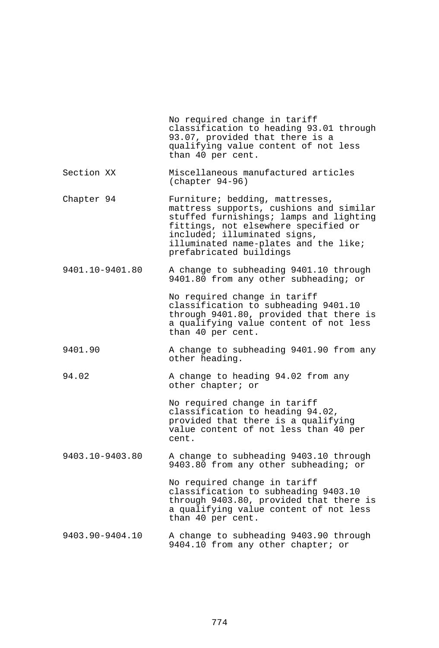|                 | No required change in tariff<br>classification to heading 93.01 through<br>93.07, provided that there is a<br>qualifying value content of not less<br>than 40 per cent.                                                                                           |
|-----------------|-------------------------------------------------------------------------------------------------------------------------------------------------------------------------------------------------------------------------------------------------------------------|
| Section XX      | Miscellaneous manufactured articles<br>$(char 94-96)$                                                                                                                                                                                                             |
| Chapter 94      | Furniture; bedding, mattresses,<br>mattress supports, cushions and similar<br>stuffed furnishings; lamps and lighting<br>fittings, not elsewhere specified or<br>included; illuminated signs,<br>illuminated name-plates and the like;<br>prefabricated buildings |
| 9401.10-9401.80 | A change to subheading 9401.10 through<br>9401.80 from any other subheading; or                                                                                                                                                                                   |
|                 | No required change in tariff<br>classification to subheading 9401.10<br>through 9401.80, provided that there is<br>a qualifying value content of not less<br>than 40 per cent.                                                                                    |
| 9401.90         | A change to subheading 9401.90 from any<br>other heading.                                                                                                                                                                                                         |
| 94.02           | A change to heading 94.02 from any<br>other chapter; or                                                                                                                                                                                                           |
|                 | No required change in tariff<br>classification to heading 94.02,<br>provided that there is a qualifying<br>value content of not less than 40 per<br>cent.                                                                                                         |
| 9403.10-9403.80 | A change to subheading 9403.10 through<br>9403.80 from any other subheading; or                                                                                                                                                                                   |
|                 | No required change in tariff<br>classification to subheading 9403.10<br>through 9403.80, provided that there is<br>a qualifying value content of not less<br>than 40 per cent.                                                                                    |
| 9403.90-9404.10 | A change to subheading 9403.90 through<br>9404.10 from any other chapter; or                                                                                                                                                                                      |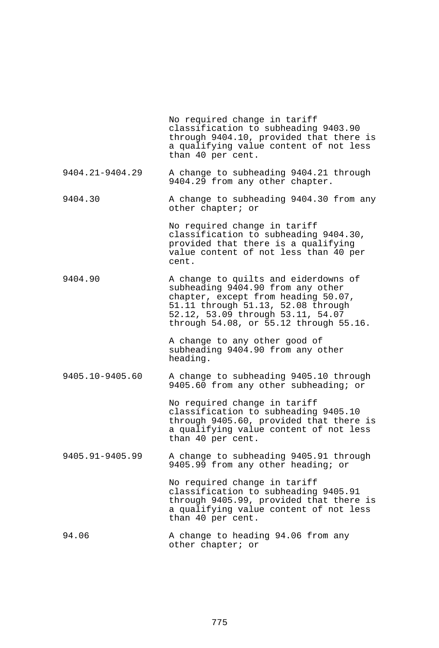|                 | No required change in tariff<br>classification to subheading 9403.90<br>through 9404.10, provided that there is<br>a qualifying value content of not less<br>than 40 per cent.                                                        |
|-----------------|---------------------------------------------------------------------------------------------------------------------------------------------------------------------------------------------------------------------------------------|
| 9404.21-9404.29 | A change to subheading 9404.21 through<br>9404.29 from any other chapter.                                                                                                                                                             |
| 9404.30         | A change to subheading 9404.30 from any<br>other chapter; or                                                                                                                                                                          |
|                 | No required change in tariff<br>classification to subheading 9404.30,<br>provided that there is a qualifying<br>value content of not less than 40 per<br>cent.                                                                        |
| 9404.90         | A change to quilts and eiderdowns of<br>subheading 9404.90 from any other<br>chapter, except from heading 50.07,<br>51.11 through 51.13, 52.08 through<br>52.12, 53.09 through 53.11, 54.07<br>through 54.08, or 55.12 through 55.16. |
|                 | A change to any other good of<br>subheading 9404.90 from any other<br>heading.                                                                                                                                                        |
| 9405.10-9405.60 | A change to subheading 9405.10 through<br>9405.60 from any other subheading; or                                                                                                                                                       |
|                 | No required change in tariff<br>classification to subheading 9405.10<br>through 9405.60, provided that there is<br>a qualifying value content of not less<br>than 40 per cent.                                                        |
| 9405.91-9405.99 | A change to subheading 9405.91 through<br>9405.99 from any other heading; or                                                                                                                                                          |
|                 | No required change in tariff<br>classification to subheading 9405.91<br>through 9405.99, provided that there is<br>a qualifying value content of not less<br>than 40 per cent.                                                        |
| 94.06           | A change to heading 94.06 from any<br>other chapter; or                                                                                                                                                                               |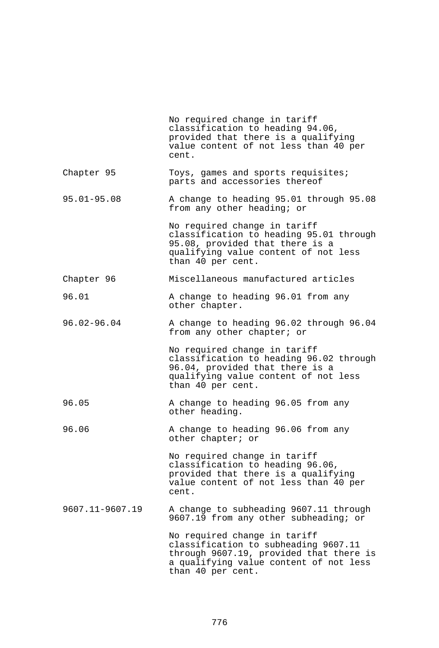|                 | No required change in tariff<br>classification to heading 94.06,<br>provided that there is a qualifying<br>value content of not less than 40 per<br>cent.                      |
|-----------------|--------------------------------------------------------------------------------------------------------------------------------------------------------------------------------|
| Chapter 95      | Toys, games and sports requisites;<br>parts and accessories thereof                                                                                                            |
| $95.01 - 95.08$ | A change to heading 95.01 through 95.08<br>from any other heading; or                                                                                                          |
|                 | No required change in tariff<br>classification to heading 95.01 through<br>95.08, provided that there is a<br>qualifying value content of not less<br>than 40 per cent.        |
| Chapter 96      | Miscellaneous manufactured articles                                                                                                                                            |
| 96.01           | A change to heading 96.01 from any<br>other chapter.                                                                                                                           |
| $96.02 - 96.04$ | A change to heading 96.02 through 96.04<br>from any other chapter; or                                                                                                          |
|                 | No required change in tariff<br>classification to heading 96.02 through<br>96.04, provided that there is a<br>qualifying value content of not less<br>than 40 per cent.        |
| 96.05           | A change to heading 96.05 from any<br>other heading.                                                                                                                           |
| 96.06           | A change to heading 96.06 from any<br>other chapter; or                                                                                                                        |
|                 | No required change in tariff<br>classification to heading 96.06,<br>provided that there is a qualifying<br>value content of not less than 40 per<br>cent.                      |
| 9607.11-9607.19 | A change to subheading 9607.11 through<br>9607.19 from any other subheading; or                                                                                                |
|                 | No required change in tariff<br>classification to subheading 9607.11<br>through 9607.19, provided that there is<br>a qualifying value content of not less<br>than 40 per cent. |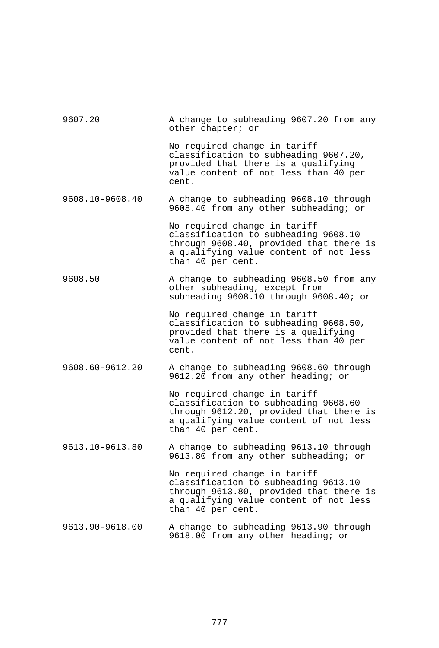| 9607.20         | A change to subheading 9607.20 from any<br>other chapter; or                                                                                                                   |
|-----------------|--------------------------------------------------------------------------------------------------------------------------------------------------------------------------------|
|                 | No required change in tariff<br>classification to subheading 9607.20,<br>provided that there is a qualifying<br>value content of not less than 40 per<br>cent.                 |
| 9608.10-9608.40 | A change to subheading 9608.10 through<br>9608.40 from any other subheading; or                                                                                                |
|                 | No required change in tariff<br>classification to subheading 9608.10<br>through 9608.40, provided that there is<br>a qualifying value content of not less<br>than 40 per cent. |
| 9608.50         | A change to subheading 9608.50 from any<br>other subheading, except from<br>subheading 9608.10 through 9608.40; or                                                             |
|                 | No required change in tariff<br>classification to subheading 9608.50,<br>provided that there is a qualifying<br>value content of not less than 40 per<br>cent.                 |
| 9608.60-9612.20 | A change to subheading 9608.60 through<br>9612.20 from any other heading; or                                                                                                   |
|                 | No required change in tariff<br>classification to subheading 9608.60<br>through 9612.20, provided that there is<br>a qualifying value content of not less<br>than 40 per cent. |
| 9613.10-9613.80 | A change to subheading 9613.10 through<br>9613.80 from any other subheading; or                                                                                                |
|                 | No required change in tariff<br>classification to subheading 9613.10<br>through 9613.80, provided that there is<br>a qualifying value content of not less<br>than 40 per cent. |
| 9613.90-9618.00 | A change to subheading 9613.90 through<br>9618.00 from any other heading; or                                                                                                   |